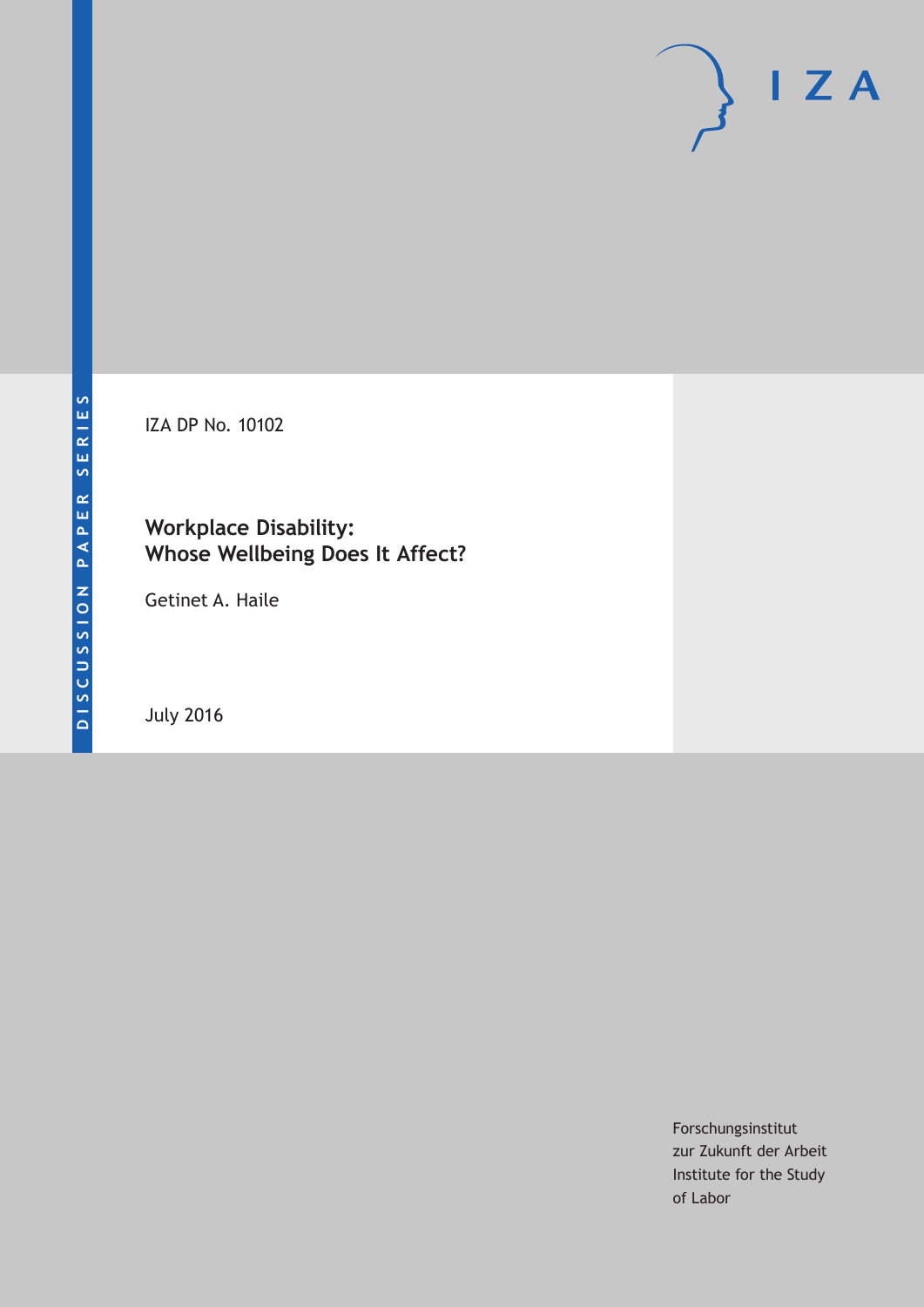IZA DP No. 10102

## **Workplace Disability: Whose Wellbeing Does It Affect?**

Getinet A. Haile

July 2016

Forschungsinstitut zur Zukunft der Arbeit Institute for the Study of Labor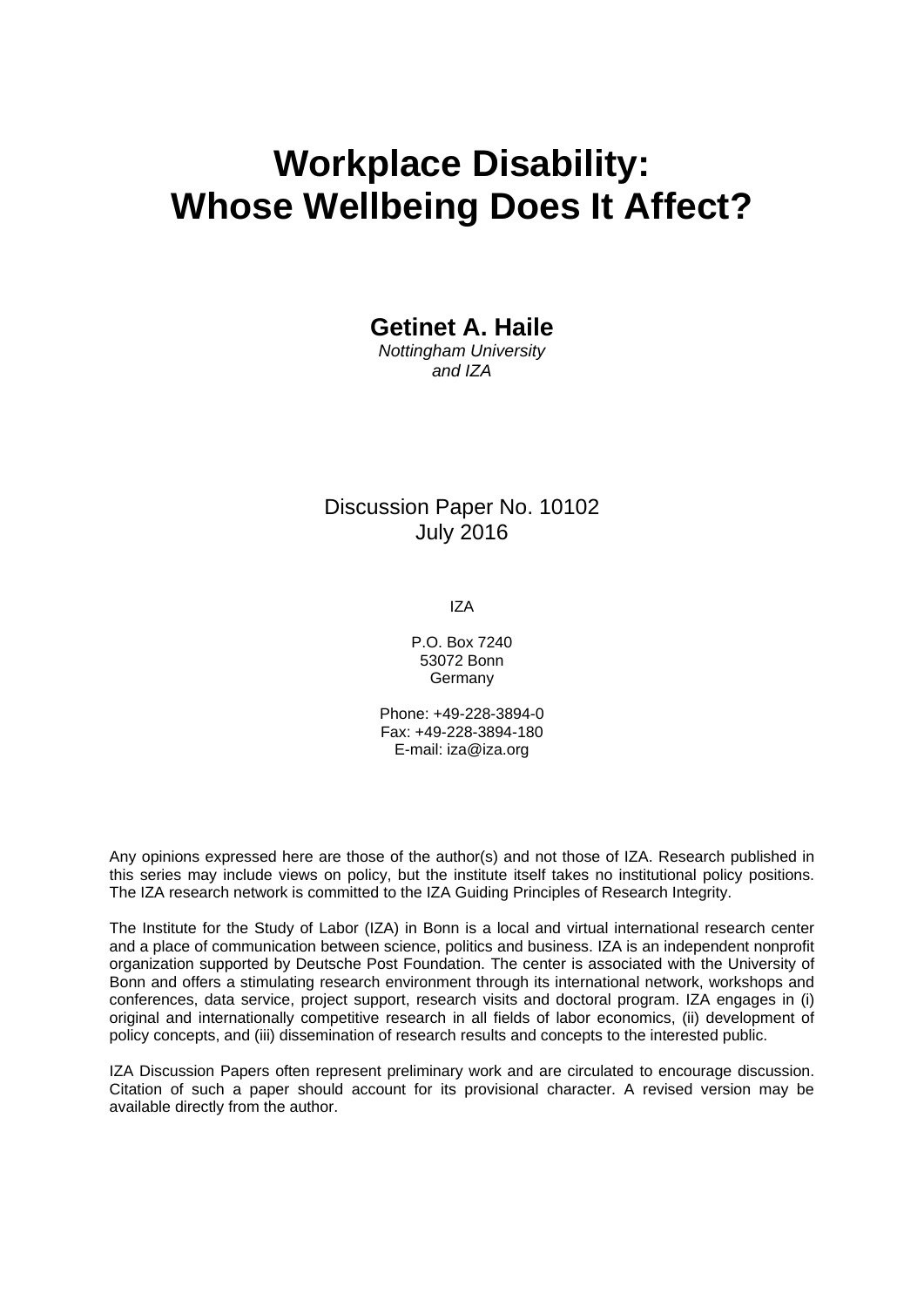# **Workplace Disability: Whose Wellbeing Does It Affect?**

### **Getinet A. Haile**

*Nottingham University and IZA* 

### Discussion Paper No. 10102 July 2016

IZA

P.O. Box 7240 53072 Bonn Germany

Phone: +49-228-3894-0 Fax: +49-228-3894-180 E-mail: iza@iza.org

Any opinions expressed here are those of the author(s) and not those of IZA. Research published in this series may include views on policy, but the institute itself takes no institutional policy positions. The IZA research network is committed to the IZA Guiding Principles of Research Integrity.

The Institute for the Study of Labor (IZA) in Bonn is a local and virtual international research center and a place of communication between science, politics and business. IZA is an independent nonprofit organization supported by Deutsche Post Foundation. The center is associated with the University of Bonn and offers a stimulating research environment through its international network, workshops and conferences, data service, project support, research visits and doctoral program. IZA engages in (i) original and internationally competitive research in all fields of labor economics, (ii) development of policy concepts, and (iii) dissemination of research results and concepts to the interested public.

IZA Discussion Papers often represent preliminary work and are circulated to encourage discussion. Citation of such a paper should account for its provisional character. A revised version may be available directly from the author.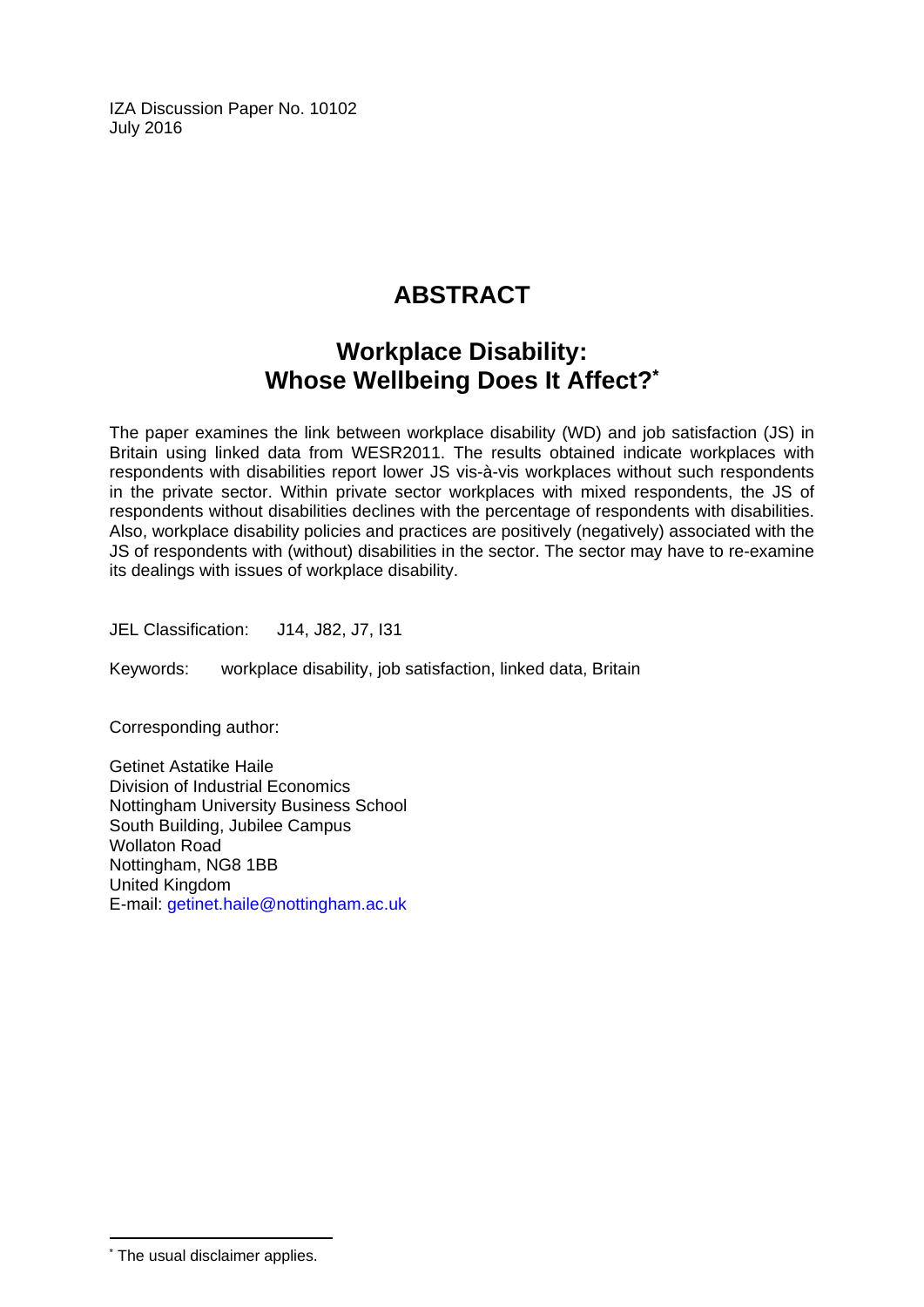IZA Discussion Paper No. 10102 July 2016

# **ABSTRACT**

# **Workplace Disability: Whose Wellbeing Does It Affect?\***

The paper examines the link between workplace disability (WD) and job satisfaction (JS) in Britain using linked data from WESR2011. The results obtained indicate workplaces with respondents with disabilities report lower JS vis-à-vis workplaces without such respondents in the private sector. Within private sector workplaces with mixed respondents, the JS of respondents without disabilities declines with the percentage of respondents with disabilities. Also, workplace disability policies and practices are positively (negatively) associated with the JS of respondents with (without) disabilities in the sector. The sector may have to re-examine its dealings with issues of workplace disability.

JEL Classification: J14, J82, J7, I31

Keywords: workplace disability, job satisfaction, linked data, Britain

Corresponding author:

Getinet Astatike Haile Division of Industrial Economics Nottingham University Business School South Building, Jubilee Campus Wollaton Road Nottingham, NG8 1BB United Kingdom E-mail: getinet.haile@nottingham.ac.uk

 $\overline{\phantom{a}}$ 

<sup>\*</sup> The usual disclaimer applies.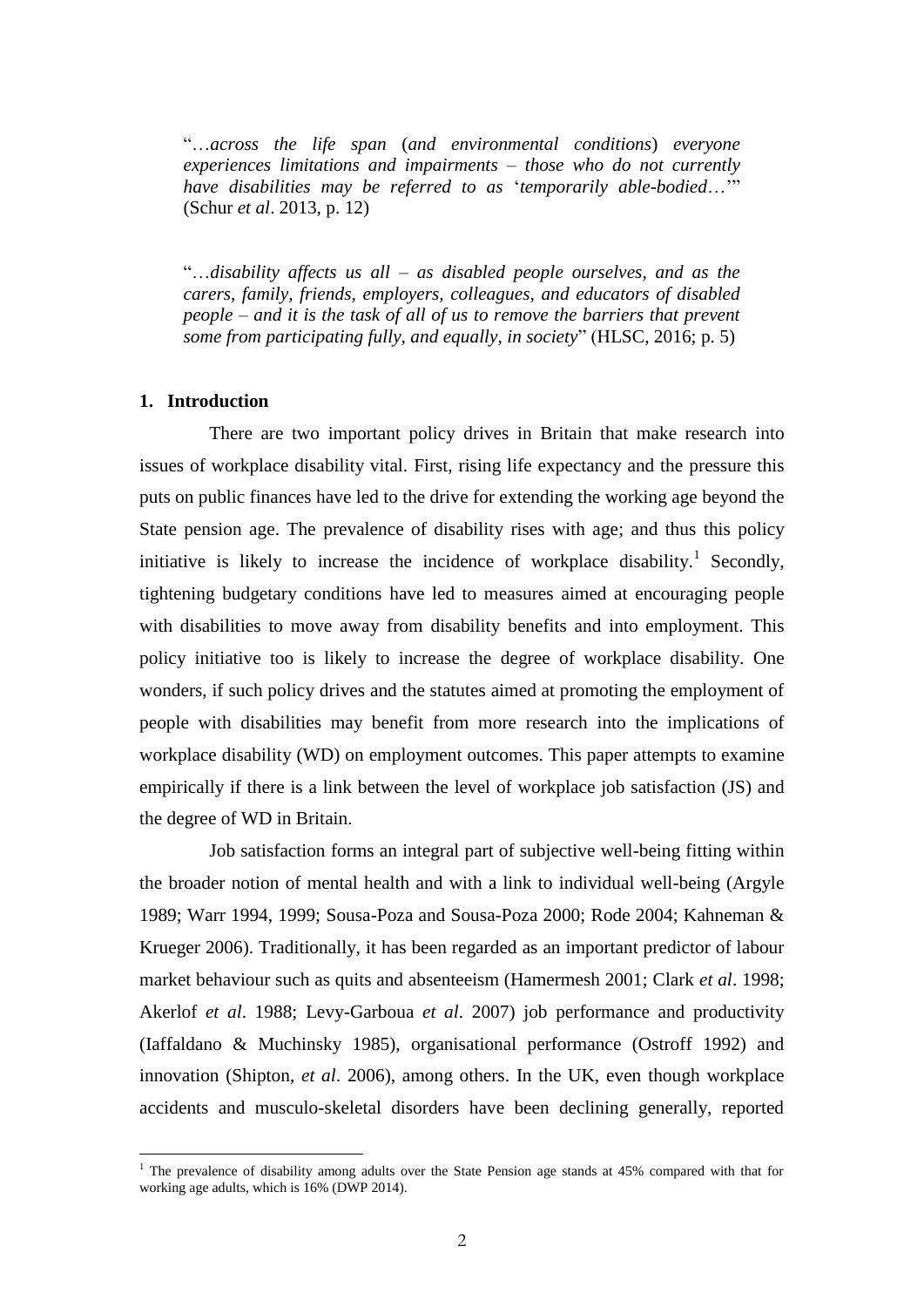"…*across the life span* (*and environmental conditions*) *everyone experiences limitations and impairments* – *those who do not currently have disabilities may be referred to as* '*temporarily able-bodied*…'" (Schur *et al*. 2013, p. 12)

"…*disability affects us all – as disabled people ourselves, and as the carers, family, friends, employers, colleagues, and educators of disabled people – and it is the task of all of us to remove the barriers that prevent some from participating fully, and equally, in society*" (HLSC, 2016; p. 5)

#### **1. Introduction**

 $\overline{a}$ 

There are two important policy drives in Britain that make research into issues of workplace disability vital. First, rising life expectancy and the pressure this puts on public finances have led to the drive for extending the working age beyond the State pension age. The prevalence of disability rises with age; and thus this policy initiative is likely to increase the incidence of workplace disability.<sup>1</sup> Secondly, tightening budgetary conditions have led to measures aimed at encouraging people with disabilities to move away from disability benefits and into employment. This policy initiative too is likely to increase the degree of workplace disability. One wonders, if such policy drives and the statutes aimed at promoting the employment of people with disabilities may benefit from more research into the implications of workplace disability (WD) on employment outcomes. This paper attempts to examine empirically if there is a link between the level of workplace job satisfaction (JS) and the degree of WD in Britain.

Job satisfaction forms an integral part of subjective well-being fitting within the broader notion of mental health and with a link to individual well-being (Argyle 1989; Warr 1994, 1999; Sousa-Poza and Sousa-Poza 2000; Rode 2004; Kahneman & Krueger 2006). Traditionally, it has been regarded as an important predictor of labour market behaviour such as quits and absenteeism (Hamermesh 2001; Clark *et al*. 1998; Akerlof *et al*. 1988; Levy-Garboua *et al*. 2007) job performance and productivity (Iaffaldano & Muchinsky 1985), organisational performance (Ostroff 1992) and innovation (Shipton, *et al*. 2006), among others. In the UK, even though workplace accidents and musculo-skeletal disorders have been declining generally, reported

<sup>&</sup>lt;sup>1</sup> The prevalence of disability among adults over the State Pension age stands at  $45\%$  compared with that for working age adults, which is 16% (DWP 2014).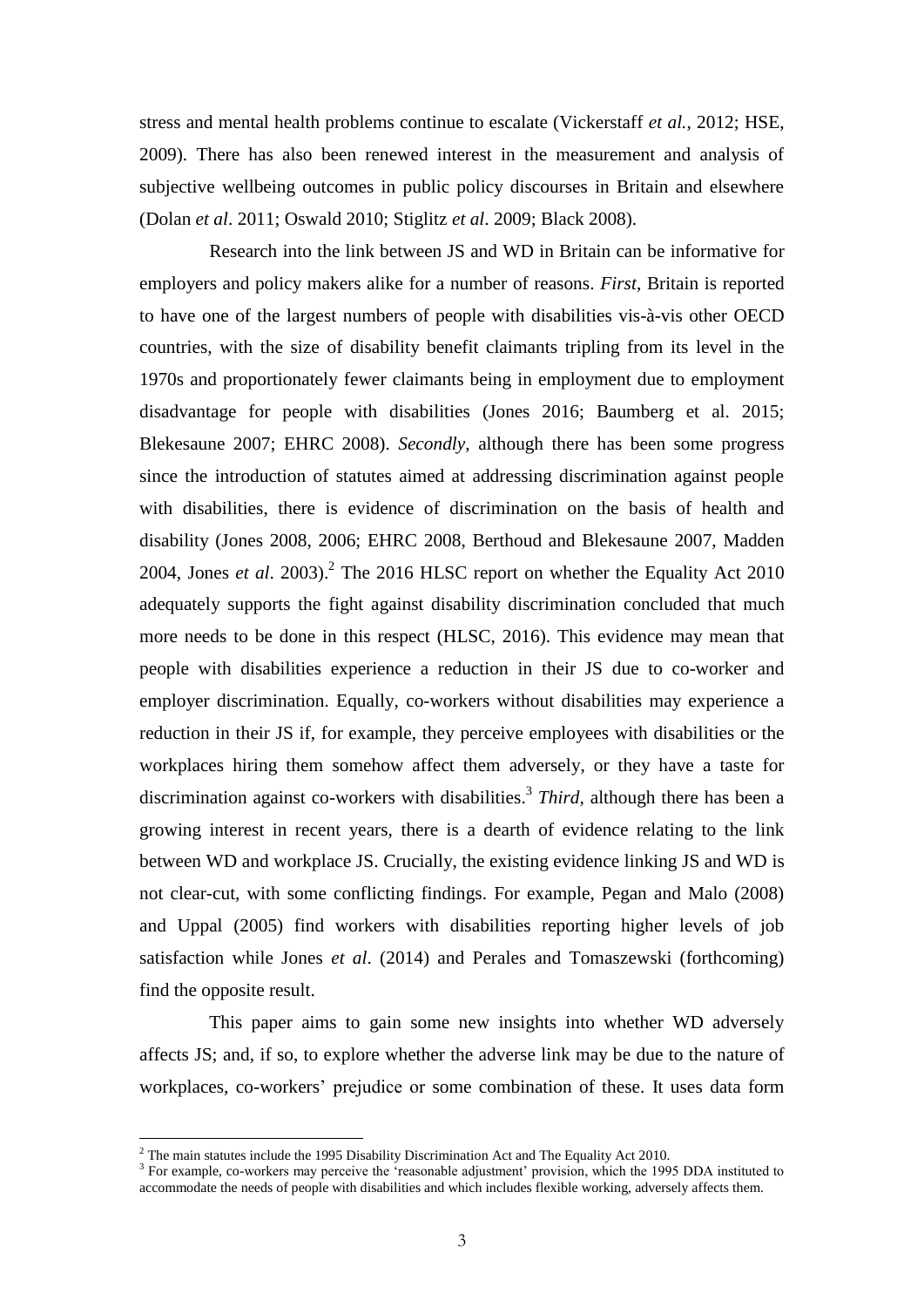stress and mental health problems continue to escalate (Vickerstaff *et al.*, 2012; HSE, 2009). There has also been renewed interest in the measurement and analysis of subjective wellbeing outcomes in public policy discourses in Britain and elsewhere (Dolan *et al*. 2011; Oswald 2010; Stiglitz *et al*. 2009; Black 2008).

Research into the link between JS and WD in Britain can be informative for employers and policy makers alike for a number of reasons. *First*, Britain is reported to have one of the largest numbers of people with disabilities vis-à-vis other OECD countries, with the size of disability benefit claimants tripling from its level in the 1970s and proportionately fewer claimants being in employment due to employment disadvantage for people with disabilities (Jones 2016; Baumberg et al. 2015; Blekesaune 2007; EHRC 2008). *Secondly*, although there has been some progress since the introduction of statutes aimed at addressing discrimination against people with disabilities, there is evidence of discrimination on the basis of health and disability (Jones 2008, 2006; EHRC 2008, Berthoud and Blekesaune 2007, Madden 2004, Jones *et al*. 2003). 2 The 2016 HLSC report on whether the Equality Act 2010 adequately supports the fight against disability discrimination concluded that much more needs to be done in this respect (HLSC, 2016). This evidence may mean that people with disabilities experience a reduction in their JS due to co-worker and employer discrimination. Equally, co-workers without disabilities may experience a reduction in their JS if, for example, they perceive employees with disabilities or the workplaces hiring them somehow affect them adversely, or they have a taste for discrimination against co-workers with disabilities. 3 *Third*, although there has been a growing interest in recent years, there is a dearth of evidence relating to the link between WD and workplace JS. Crucially, the existing evidence linking JS and WD is not clear-cut, with some conflicting findings. For example, Pegan and Malo (2008) and Uppal (2005) find workers with disabilities reporting higher levels of job satisfaction while Jones *et al*. (2014) and Perales and Tomaszewski (forthcoming) find the opposite result.

This paper aims to gain some new insights into whether WD adversely affects JS; and, if so, to explore whether the adverse link may be due to the nature of workplaces, co-workers' prejudice or some combination of these. It uses data form

 $\overline{a}$ 

<sup>&</sup>lt;sup>2</sup> The main statutes include the 1995 Disability Discrimination Act and The Equality Act 2010.

<sup>&</sup>lt;sup>3</sup> For example, co-workers may perceive the 'reasonable adjustment' provision, which the 1995 DDA instituted to accommodate the needs of people with disabilities and which includes flexible working, adversely affects them.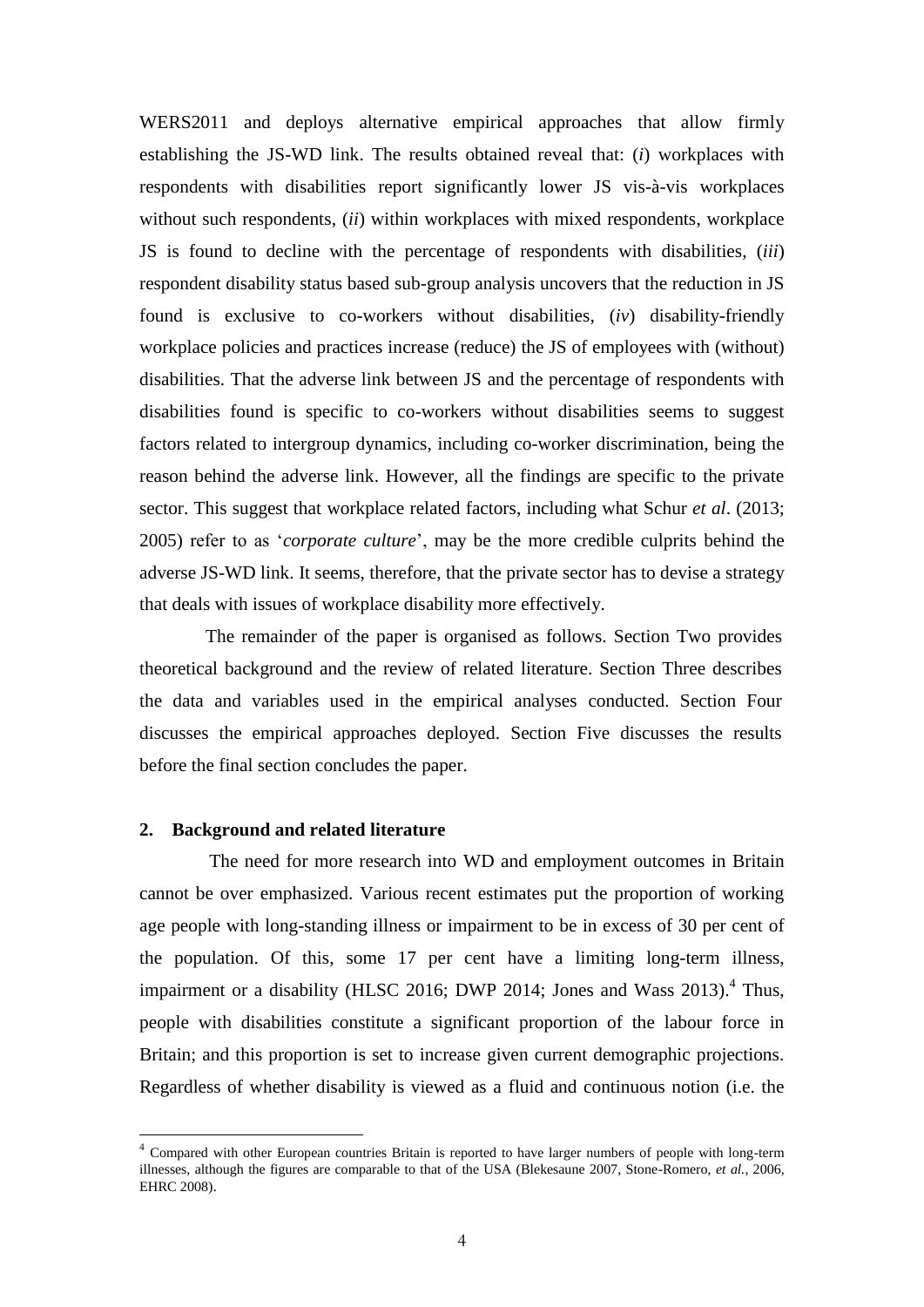WERS2011 and deploys alternative empirical approaches that allow firmly establishing the JS-WD link. The results obtained reveal that: (*i*) workplaces with respondents with disabilities report significantly lower JS vis-à-vis workplaces without such respondents, (*ii*) within workplaces with mixed respondents, workplace JS is found to decline with the percentage of respondents with disabilities, (*iii*) respondent disability status based sub-group analysis uncovers that the reduction in JS found is exclusive to co-workers without disabilities, (*iv*) disability-friendly workplace policies and practices increase (reduce) the JS of employees with (without) disabilities. That the adverse link between JS and the percentage of respondents with disabilities found is specific to co-workers without disabilities seems to suggest factors related to intergroup dynamics, including co-worker discrimination, being the reason behind the adverse link. However, all the findings are specific to the private sector. This suggest that workplace related factors, including what Schur *et al*. (2013; 2005) refer to as '*corporate culture*', may be the more credible culprits behind the adverse JS-WD link. It seems, therefore, that the private sector has to devise a strategy that deals with issues of workplace disability more effectively.

The remainder of the paper is organised as follows. Section Two provides theoretical background and the review of related literature. Section Three describes the data and variables used in the empirical analyses conducted. Section Four discusses the empirical approaches deployed. Section Five discusses the results before the final section concludes the paper.

#### **2. Background and related literature**

 $\overline{a}$ 

The need for more research into WD and employment outcomes in Britain cannot be over emphasized. Various recent estimates put the proportion of working age people with long-standing illness or impairment to be in excess of 30 per cent of the population. Of this, some 17 per cent have a limiting long-term illness, impairment or a disability (HLSC 2016; DWP 2014; Jones and Wass 2013).<sup>4</sup> Thus, people with disabilities constitute a significant proportion of the labour force in Britain; and this proportion is set to increase given current demographic projections. Regardless of whether disability is viewed as a fluid and continuous notion (i.e. the

<sup>&</sup>lt;sup>4</sup> Compared with other European countries Britain is reported to have larger numbers of people with long-term illnesses, although the figures are comparable to that of the USA (Blekesaune 2007, Stone-Romero, *et al.*, 2006, EHRC 2008).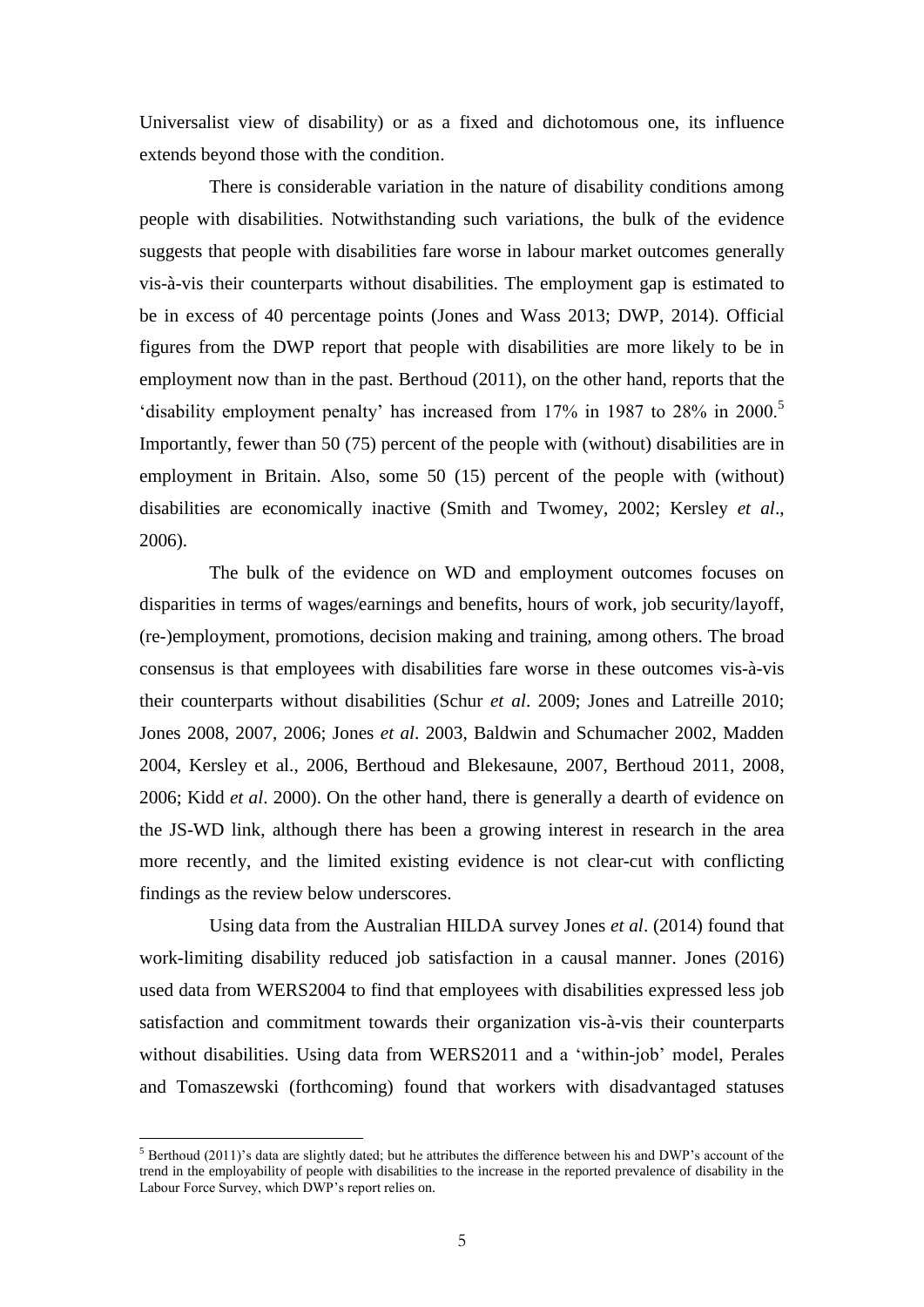Universalist view of disability) or as a fixed and dichotomous one, its influence extends beyond those with the condition.

There is considerable variation in the nature of disability conditions among people with disabilities. Notwithstanding such variations, the bulk of the evidence suggests that people with disabilities fare worse in labour market outcomes generally vis-à-vis their counterparts without disabilities. The employment gap is estimated to be in excess of 40 percentage points (Jones and Wass 2013; DWP, 2014). Official figures from the DWP report that people with disabilities are more likely to be in employment now than in the past. Berthoud (2011), on the other hand, reports that the 'disability employment penalty' has increased from 17% in 1987 to 28% in 2000.<sup>5</sup> Importantly, fewer than 50 (75) percent of the people with (without) disabilities are in employment in Britain. Also, some 50 (15) percent of the people with (without) disabilities are economically inactive (Smith and Twomey, 2002; Kersley *et al*., 2006).

The bulk of the evidence on WD and employment outcomes focuses on disparities in terms of wages/earnings and benefits, hours of work, job security/layoff, (re-)employment, promotions, decision making and training, among others. The broad consensus is that employees with disabilities fare worse in these outcomes vis-à-vis their counterparts without disabilities (Schur *et al*. 2009; Jones and Latreille 2010; Jones 2008, 2007, 2006; Jones *et al*. 2003, Baldwin and Schumacher 2002, Madden 2004, Kersley et al., 2006, Berthoud and Blekesaune, 2007, Berthoud 2011, 2008, 2006; Kidd *et al*. 2000). On the other hand, there is generally a dearth of evidence on the JS-WD link, although there has been a growing interest in research in the area more recently, and the limited existing evidence is not clear-cut with conflicting findings as the review below underscores.

Using data from the Australian HILDA survey Jones *et al*. (2014) found that work-limiting disability reduced job satisfaction in a causal manner. Jones (2016) used data from WERS2004 to find that employees with disabilities expressed less job satisfaction and commitment towards their organization vis-à-vis their counterparts without disabilities. Using data from WERS2011 and a 'within-job' model, Perales and Tomaszewski (forthcoming) found that workers with disadvantaged statuses

 $\overline{a}$ 

 $5$  Berthoud (2011)'s data are slightly dated; but he attributes the difference between his and DWP's account of the trend in the employability of people with disabilities to the increase in the reported prevalence of disability in the Labour Force Survey, which DWP's report relies on.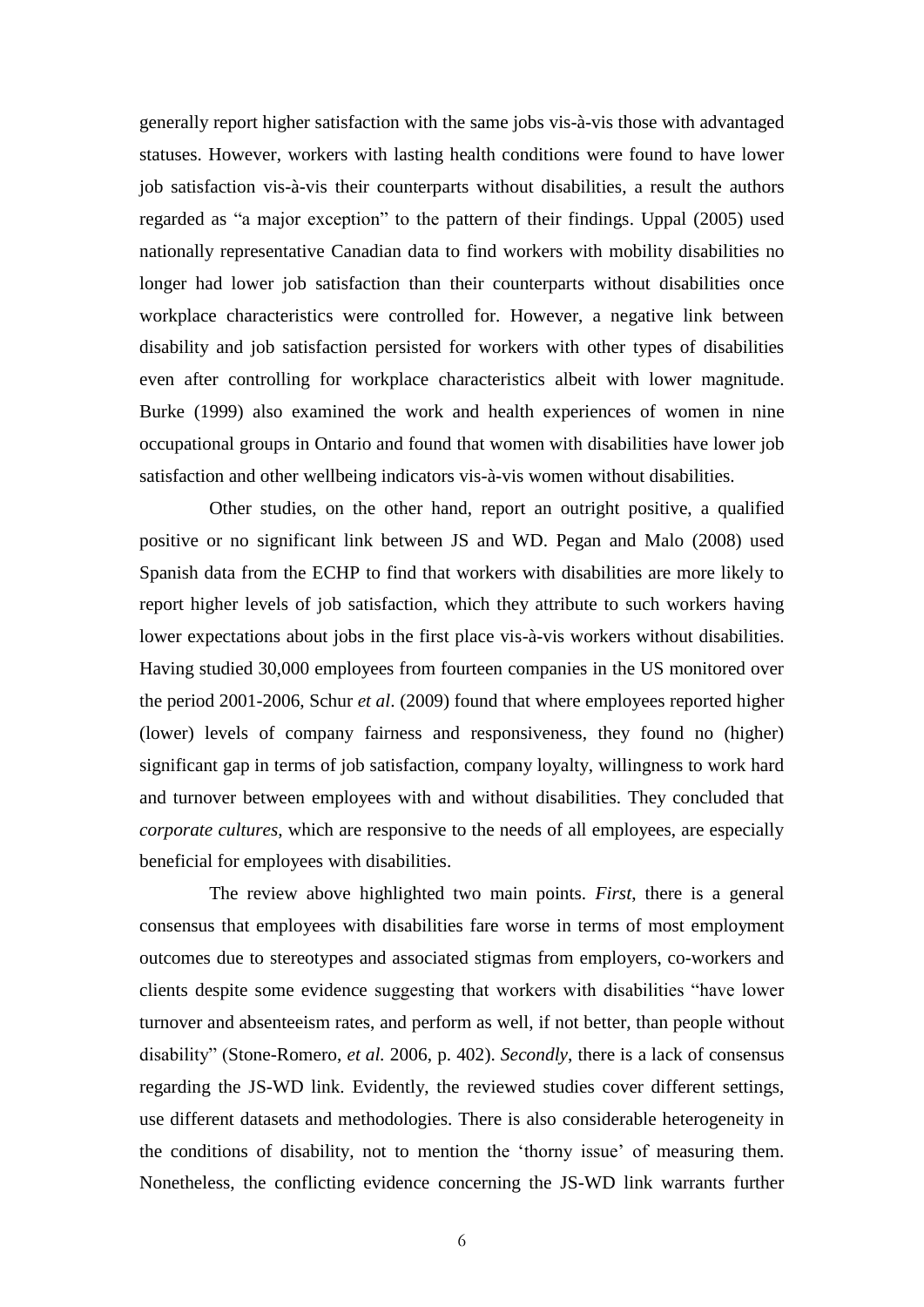generally report higher satisfaction with the same jobs vis-à-vis those with advantaged statuses. However, workers with lasting health conditions were found to have lower job satisfaction vis-à-vis their counterparts without disabilities, a result the authors regarded as "a major exception" to the pattern of their findings. Uppal (2005) used nationally representative Canadian data to find workers with mobility disabilities no longer had lower job satisfaction than their counterparts without disabilities once workplace characteristics were controlled for. However, a negative link between disability and job satisfaction persisted for workers with other types of disabilities even after controlling for workplace characteristics albeit with lower magnitude. Burke (1999) also examined the work and health experiences of women in nine occupational groups in Ontario and found that women with disabilities have lower job satisfaction and other wellbeing indicators vis-à-vis women without disabilities.

Other studies, on the other hand, report an outright positive, a qualified positive or no significant link between JS and WD. Pegan and Malo (2008) used Spanish data from the ECHP to find that workers with disabilities are more likely to report higher levels of job satisfaction, which they attribute to such workers having lower expectations about jobs in the first place vis-à-vis workers without disabilities. Having studied 30,000 employees from fourteen companies in the US monitored over the period 2001-2006, Schur *et al*. (2009) found that where employees reported higher (lower) levels of company fairness and responsiveness, they found no (higher) significant gap in terms of job satisfaction, company loyalty, willingness to work hard and turnover between employees with and without disabilities. They concluded that *corporate cultures*, which are responsive to the needs of all employees, are especially beneficial for employees with disabilities.

The review above highlighted two main points. *First*, there is a general consensus that employees with disabilities fare worse in terms of most employment outcomes due to stereotypes and associated stigmas from employers, co-workers and clients despite some evidence suggesting that workers with disabilities "have lower turnover and absenteeism rates, and perform as well, if not better, than people without disability" (Stone-Romero, *et al.* 2006, p. 402). *Secondly*, there is a lack of consensus regarding the JS-WD link. Evidently, the reviewed studies cover different settings, use different datasets and methodologies. There is also considerable heterogeneity in the conditions of disability, not to mention the 'thorny issue' of measuring them. Nonetheless, the conflicting evidence concerning the JS-WD link warrants further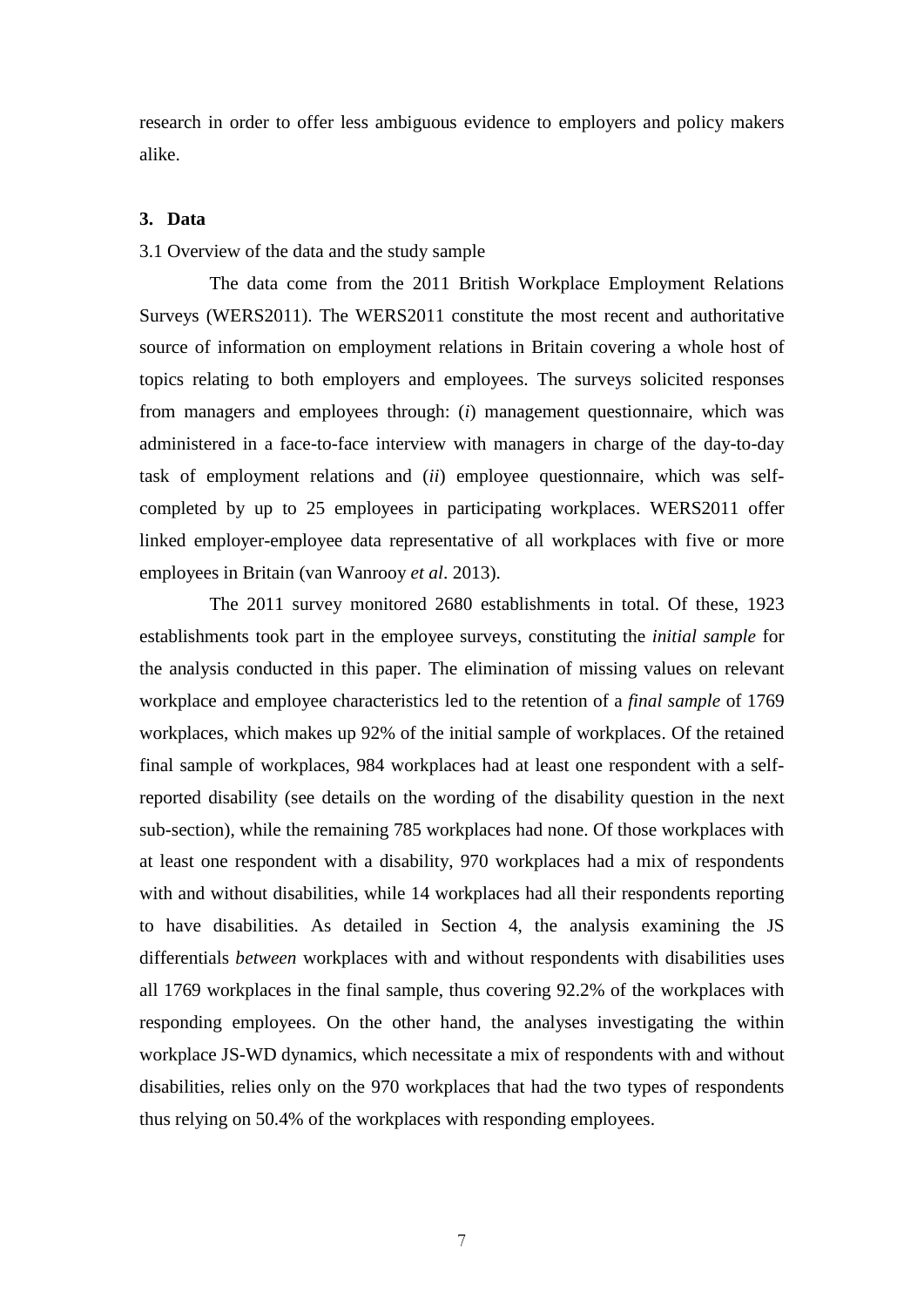research in order to offer less ambiguous evidence to employers and policy makers alike.

#### **3. Data**

3.1 Overview of the data and the study sample

The data come from the 2011 British Workplace Employment Relations Surveys (WERS2011). The WERS2011 constitute the most recent and authoritative source of information on employment relations in Britain covering a whole host of topics relating to both employers and employees. The surveys solicited responses from managers and employees through: (*i*) management questionnaire, which was administered in a face-to-face interview with managers in charge of the day-to-day task of employment relations and (*ii*) employee questionnaire, which was selfcompleted by up to 25 employees in participating workplaces. WERS2011 offer linked employer-employee data representative of all workplaces with five or more employees in Britain (van Wanrooy *et al*. 2013).

The 2011 survey monitored 2680 establishments in total. Of these, 1923 establishments took part in the employee surveys, constituting the *initial sample* for the analysis conducted in this paper. The elimination of missing values on relevant workplace and employee characteristics led to the retention of a *final sample* of 1769 workplaces, which makes up 92% of the initial sample of workplaces. Of the retained final sample of workplaces, 984 workplaces had at least one respondent with a selfreported disability (see details on the wording of the disability question in the next sub-section), while the remaining 785 workplaces had none. Of those workplaces with at least one respondent with a disability, 970 workplaces had a mix of respondents with and without disabilities, while 14 workplaces had all their respondents reporting to have disabilities. As detailed in Section 4, the analysis examining the JS differentials *between* workplaces with and without respondents with disabilities uses all 1769 workplaces in the final sample, thus covering 92.2% of the workplaces with responding employees. On the other hand, the analyses investigating the within workplace JS-WD dynamics, which necessitate a mix of respondents with and without disabilities, relies only on the 970 workplaces that had the two types of respondents thus relying on 50.4% of the workplaces with responding employees.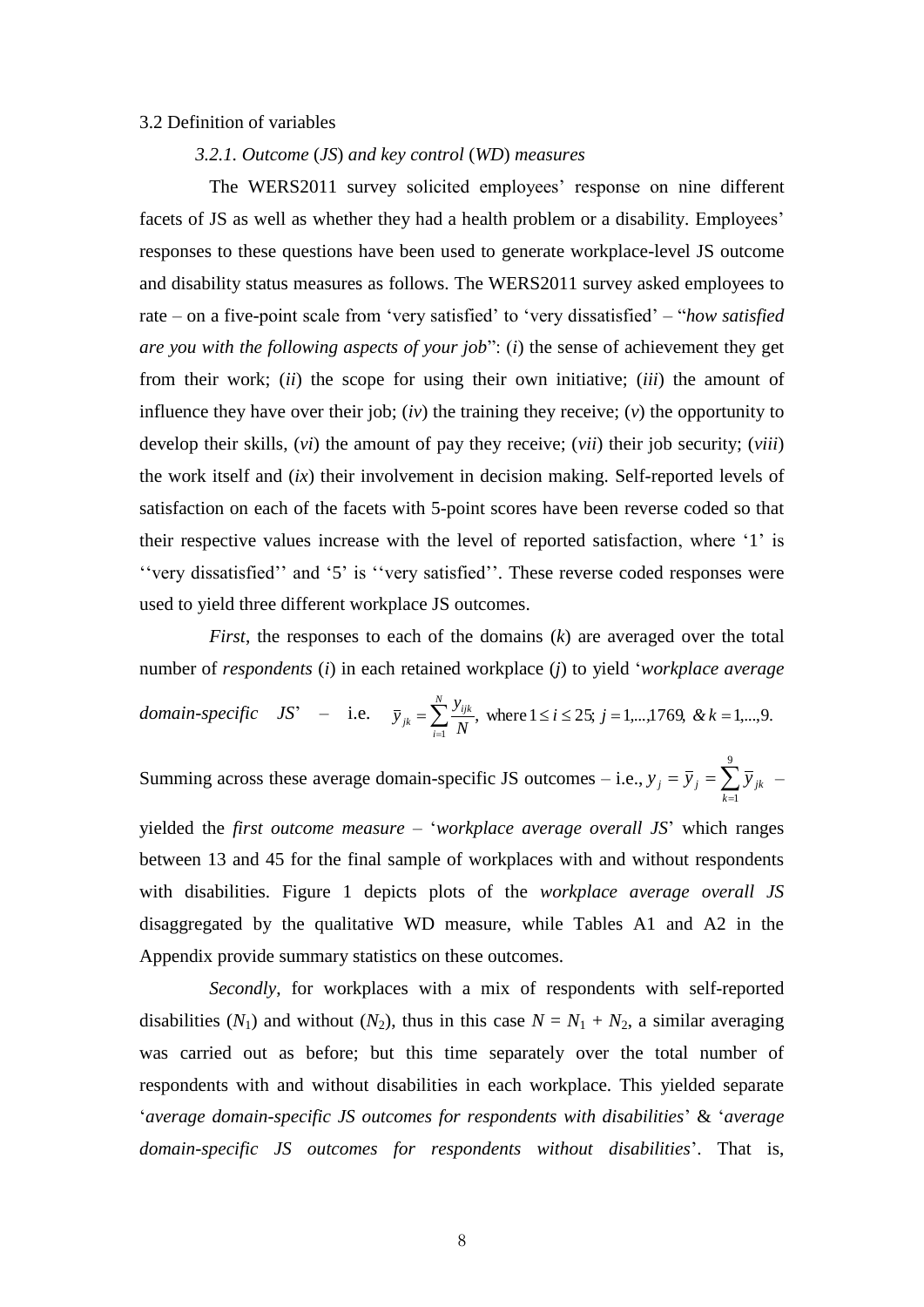#### 3.2 Definition of variables

#### *3.2.1. Outcome* (*JS*) *and key control* (*WD*) *measures*

The WERS2011 survey solicited employees' response on nine different facets of JS as well as whether they had a health problem or a disability. Employees' responses to these questions have been used to generate workplace-level JS outcome and disability status measures as follows. The WERS2011 survey asked employees to rate – on a five-point scale from 'very satisfied' to 'very dissatisfied' – "*how satisfied are you with the following aspects of your job*": (*i*) the sense of achievement they get from their work; (*ii*) the scope for using their own initiative; (*iii*) the amount of influence they have over their job; (*iv*) the training they receive; (*v*) the opportunity to develop their skills, (*vi*) the amount of pay they receive; (*vii*) their job security; (*viii*) the work itself and (*ix*) their involvement in decision making. Self-reported levels of satisfaction on each of the facets with 5-point scores have been reverse coded so that their respective values increase with the level of reported satisfaction, where '1' is ''very dissatisfied'' and '5' is ''very satisfied''. These reverse coded responses were used to yield three different workplace JS outcomes.

*First*, the responses to each of the domains (*k*) are averaged over the total number of *respondents* (*i*) in each retained workplace (*j*) to yield '*workplace average domain-specific*  $JS' -$  i.e.  $\bar{y}_{ik} = \sum_{i}^{y_{ijk}}$ , where  $1 \le i \le 25$ ;  $j = 1,...,1769$ , &  $k = 1,...,9$ .  $=$   $\sum_{i=1}^{\infty} \frac{y_{ijk}}{N}$ , where  $1 \le i \le 25$ ;  $j = 1,...,1769$ , &  $k =$  $i \le 25$ ;  $j = 1,...,1769$ , & k *N y*  $\bar{y}_{ik} = \sum^{N}$ *i ijk jk*

Summing across these average domain-specific JS outcomes – i.e.,  $y_j = \overline{y}_j = \sum_{k=1}^{\infty}$  $=$   $\overline{y}$ <sub>i</sub> = 9  $k = 1$  $y_j = \overline{y}_j = \sum \overline{y}_{jk}$  –

yielded the *first outcome measure* – '*workplace average overall JS*' which ranges between 13 and 45 for the final sample of workplaces with and without respondents with disabilities. Figure 1 depicts plots of the *workplace average overall JS* disaggregated by the qualitative WD measure, while Tables A1 and A2 in the Appendix provide summary statistics on these outcomes.

*Secondly*, for workplaces with a mix of respondents with self-reported disabilities  $(N_1)$  and without  $(N_2)$ , thus in this case  $N = N_1 + N_2$ , a similar averaging was carried out as before; but this time separately over the total number of respondents with and without disabilities in each workplace. This yielded separate '*average domain-specific JS outcomes for respondents with disabilities*' & '*average domain-specific JS outcomes for respondents without disabilities*'. That is,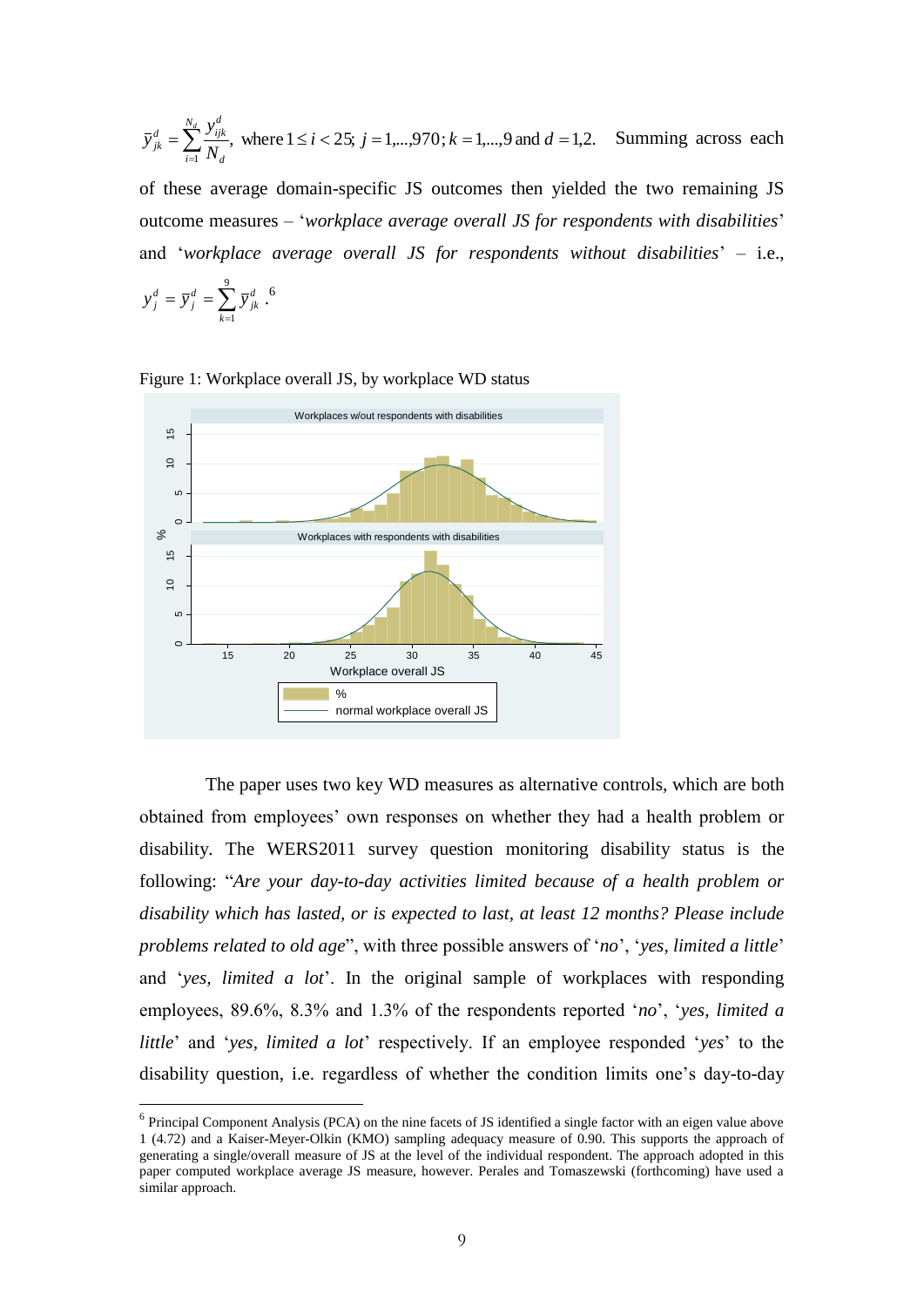$$
\overline{y}_{jk}^{d} = \sum_{i=1}^{N_d} \frac{y_{ijk}^{d}}{N_d}
$$
, where  $1 \le i < 25$ ;  $j = 1,...,970$ ;  $k = 1,...,9$  and  $d = 1,2$ . Summing across each

of these average domain-specific JS outcomes then yielded the two remaining JS outcome measures – '*workplace average overall JS for respondents with disabilities*' and '*workplace average overall JS for respondents without disabilities*' – i.e.,

$$
y_j^d = \overline{y}_j^d = \sum_{k=1}^9 \overline{y}_{jk}^d.
$$
<sup>6</sup>

 $\overline{a}$ 



Figure 1: Workplace overall JS, by workplace WD status

The paper uses two key WD measures as alternative controls, which are both obtained from employees' own responses on whether they had a health problem or disability. The WERS2011 survey question monitoring disability status is the following: "*Are your day-to-day activities limited because of a health problem or disability which has lasted, or is expected to last, at least 12 months? Please include problems related to old age*", with three possible answers of '*no*', '*yes, limited a little*' and '*yes, limited a lot*'. In the original sample of workplaces with responding employees, 89.6%, 8.3% and 1.3% of the respondents reported '*no*', '*yes, limited a little*' and '*yes, limited a lot*' respectively. If an employee responded '*yes*' to the disability question, i.e. regardless of whether the condition limits one's day-to-day

 $6$  Principal Component Analysis (PCA) on the nine facets of JS identified a single factor with an eigen value above 1 (4.72) and a Kaiser-Meyer-Olkin (KMO) sampling adequacy measure of 0.90. This supports the approach of generating a single/overall measure of JS at the level of the individual respondent. The approach adopted in this paper computed workplace average JS measure, however. Perales and Tomaszewski (forthcoming) have used a similar approach.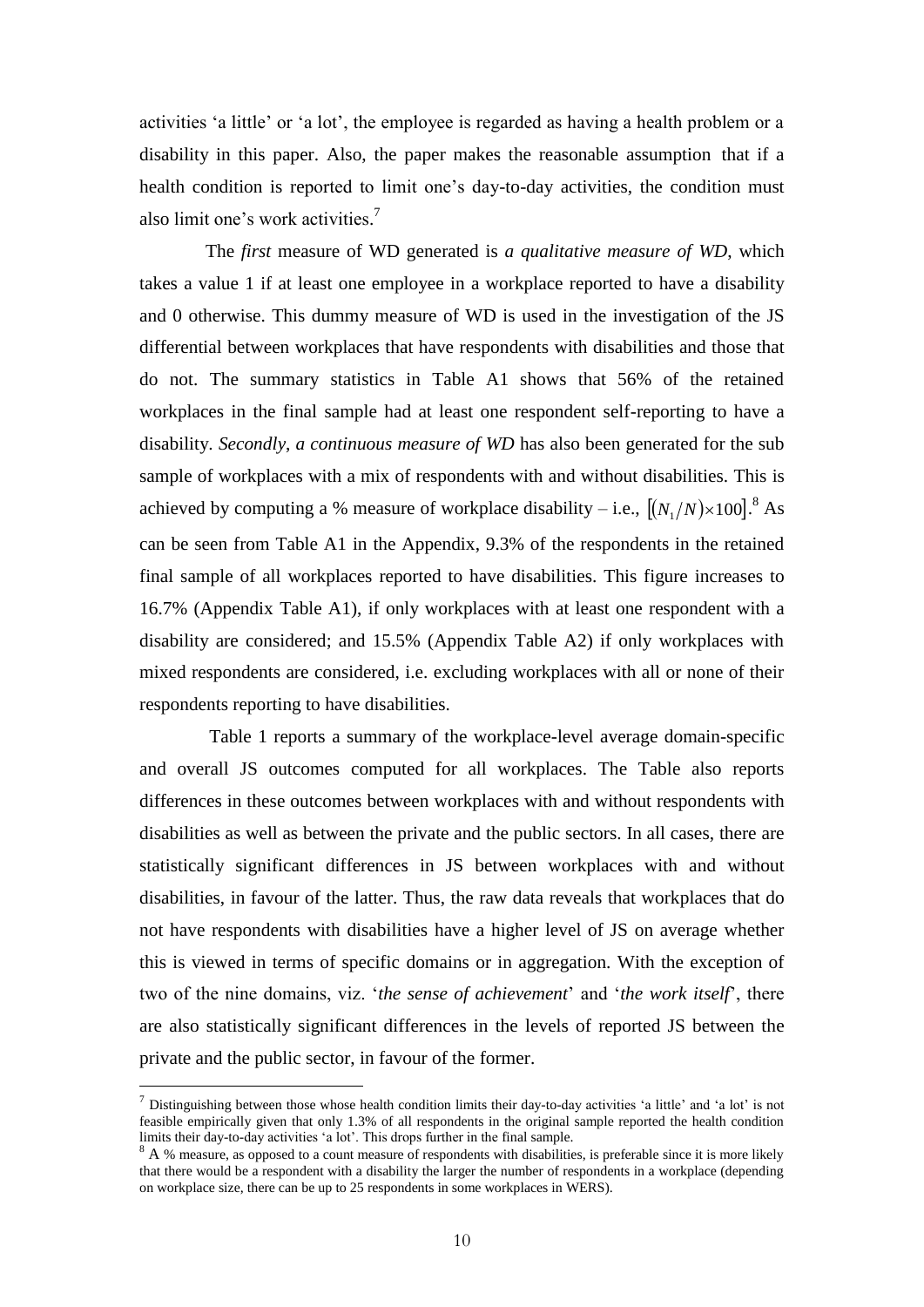activities 'a little' or 'a lot', the employee is regarded as having a health problem or a disability in this paper. Also, the paper makes the reasonable assumption that if a health condition is reported to limit one's day-to-day activities, the condition must also limit one's work activities. 7

The *first* measure of WD generated is *a qualitative measure of WD*, which takes a value 1 if at least one employee in a workplace reported to have a disability and 0 otherwise. This dummy measure of WD is used in the investigation of the JS differential between workplaces that have respondents with disabilities and those that do not. The summary statistics in Table A1 shows that 56% of the retained workplaces in the final sample had at least one respondent self-reporting to have a disability. *Secondly*, *a continuous measure of WD* has also been generated for the sub sample of workplaces with a mix of respondents with and without disabilities. This is achieved by computing a % measure of workplace disability – i.e.,  $[(N_1/N) \times 100]$ .<sup>8</sup> As can be seen from Table A1 in the Appendix, 9.3% of the respondents in the retained final sample of all workplaces reported to have disabilities. This figure increases to 16.7% (Appendix Table A1), if only workplaces with at least one respondent with a disability are considered; and 15.5% (Appendix Table A2) if only workplaces with mixed respondents are considered, i.e. excluding workplaces with all or none of their respondents reporting to have disabilities.

Table 1 reports a summary of the workplace-level average domain-specific and overall JS outcomes computed for all workplaces. The Table also reports differences in these outcomes between workplaces with and without respondents with disabilities as well as between the private and the public sectors. In all cases, there are statistically significant differences in JS between workplaces with and without disabilities, in favour of the latter. Thus, the raw data reveals that workplaces that do not have respondents with disabilities have a higher level of JS on average whether this is viewed in terms of specific domains or in aggregation. With the exception of two of the nine domains, viz. '*the sense of achievement*' and '*the work itself*', there are also statistically significant differences in the levels of reported JS between the private and the public sector, in favour of the former.

 $\overline{a}$ 

<sup>&</sup>lt;sup>7</sup> Distinguishing between those whose health condition limits their day-to-day activities 'a little' and 'a lot' is not feasible empirically given that only 1.3% of all respondents in the original sample reported the health condition limits their day-to-day activities 'a lot'. This drops further in the final sample.

<sup>&</sup>lt;sup>8</sup> A % measure, as opposed to a count measure of respondents with disabilities, is preferable since it is more likely that there would be a respondent with a disability the larger the number of respondents in a workplace (depending on workplace size, there can be up to 25 respondents in some workplaces in WERS).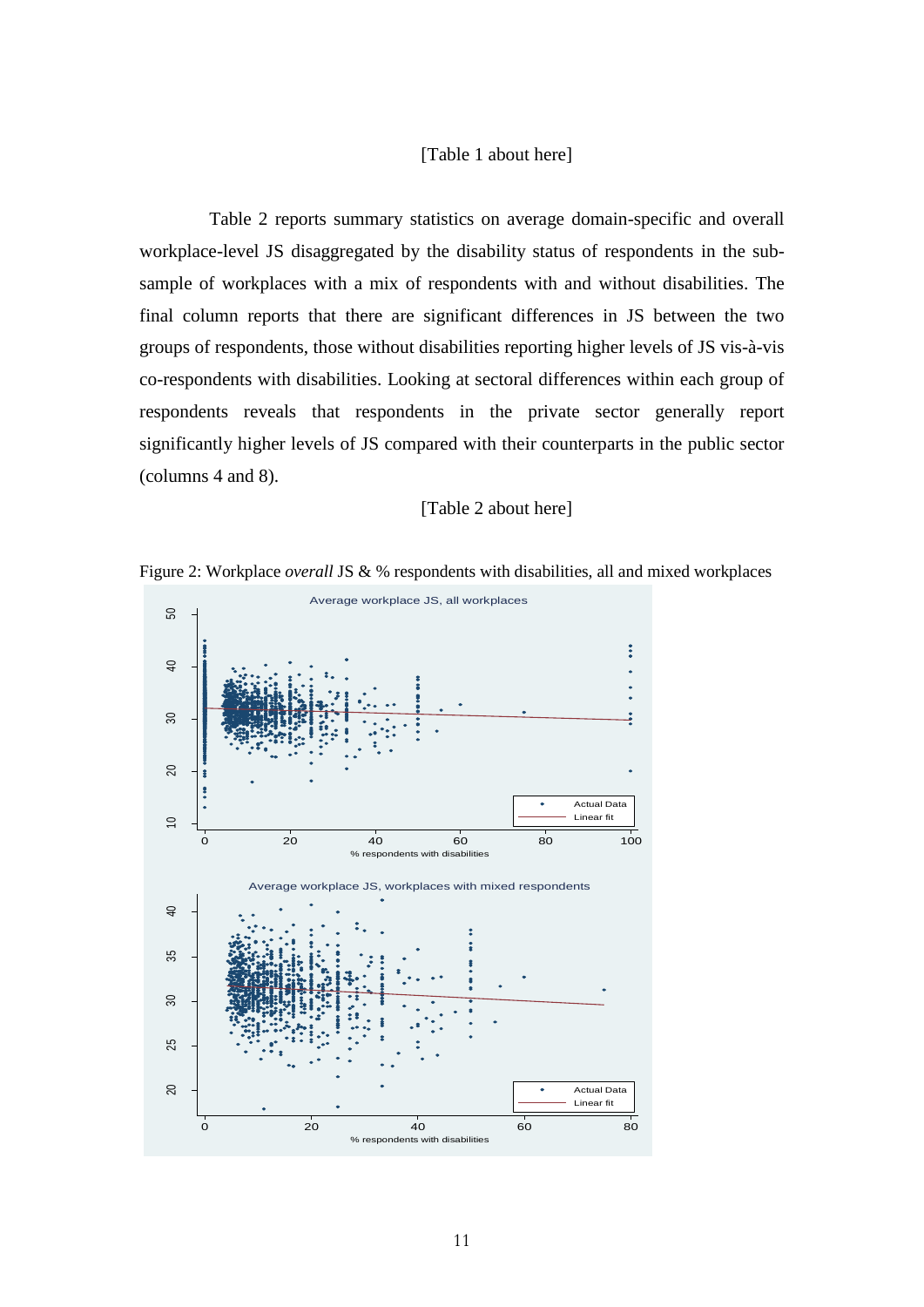#### [Table 1 about here]

Table 2 reports summary statistics on average domain-specific and overall workplace-level JS disaggregated by the disability status of respondents in the subsample of workplaces with a mix of respondents with and without disabilities. The final column reports that there are significant differences in JS between the two groups of respondents, those without disabilities reporting higher levels of JS vis-à-vis co-respondents with disabilities. Looking at sectoral differences within each group of respondents reveals that respondents in the private sector generally report significantly higher levels of JS compared with their counterparts in the public sector (columns 4 and 8).

#### [Table 2 about here]



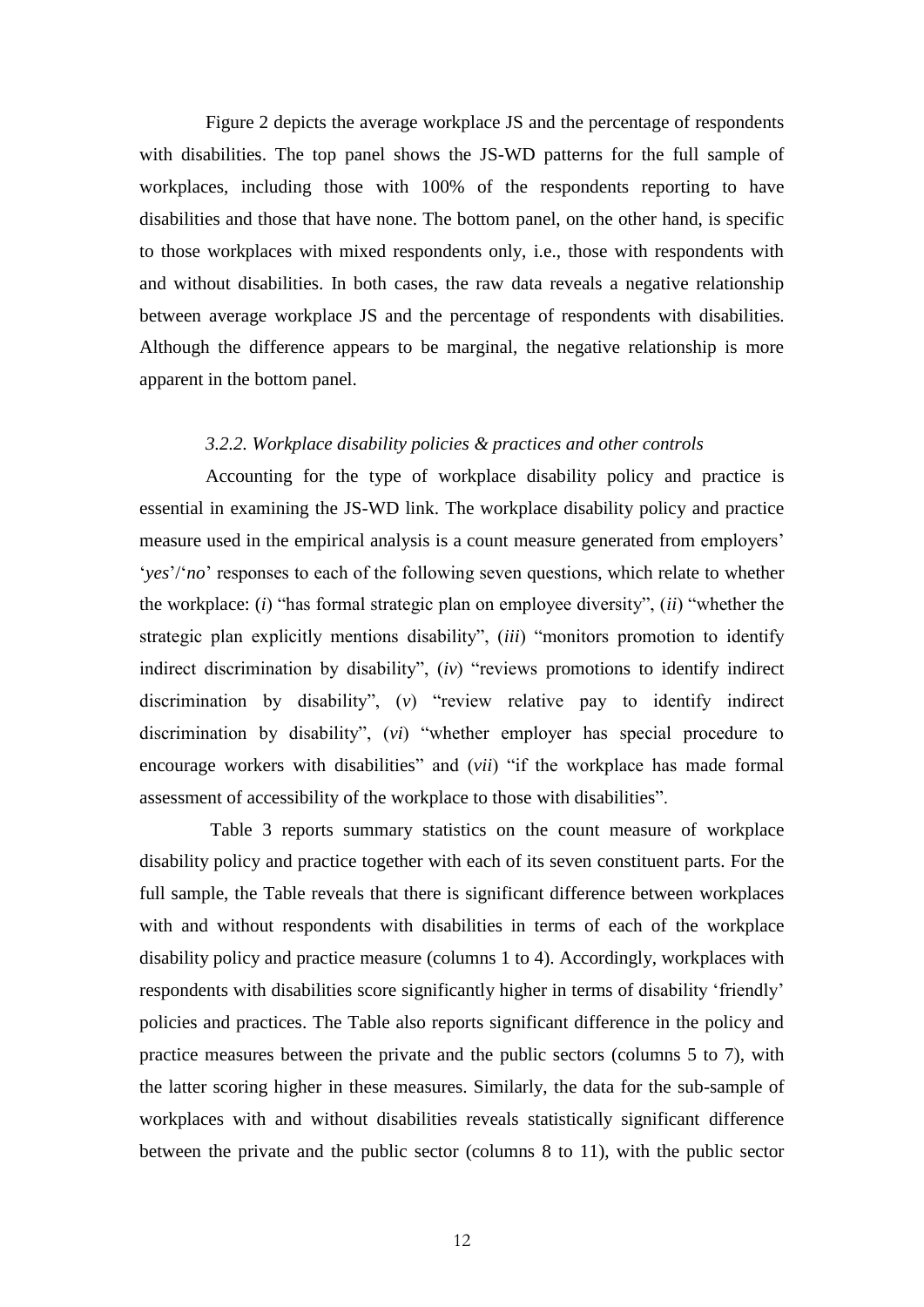Figure 2 depicts the average workplace JS and the percentage of respondents with disabilities. The top panel shows the JS-WD patterns for the full sample of workplaces, including those with 100% of the respondents reporting to have disabilities and those that have none. The bottom panel, on the other hand, is specific to those workplaces with mixed respondents only, i.e., those with respondents with and without disabilities. In both cases, the raw data reveals a negative relationship between average workplace JS and the percentage of respondents with disabilities. Although the difference appears to be marginal, the negative relationship is more apparent in the bottom panel.

#### *3.2.2. Workplace disability policies & practices and other controls*

Accounting for the type of workplace disability policy and practice is essential in examining the JS-WD link. The workplace disability policy and practice measure used in the empirical analysis is a count measure generated from employers' '*yes*'/'*no*' responses to each of the following seven questions, which relate to whether the workplace: (*i*) "has formal strategic plan on employee diversity", (*ii*) "whether the strategic plan explicitly mentions disability", (*iii*) "monitors promotion to identify indirect discrimination by disability", (*iv*) "reviews promotions to identify indirect discrimination by disability", (*v*) "review relative pay to identify indirect discrimination by disability", (*vi*) "whether employer has special procedure to encourage workers with disabilities" and *(vii)* "if the workplace has made formal assessment of accessibility of the workplace to those with disabilities".

Table 3 reports summary statistics on the count measure of workplace disability policy and practice together with each of its seven constituent parts. For the full sample, the Table reveals that there is significant difference between workplaces with and without respondents with disabilities in terms of each of the workplace disability policy and practice measure (columns 1 to 4). Accordingly, workplaces with respondents with disabilities score significantly higher in terms of disability 'friendly' policies and practices. The Table also reports significant difference in the policy and practice measures between the private and the public sectors (columns 5 to 7), with the latter scoring higher in these measures. Similarly, the data for the sub-sample of workplaces with and without disabilities reveals statistically significant difference between the private and the public sector (columns 8 to 11), with the public sector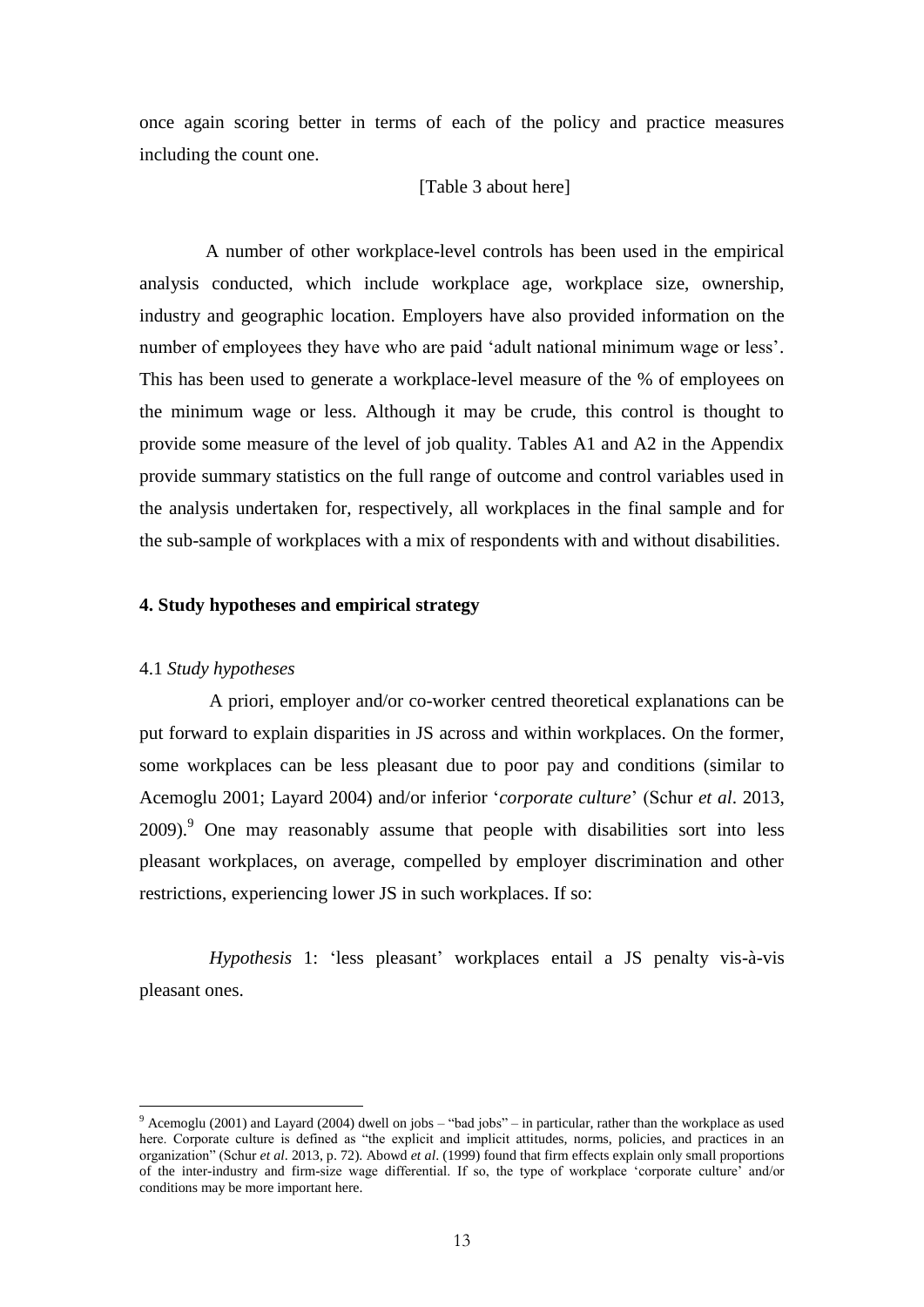once again scoring better in terms of each of the policy and practice measures including the count one.

#### [Table 3 about here]

A number of other workplace-level controls has been used in the empirical analysis conducted, which include workplace age, workplace size, ownership, industry and geographic location. Employers have also provided information on the number of employees they have who are paid 'adult national minimum wage or less'. This has been used to generate a workplace-level measure of the % of employees on the minimum wage or less. Although it may be crude, this control is thought to provide some measure of the level of job quality. Tables A1 and A2 in the Appendix provide summary statistics on the full range of outcome and control variables used in the analysis undertaken for, respectively, all workplaces in the final sample and for the sub-sample of workplaces with a mix of respondents with and without disabilities.

#### **4. Study hypotheses and empirical strategy**

#### 4.1 *Study hypotheses*

 $\overline{a}$ 

A priori, employer and/or co-worker centred theoretical explanations can be put forward to explain disparities in JS across and within workplaces. On the former, some workplaces can be less pleasant due to poor pay and conditions (similar to Acemoglu 2001; Layard 2004) and/or inferior '*corporate culture*' (Schur *et al*. 2013, 2009).<sup>9</sup> One may reasonably assume that people with disabilities sort into less pleasant workplaces, on average, compelled by employer discrimination and other restrictions, experiencing lower JS in such workplaces. If so:

*Hypothesis* 1: 'less pleasant' workplaces entail a JS penalty vis-à-vis pleasant ones.

 $9$  Acemoglu (2001) and Layard (2004) dwell on jobs – "bad jobs" – in particular, rather than the workplace as used here. Corporate culture is defined as "the explicit and implicit attitudes, norms, policies, and practices in an organization" (Schur *et al*. 2013, p. 72). Abowd *et al*. (1999) found that firm effects explain only small proportions of the inter-industry and firm-size wage differential. If so, the type of workplace 'corporate culture' and/or conditions may be more important here.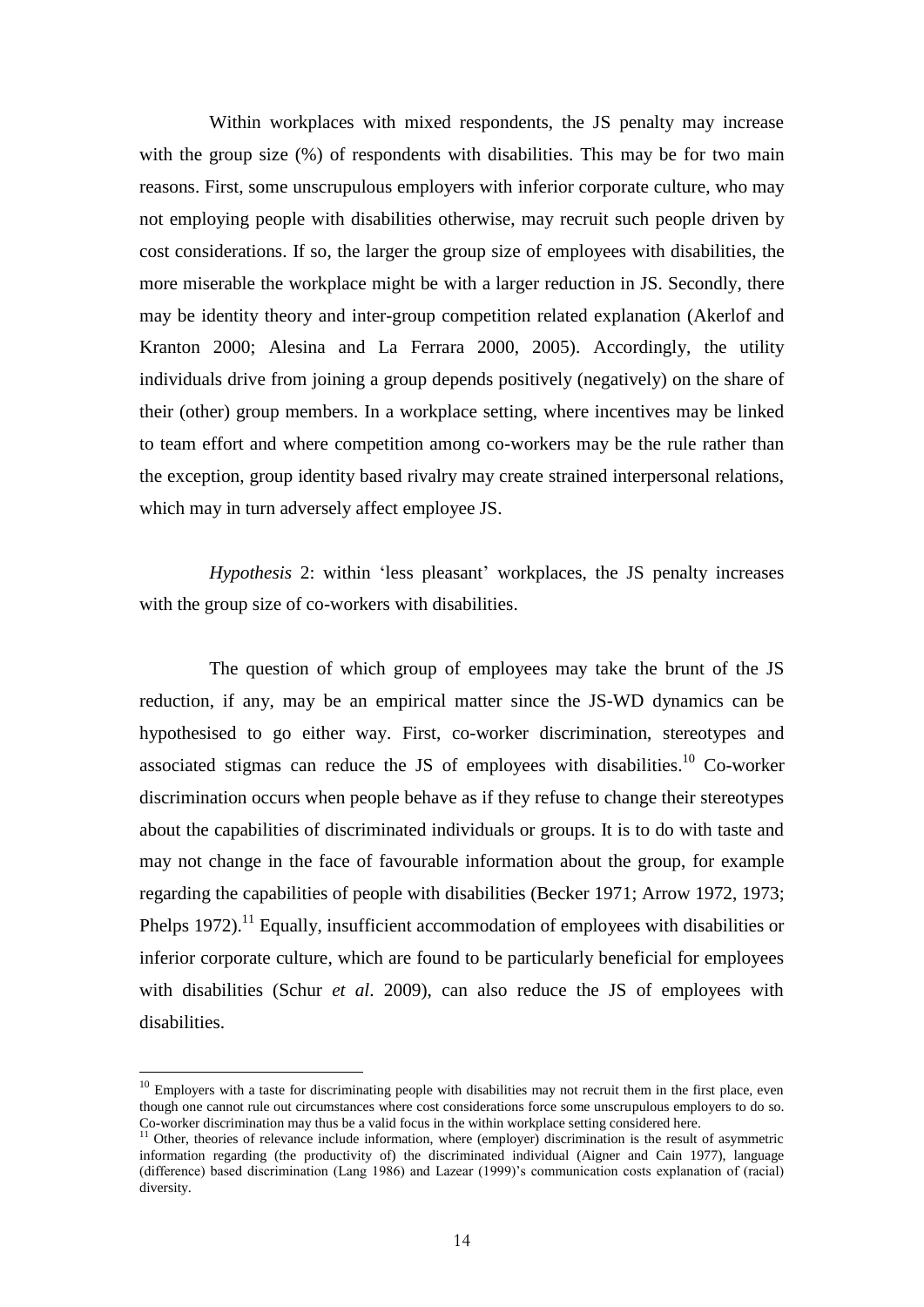Within workplaces with mixed respondents, the JS penalty may increase with the group size  $(\%)$  of respondents with disabilities. This may be for two main reasons. First, some unscrupulous employers with inferior corporate culture, who may not employing people with disabilities otherwise, may recruit such people driven by cost considerations. If so, the larger the group size of employees with disabilities, the more miserable the workplace might be with a larger reduction in JS. Secondly, there may be identity theory and inter-group competition related explanation (Akerlof and Kranton 2000; Alesina and La Ferrara 2000, 2005). Accordingly, the utility individuals drive from joining a group depends positively (negatively) on the share of their (other) group members. In a workplace setting, where incentives may be linked to team effort and where competition among co-workers may be the rule rather than the exception, group identity based rivalry may create strained interpersonal relations, which may in turn adversely affect employee JS.

*Hypothesis* 2: within 'less pleasant' workplaces, the JS penalty increases with the group size of co-workers with disabilities.

The question of which group of employees may take the brunt of the JS reduction, if any, may be an empirical matter since the JS-WD dynamics can be hypothesised to go either way. First, co-worker discrimination, stereotypes and associated stigmas can reduce the JS of employees with disabilities.<sup>10</sup> Co-worker discrimination occurs when people behave as if they refuse to change their stereotypes about the capabilities of discriminated individuals or groups. It is to do with taste and may not change in the face of favourable information about the group, for example regarding the capabilities of people with disabilities (Becker 1971; Arrow 1972, 1973; Phelps  $1972$ ).<sup>11</sup> Equally, insufficient accommodation of employees with disabilities or inferior corporate culture, which are found to be particularly beneficial for employees with disabilities (Schur *et al*. 2009), can also reduce the JS of employees with disabilities.

 $\overline{a}$ 

 $10$  Employers with a taste for discriminating people with disabilities may not recruit them in the first place, even though one cannot rule out circumstances where cost considerations force some unscrupulous employers to do so. Co-worker discrimination may thus be a valid focus in the within workplace setting considered here.

 $11$  Other, theories of relevance include information, where (employer) discrimination is the result of asymmetric information regarding (the productivity of) the discriminated individual (Aigner and Cain 1977), language (difference) based discrimination (Lang 1986) and Lazear (1999)'s communication costs explanation of (racial) diversity.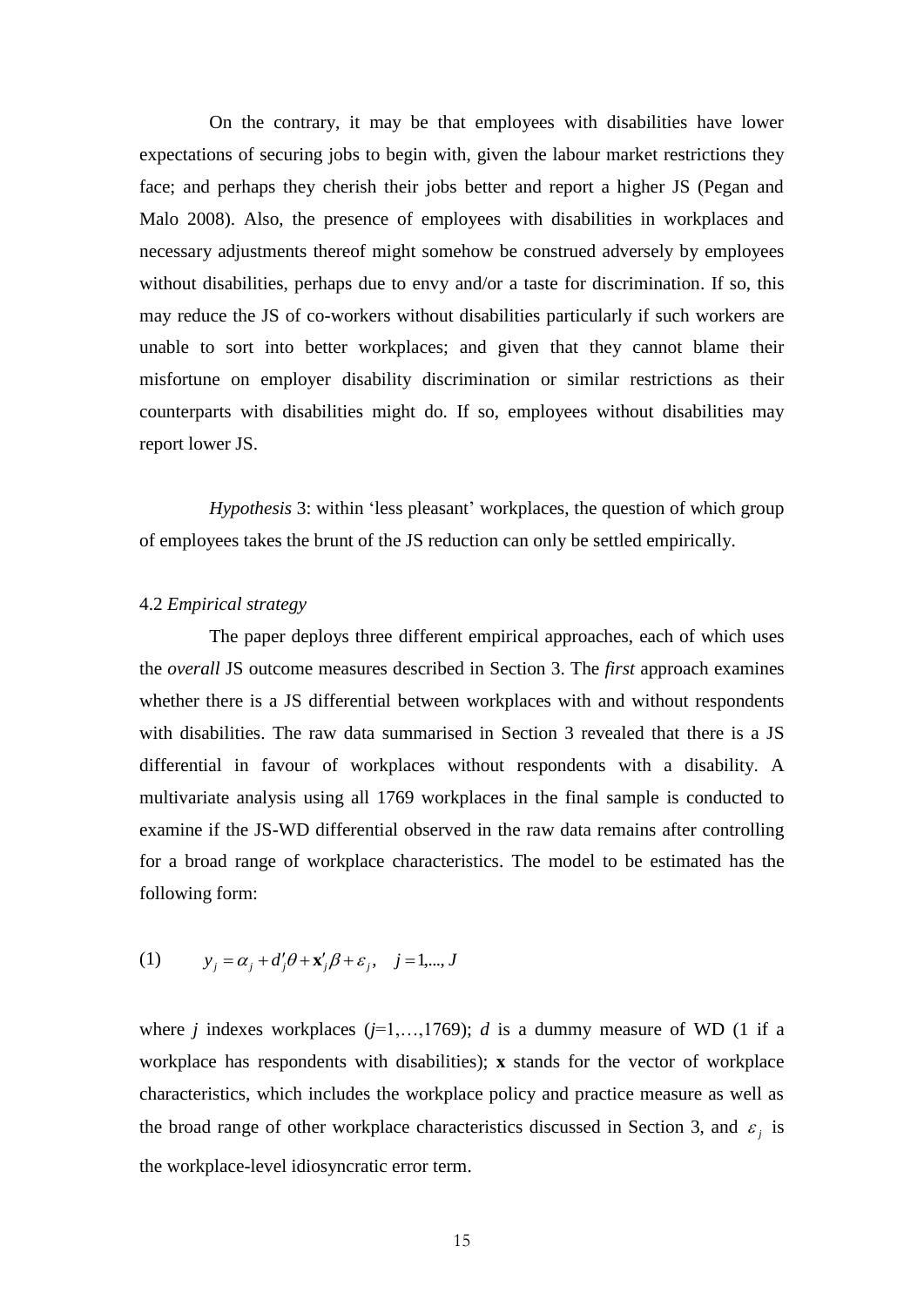On the contrary, it may be that employees with disabilities have lower expectations of securing jobs to begin with, given the labour market restrictions they face; and perhaps they cherish their jobs better and report a higher JS (Pegan and Malo 2008). Also, the presence of employees with disabilities in workplaces and necessary adjustments thereof might somehow be construed adversely by employees without disabilities, perhaps due to envy and/or a taste for discrimination. If so, this may reduce the JS of co-workers without disabilities particularly if such workers are unable to sort into better workplaces; and given that they cannot blame their misfortune on employer disability discrimination or similar restrictions as their counterparts with disabilities might do. If so, employees without disabilities may report lower JS.

*Hypothesis* 3: within 'less pleasant' workplaces, the question of which group of employees takes the brunt of the JS reduction can only be settled empirically.

#### 4.2 *Empirical strategy*

The paper deploys three different empirical approaches, each of which uses the *overall* JS outcome measures described in Section 3. The *first* approach examines whether there is a JS differential between workplaces with and without respondents with disabilities. The raw data summarised in Section 3 revealed that there is a JS differential in favour of workplaces without respondents with a disability. A multivariate analysis using all 1769 workplaces in the final sample is conducted to examine if the JS-WD differential observed in the raw data remains after controlling for a broad range of workplace characteristics. The model to be estimated has the following form:

(1) 
$$
y_j = \alpha_j + d'_j \theta + \mathbf{x}'_j \beta + \varepsilon_j, \quad j = 1, ..., J
$$

where *j* indexes workplaces ( $j=1,...,1769$ ); *d* is a dummy measure of WD (1 if a workplace has respondents with disabilities); **x** stands for the vector of workplace characteristics, which includes the workplace policy and practice measure as well as the broad range of other workplace characteristics discussed in Section 3, and  $\varepsilon_j$  is the workplace-level idiosyncratic error term.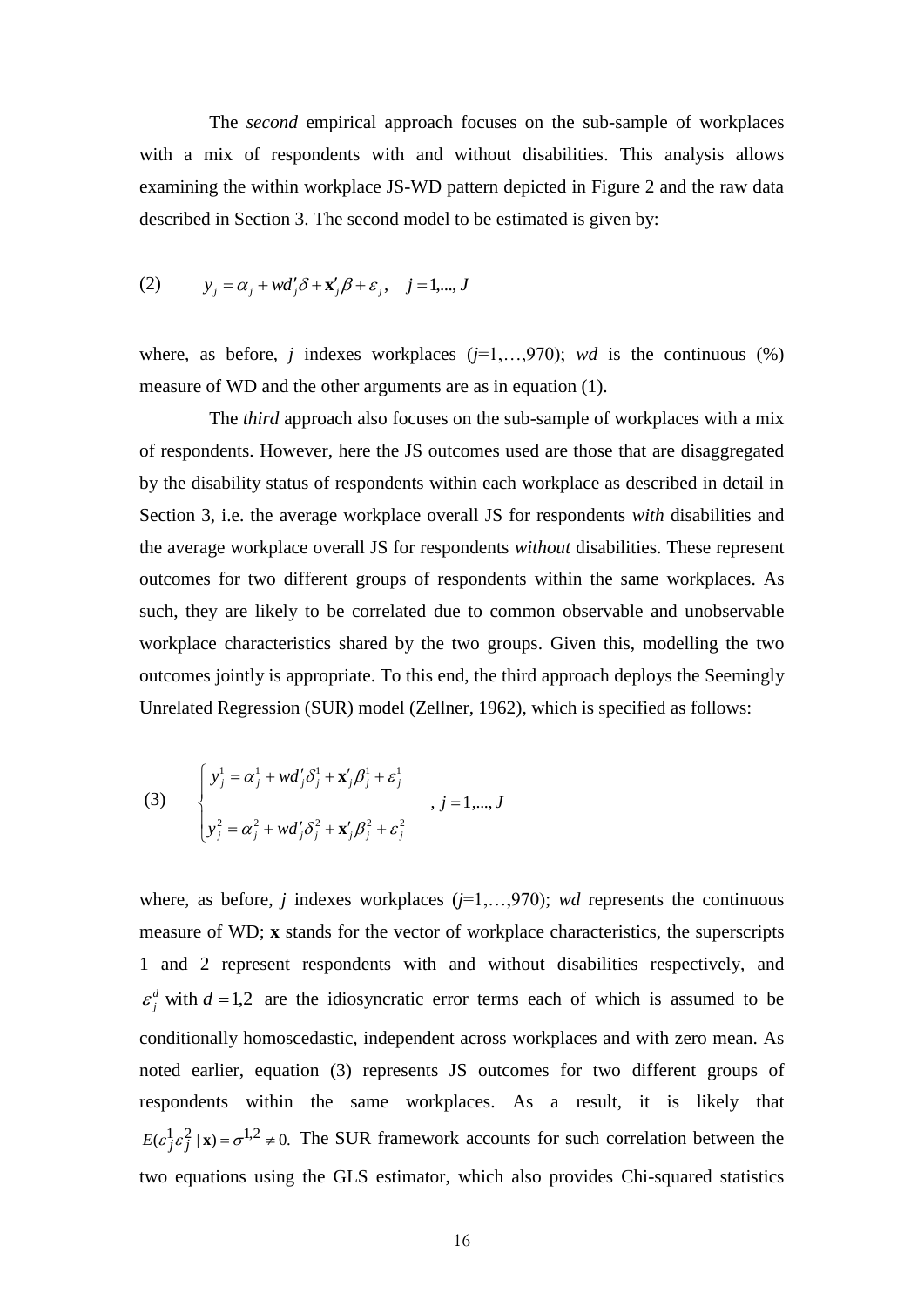The *second* empirical approach focuses on the sub-sample of workplaces with a mix of respondents with and without disabilities. This analysis allows examining the within workplace JS-WD pattern depicted in Figure 2 and the raw data described in Section 3. The second model to be estimated is given by:

(2) 
$$
y_j = \alpha_j + wd'_j \delta + \mathbf{x}'_j \beta + \varepsilon_j, \quad j = 1, ..., J
$$

where, as before, *j* indexes workplaces  $(j=1,...,970)$ ; *wd* is the continuous (%) measure of WD and the other arguments are as in equation (1).

The *third* approach also focuses on the sub-sample of workplaces with a mix of respondents. However, here the JS outcomes used are those that are disaggregated by the disability status of respondents within each workplace as described in detail in Section 3, i.e. the average workplace overall JS for respondents *with* disabilities and the average workplace overall JS for respondents *without* disabilities. These represent outcomes for two different groups of respondents within the same workplaces. As such, they are likely to be correlated due to common observable and unobservable workplace characteristics shared by the two groups. Given this, modelling the two outcomes jointly is appropriate. To this end, the third approach deploys the Seemingly Unrelated Regression (SUR) model (Zellner, 1962), which is specified as follows:

(3) 
$$
\begin{cases} y_j^1 = \alpha_j^1 + wd_j' \delta_j^1 + \mathbf{x}_j' \beta_j^1 + \varepsilon_j^1 \\ y_j^2 = \alpha_j^2 + wd_j' \delta_j^2 + \mathbf{x}_j' \beta_j^2 + \varepsilon_j^2 \end{cases}, j = 1,..., J
$$

where, as before, *j* indexes workplaces  $(j=1,...,970)$ ; *wd* represents the continuous measure of WD; **x** stands for the vector of workplace characteristics, the superscripts 1 and 2 represent respondents with and without disabilities respectively, and  $\frac{d}{i}$  with  $d = 1,2$  $\varepsilon_j^d$  with  $d = 1,2$  are the idiosyncratic error terms each of which is assumed to be conditionally homoscedastic, independent across workplaces and with zero mean. As noted earlier, equation (3) represents JS outcomes for two different groups of respondents within the same workplaces. As a result, it is likely that  $E(\epsilon_j^1 \epsilon_j^2 | \mathbf{x}) = \sigma^{1,2} \neq 0$ . The SUR framework accounts for such correlation between the two equations using the GLS estimator, which also provides Chi-squared statistics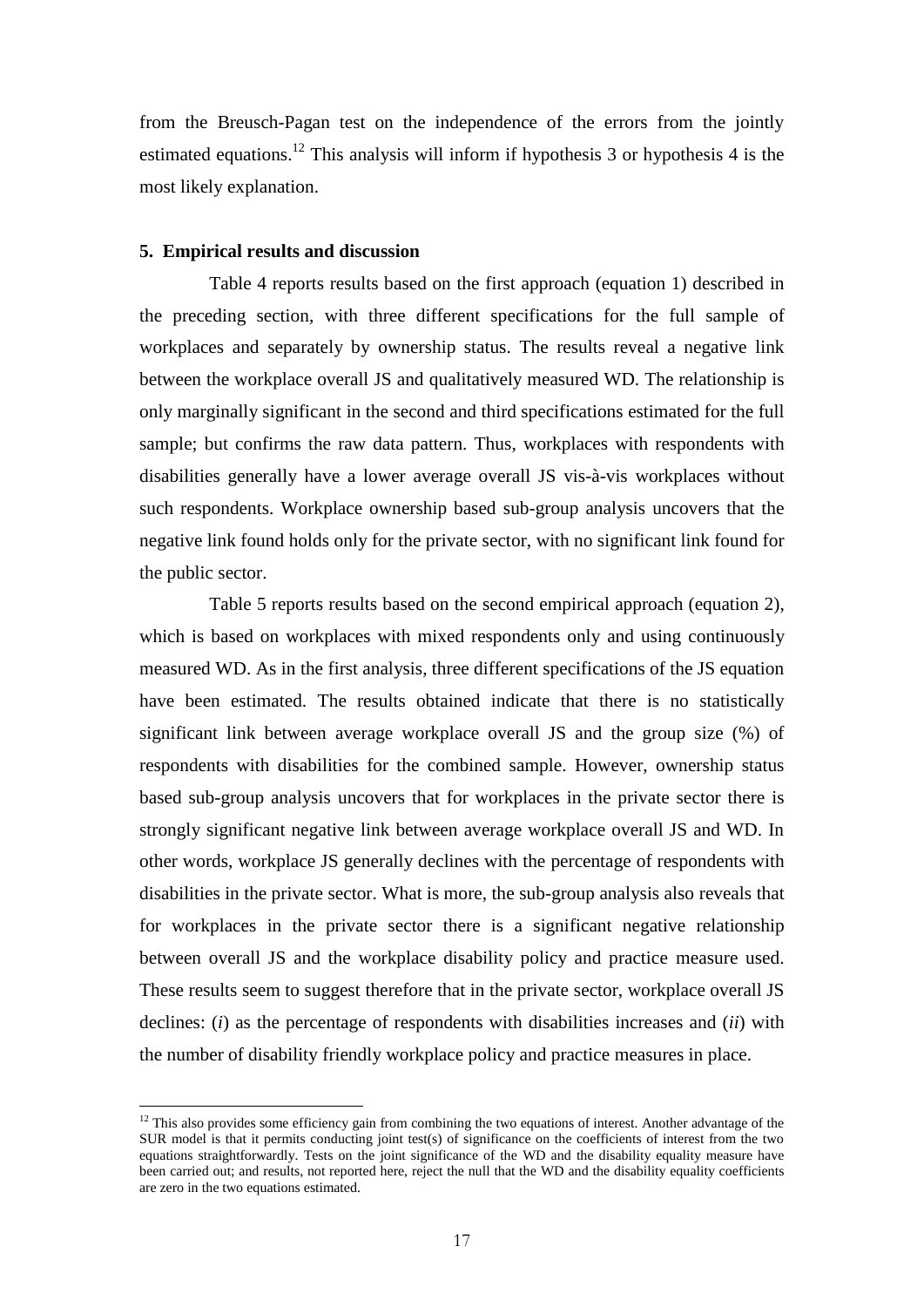from the Breusch-Pagan test on the independence of the errors from the jointly estimated equations.<sup>12</sup> This analysis will inform if hypothesis 3 or hypothesis 4 is the most likely explanation.

#### **5. Empirical results and discussion**

 $\overline{a}$ 

Table 4 reports results based on the first approach (equation 1) described in the preceding section, with three different specifications for the full sample of workplaces and separately by ownership status. The results reveal a negative link between the workplace overall JS and qualitatively measured WD. The relationship is only marginally significant in the second and third specifications estimated for the full sample; but confirms the raw data pattern. Thus, workplaces with respondents with disabilities generally have a lower average overall JS vis-à-vis workplaces without such respondents. Workplace ownership based sub-group analysis uncovers that the negative link found holds only for the private sector, with no significant link found for the public sector.

Table 5 reports results based on the second empirical approach (equation 2), which is based on workplaces with mixed respondents only and using continuously measured WD. As in the first analysis, three different specifications of the JS equation have been estimated. The results obtained indicate that there is no statistically significant link between average workplace overall JS and the group size (%) of respondents with disabilities for the combined sample. However, ownership status based sub-group analysis uncovers that for workplaces in the private sector there is strongly significant negative link between average workplace overall JS and WD. In other words, workplace JS generally declines with the percentage of respondents with disabilities in the private sector. What is more, the sub-group analysis also reveals that for workplaces in the private sector there is a significant negative relationship between overall JS and the workplace disability policy and practice measure used. These results seem to suggest therefore that in the private sector, workplace overall JS declines: (*i*) as the percentage of respondents with disabilities increases and (*ii*) with the number of disability friendly workplace policy and practice measures in place.

 $12$  This also provides some efficiency gain from combining the two equations of interest. Another advantage of the SUR model is that it permits conducting joint test(s) of significance on the coefficients of interest from the two equations straightforwardly. Tests on the joint significance of the WD and the disability equality measure have been carried out; and results, not reported here, reject the null that the WD and the disability equality coefficients are zero in the two equations estimated.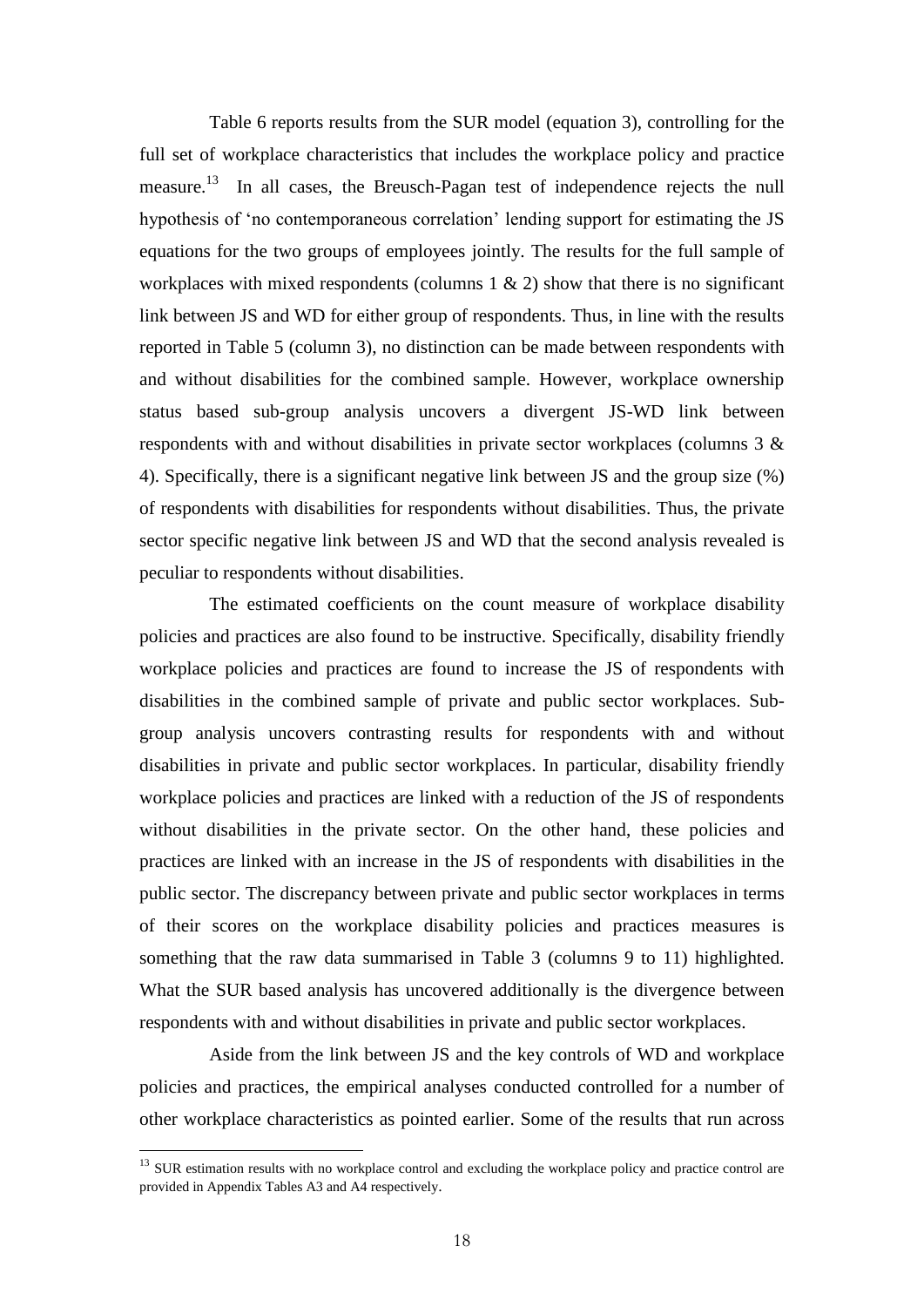Table 6 reports results from the SUR model (equation 3), controlling for the full set of workplace characteristics that includes the workplace policy and practice measure.<sup>13</sup> In all cases, the Breusch-Pagan test of independence rejects the null hypothesis of 'no contemporaneous correlation' lending support for estimating the JS equations for the two groups of employees jointly. The results for the full sample of workplaces with mixed respondents (columns  $1 \& 2$ ) show that there is no significant link between JS and WD for either group of respondents. Thus, in line with the results reported in Table 5 (column 3), no distinction can be made between respondents with and without disabilities for the combined sample. However, workplace ownership status based sub-group analysis uncovers a divergent JS-WD link between respondents with and without disabilities in private sector workplaces (columns 3 & 4). Specifically, there is a significant negative link between JS and the group size (%) of respondents with disabilities for respondents without disabilities. Thus, the private sector specific negative link between JS and WD that the second analysis revealed is peculiar to respondents without disabilities.

The estimated coefficients on the count measure of workplace disability policies and practices are also found to be instructive. Specifically, disability friendly workplace policies and practices are found to increase the JS of respondents with disabilities in the combined sample of private and public sector workplaces. Subgroup analysis uncovers contrasting results for respondents with and without disabilities in private and public sector workplaces. In particular, disability friendly workplace policies and practices are linked with a reduction of the JS of respondents without disabilities in the private sector. On the other hand, these policies and practices are linked with an increase in the JS of respondents with disabilities in the public sector. The discrepancy between private and public sector workplaces in terms of their scores on the workplace disability policies and practices measures is something that the raw data summarised in Table 3 (columns 9 to 11) highlighted. What the SUR based analysis has uncovered additionally is the divergence between respondents with and without disabilities in private and public sector workplaces.

Aside from the link between JS and the key controls of WD and workplace policies and practices, the empirical analyses conducted controlled for a number of other workplace characteristics as pointed earlier. Some of the results that run across

 $\overline{a}$ 

<sup>&</sup>lt;sup>13</sup> SUR estimation results with no workplace control and excluding the workplace policy and practice control are provided in Appendix Tables A3 and A4 respectively.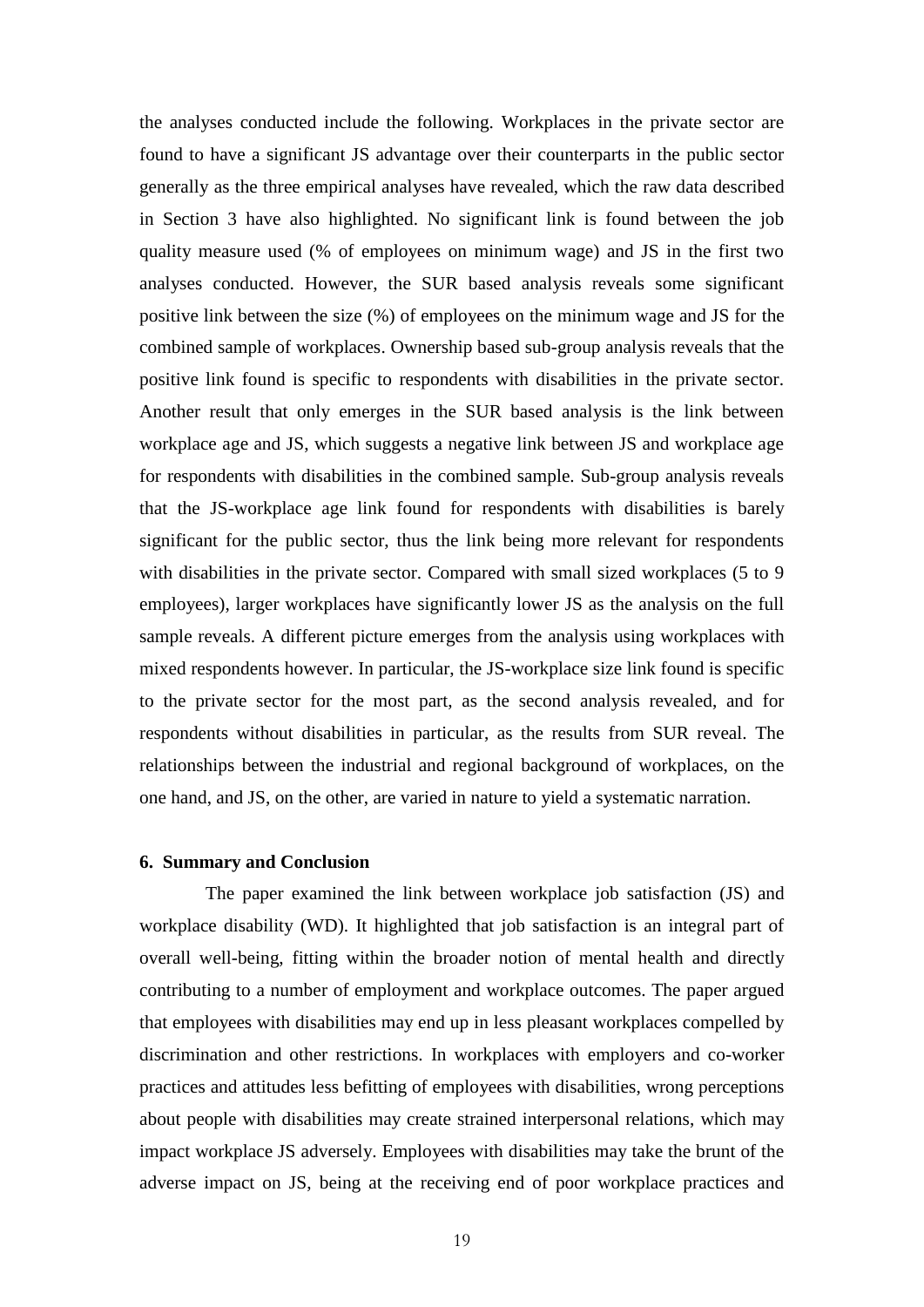the analyses conducted include the following. Workplaces in the private sector are found to have a significant JS advantage over their counterparts in the public sector generally as the three empirical analyses have revealed, which the raw data described in Section 3 have also highlighted. No significant link is found between the job quality measure used (% of employees on minimum wage) and JS in the first two analyses conducted. However, the SUR based analysis reveals some significant positive link between the size (%) of employees on the minimum wage and JS for the combined sample of workplaces. Ownership based sub-group analysis reveals that the positive link found is specific to respondents with disabilities in the private sector. Another result that only emerges in the SUR based analysis is the link between workplace age and JS, which suggests a negative link between JS and workplace age for respondents with disabilities in the combined sample. Sub-group analysis reveals that the JS-workplace age link found for respondents with disabilities is barely significant for the public sector, thus the link being more relevant for respondents with disabilities in the private sector. Compared with small sized workplaces (5 to 9 employees), larger workplaces have significantly lower JS as the analysis on the full sample reveals. A different picture emerges from the analysis using workplaces with mixed respondents however. In particular, the JS-workplace size link found is specific to the private sector for the most part, as the second analysis revealed, and for respondents without disabilities in particular, as the results from SUR reveal. The relationships between the industrial and regional background of workplaces, on the one hand, and JS, on the other, are varied in nature to yield a systematic narration.

#### **6. Summary and Conclusion**

The paper examined the link between workplace job satisfaction (JS) and workplace disability (WD). It highlighted that job satisfaction is an integral part of overall well-being, fitting within the broader notion of mental health and directly contributing to a number of employment and workplace outcomes. The paper argued that employees with disabilities may end up in less pleasant workplaces compelled by discrimination and other restrictions. In workplaces with employers and co-worker practices and attitudes less befitting of employees with disabilities, wrong perceptions about people with disabilities may create strained interpersonal relations, which may impact workplace JS adversely. Employees with disabilities may take the brunt of the adverse impact on JS, being at the receiving end of poor workplace practices and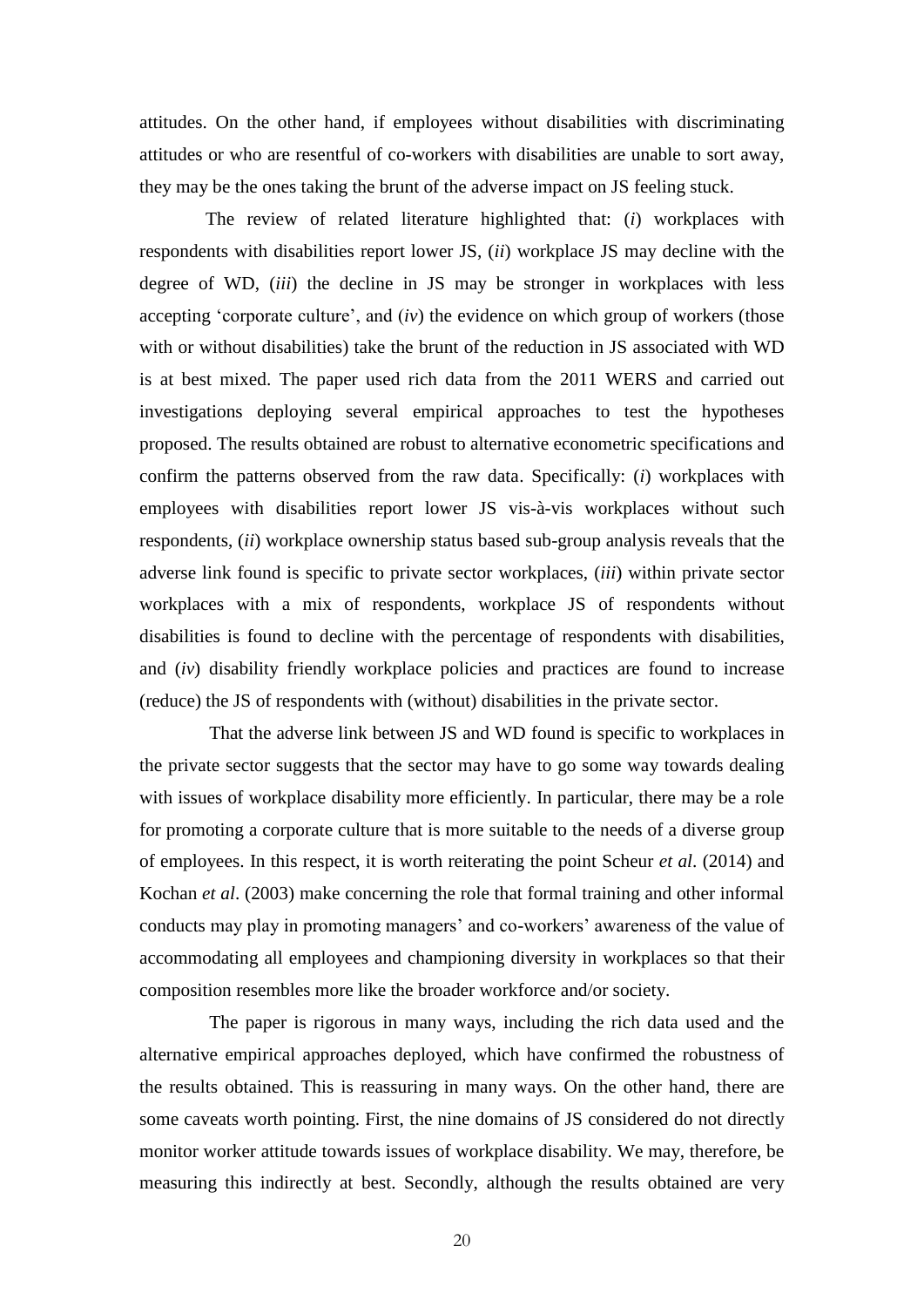attitudes. On the other hand, if employees without disabilities with discriminating attitudes or who are resentful of co-workers with disabilities are unable to sort away, they may be the ones taking the brunt of the adverse impact on JS feeling stuck.

The review of related literature highlighted that: (*i*) workplaces with respondents with disabilities report lower JS, (*ii*) workplace JS may decline with the degree of WD, (*iii*) the decline in JS may be stronger in workplaces with less accepting 'corporate culture', and (*iv*) the evidence on which group of workers (those with or without disabilities) take the brunt of the reduction in JS associated with WD is at best mixed. The paper used rich data from the 2011 WERS and carried out investigations deploying several empirical approaches to test the hypotheses proposed. The results obtained are robust to alternative econometric specifications and confirm the patterns observed from the raw data. Specifically: (*i*) workplaces with employees with disabilities report lower JS vis-à-vis workplaces without such respondents, (*ii*) workplace ownership status based sub-group analysis reveals that the adverse link found is specific to private sector workplaces, (*iii*) within private sector workplaces with a mix of respondents, workplace JS of respondents without disabilities is found to decline with the percentage of respondents with disabilities, and (*iv*) disability friendly workplace policies and practices are found to increase (reduce) the JS of respondents with (without) disabilities in the private sector.

That the adverse link between JS and WD found is specific to workplaces in the private sector suggests that the sector may have to go some way towards dealing with issues of workplace disability more efficiently. In particular, there may be a role for promoting a corporate culture that is more suitable to the needs of a diverse group of employees. In this respect, it is worth reiterating the point Scheur *et al*. (2014) and Kochan *et al*. (2003) make concerning the role that formal training and other informal conducts may play in promoting managers' and co-workers' awareness of the value of accommodating all employees and championing diversity in workplaces so that their composition resembles more like the broader workforce and/or society.

The paper is rigorous in many ways, including the rich data used and the alternative empirical approaches deployed, which have confirmed the robustness of the results obtained. This is reassuring in many ways. On the other hand, there are some caveats worth pointing. First, the nine domains of JS considered do not directly monitor worker attitude towards issues of workplace disability. We may, therefore, be measuring this indirectly at best. Secondly, although the results obtained are very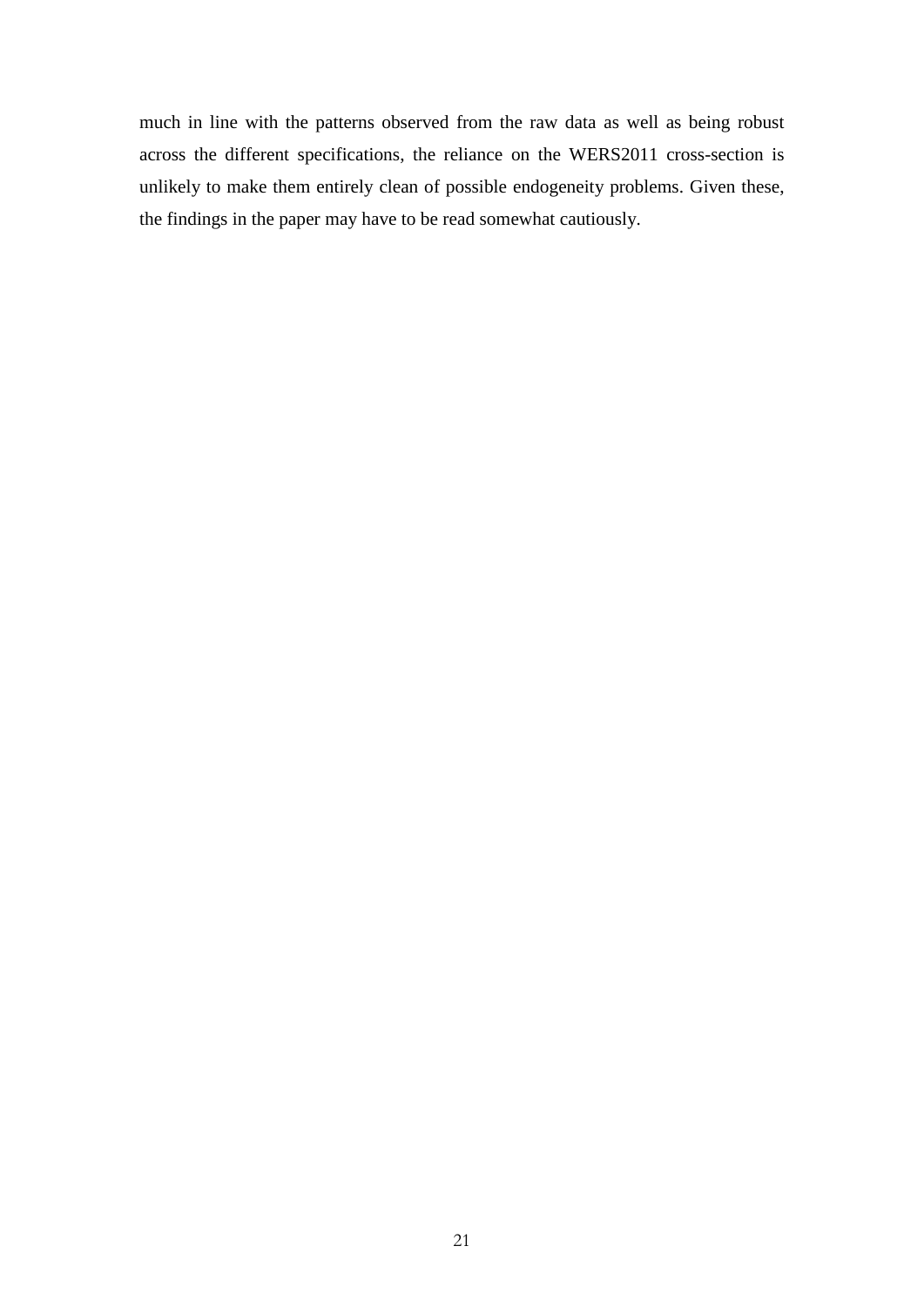much in line with the patterns observed from the raw data as well as being robust across the different specifications, the reliance on the WERS2011 cross-section is unlikely to make them entirely clean of possible endogeneity problems. Given these, the findings in the paper may have to be read somewhat cautiously.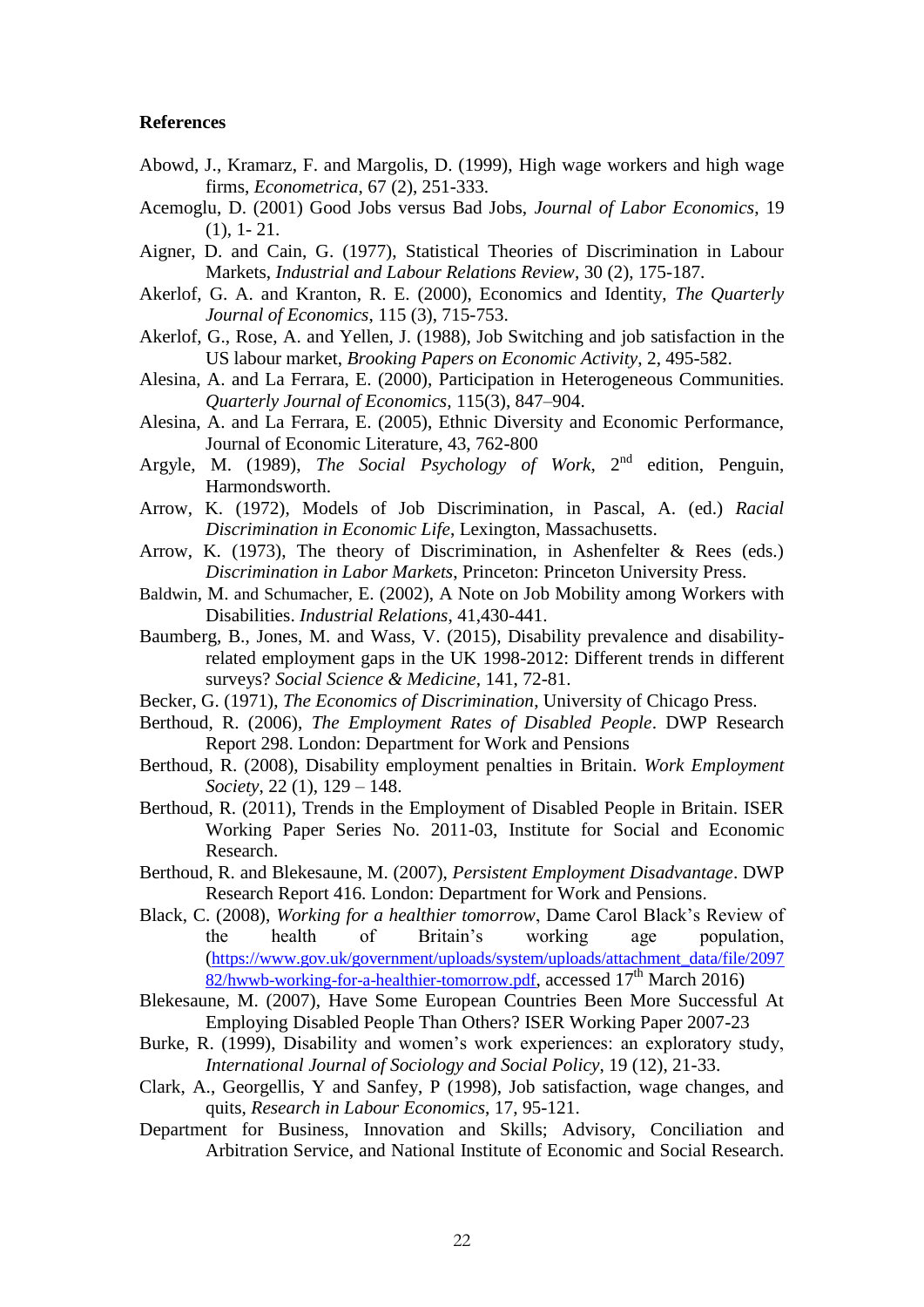#### **References**

- Abowd, J., Kramarz, F. and Margolis, D. (1999), High wage workers and high wage firms, *Econometrica*, 67 (2), 251-333.
- Acemoglu, D. (2001) Good Jobs versus Bad Jobs, *Journal of Labor Economics*, 19 (1), 1- 21.
- Aigner, D. and Cain, G. (1977), Statistical Theories of Discrimination in Labour Markets, *Industrial and Labour Relations Review*, 30 (2), 175-187.
- Akerlof, G. A. and Kranton, R. E. (2000), Economics and Identity, *The Quarterly Journal of Economics*, 115 (3), 715-753.
- Akerlof, G., Rose, A. and Yellen, J. (1988), Job Switching and job satisfaction in the US labour market, *Brooking Papers on Economic Activity*, 2, 495-582.
- Alesina, A. and La Ferrara, E. (2000), Participation in Heterogeneous Communities. *Quarterly Journal of Economics,* 115(3), 847–904.
- Alesina, A. and La Ferrara, E. (2005), Ethnic Diversity and Economic Performance, Journal of Economic Literature, 43, 762-800
- Argyle, M. (1989), *The Social Psychology of Work*, 2nd edition, Penguin, Harmondsworth.
- Arrow, K. (1972), Models of Job Discrimination, in Pascal, A. (ed.) *Racial Discrimination in Economic Life*, Lexington, Massachusetts.
- Arrow, K. (1973), The theory of Discrimination, in Ashenfelter & Rees (eds.) *Discrimination in Labor Markets*, Princeton: Princeton University Press.
- Baldwin, M. and Schumacher, E. (2002), A Note on Job Mobility among Workers with Disabilities. *Industrial Relations*, 41,430-441.
- Baumberg, B., Jones, M. and Wass, V. (2015), Disability prevalence and disabilityrelated employment gaps in the UK 1998-2012: Different trends in different surveys? *Social Science & Medicine*, 141, 72-81.
- Becker, G. (1971), *The Economics of Discrimination*, University of Chicago Press.
- Berthoud, R. (2006), *The Employment Rates of Disabled People*. DWP Research Report 298. London: Department for Work and Pensions
- Berthoud, R. (2008), Disability employment penalties in Britain. *Work Employment Society*, 22 (1), 129 – 148.
- Berthoud, R. (2011), Trends in the Employment of Disabled People in Britain. ISER Working Paper Series No. 2011-03, Institute for Social and Economic Research.
- Berthoud, R. and Blekesaune, M. (2007), *Persistent Employment Disadvantage*. DWP Research Report 416. London: Department for Work and Pensions.
- Black, C. (2008), *Working for a healthier tomorrow*, Dame Carol Black's Review of the health of Britain's working age population, ([https://www.gov.uk/government/uploads/system/uploads/attachment\\_data/file/2097](https://www.gov.uk/government/uploads/system/uploads/attachment_data/file/209782/hwwb-working-for-a-healthier-tomorrow.pdf)  $82/h$ wwb-working-for-a-healthier-tomorrow.pdf, accessed  $17<sup>th</sup>$  March 2016)
- Blekesaune, M. (2007), Have Some European Countries Been More Successful At Employing Disabled People Than Others? ISER Working Paper 2007-23
- Burke, R. (1999), Disability and women's work experiences: an exploratory study, *International Journal of Sociology and Social Policy*, 19 (12), 21-33.
- Clark, A., Georgellis, Y and Sanfey, P (1998), Job satisfaction, wage changes, and quits, *Research in Labour Economics*, 17, 95-121.
- Department for Business, Innovation and Skills; Advisory, Conciliation and Arbitration Service, and National Institute of Economic and Social Research.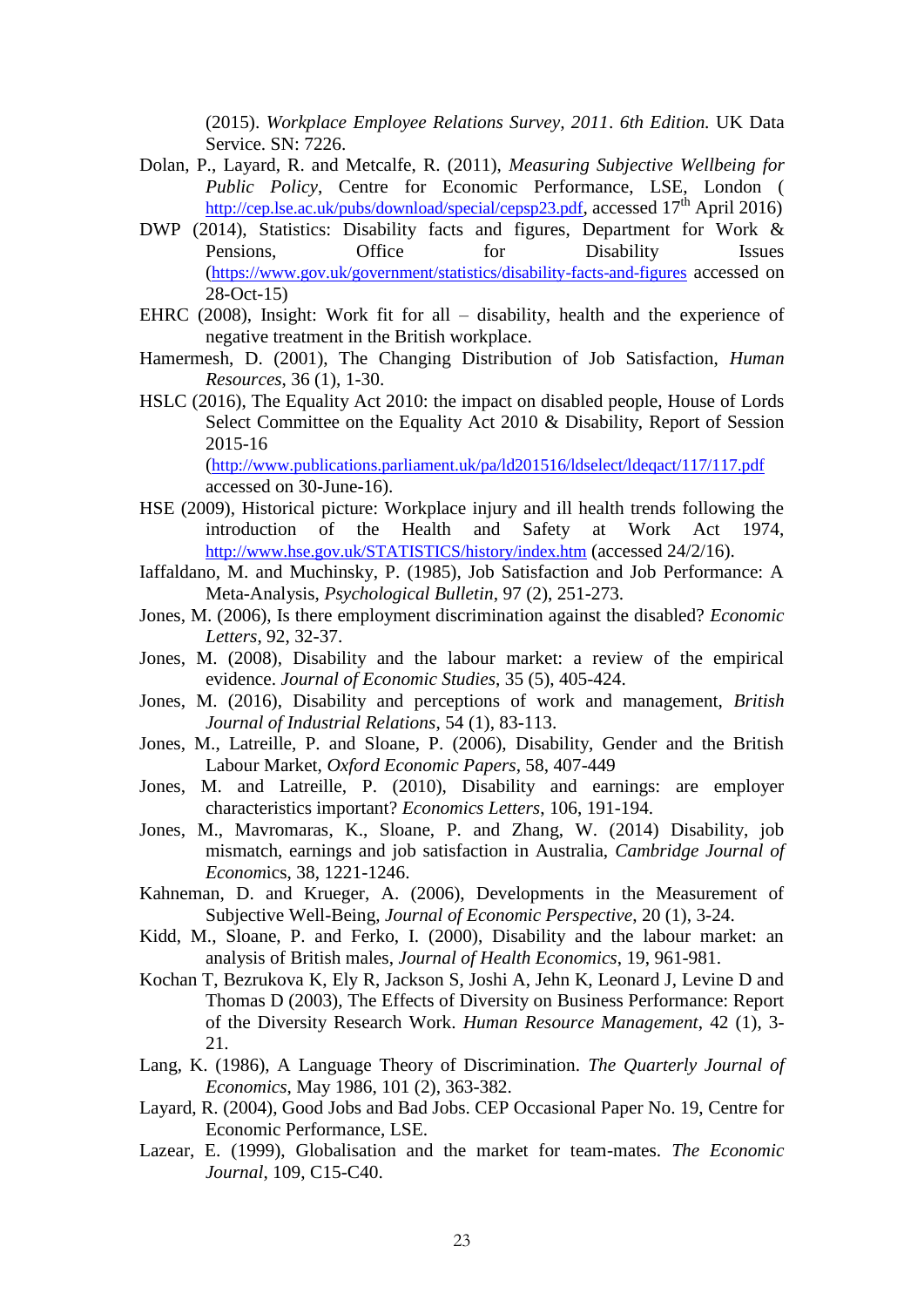(2015). *Workplace Employee Relations Survey, 2011*. *6th Edition.* UK Data Service. SN: 7226.

- Dolan, P., Layard, R. and Metcalfe, R. (2011), *Measuring Subjective Wellbeing for Public Policy*, Centre for Economic Performance, LSE, London ( <http://cep.lse.ac.uk/pubs/download/special/cepsp23.pdf>, accessed 17<sup>th</sup> April 2016)
- DWP (2014), Statistics: Disability facts and figures, Department for Work & Pensions, Office for Disability Issues (<https://www.gov.uk/government/statistics/disability-facts-and-figures> accessed on 28-Oct-15)
- EHRC (2008), Insight: Work fit for all disability, health and the experience of negative treatment in the British workplace.
- Hamermesh, D. (2001), The Changing Distribution of Job Satisfaction, *Human Resources*, 36 (1), 1-30.
- HSLC (2016), The Equality Act 2010: the impact on disabled people, House of Lords Select Committee on the Equality Act 2010 & Disability, Report of Session 2015-16

(<http://www.publications.parliament.uk/pa/ld201516/ldselect/ldeqact/117/117.pdf> accessed on 30-June-16).

- HSE (2009), Historical picture: Workplace injury and ill health trends following the introduction of the Health and Safety at Work Act 1974, <http://www.hse.gov.uk/STATISTICS/history/index.htm> (accessed 24/2/16).
- Iaffaldano, M. and Muchinsky, P. (1985), Job Satisfaction and Job Performance: A Meta-Analysis, *Psychological Bulletin*, 97 (2), 251-273.
- Jones, M. (2006), Is there employment discrimination against the disabled? *Economic Letters*, 92, 32-37.
- Jones, M. (2008), Disability and the labour market: a review of the empirical evidence. *Journal of Economic Studies*, 35 (5), 405-424.
- Jones, M. (2016), Disability and perceptions of work and management, *British Journal of Industrial Relations*, 54 (1), 83-113.
- Jones, M., Latreille, P. and Sloane, P. (2006), Disability, Gender and the British Labour Market, *Oxford Economic Papers*, 58, 407-449
- Jones, M. and Latreille, P. (2010), Disability and earnings: are employer characteristics important? *Economics Letters*, 106, 191-194.
- Jones, M., Mavromaras, K., Sloane, P. and Zhang, W. (2014) Disability, job mismatch, earnings and job satisfaction in Australia, *Cambridge Journal of Econom*ics, 38, 1221-1246.
- Kahneman, D. and Krueger, A. (2006), Developments in the Measurement of Subjective Well-Being, *Journal of Economic Perspective*, 20 (1), 3-24.
- Kidd, M., Sloane, P. and Ferko, I. (2000), Disability and the labour market: an analysis of British males, *Journal of Health Economics*, 19, 961-981.
- Kochan T, Bezrukova K, Ely R, Jackson S, Joshi A, Jehn K, Leonard J, Levine D and Thomas D (2003), The Effects of Diversity on Business Performance: Report of the Diversity Research Work. *Human Resource Management*, 42 (1), 3- 21.
- Lang, K. (1986), A Language Theory of Discrimination. *The Quarterly Journal of Economics*, May 1986, 101 (2), 363-382.
- Layard, R. (2004), Good Jobs and Bad Jobs. CEP Occasional Paper No. 19, Centre for Economic Performance, LSE.
- Lazear, E. (1999), Globalisation and the market for team-mates. *The Economic Journal*, 109, C15-C40.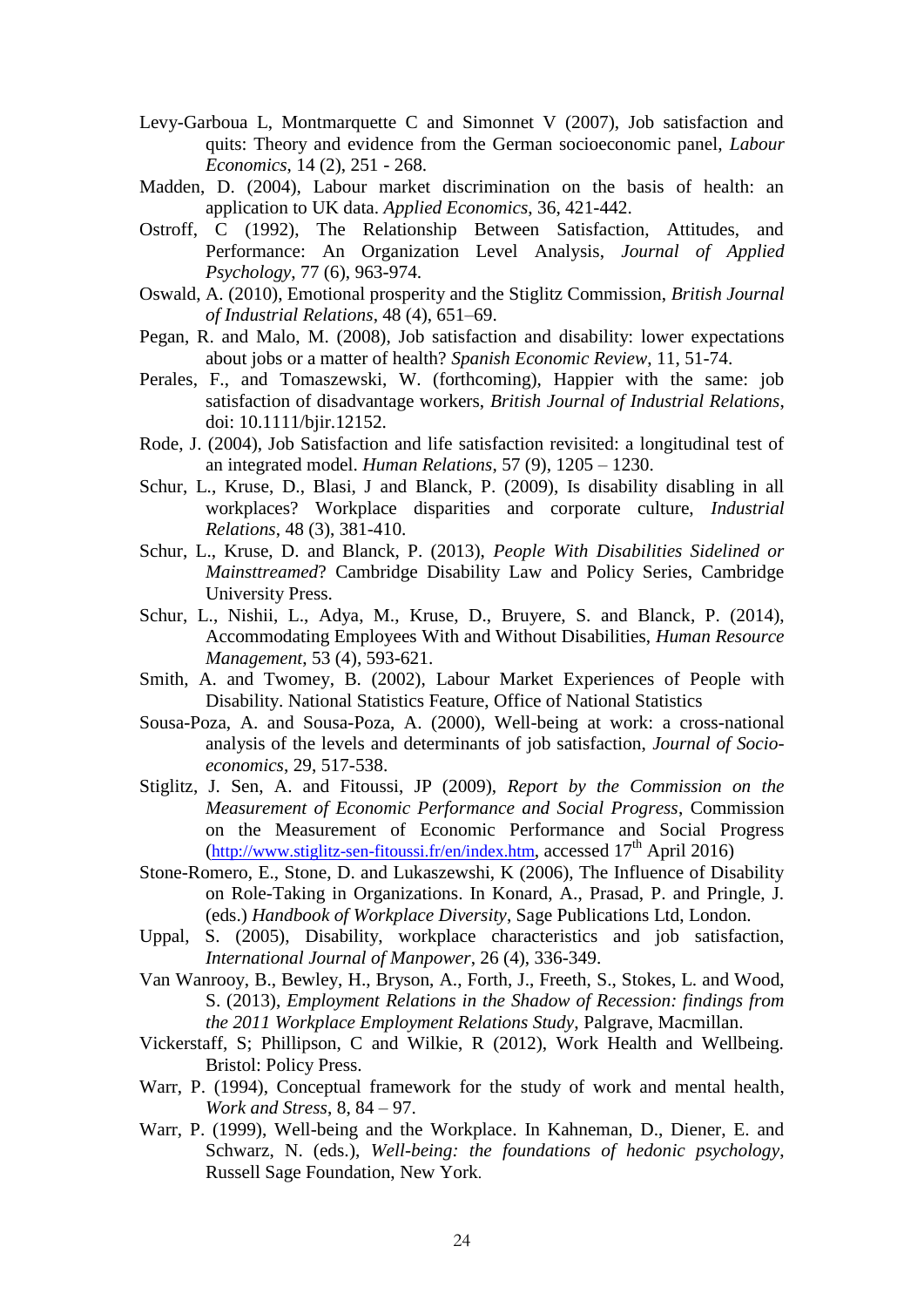- Levy-Garboua L, Montmarquette C and Simonnet V (2007), Job satisfaction and quits: Theory and evidence from the German socioeconomic panel, *Labour Economics*, 14 (2), 251 - 268.
- Madden, D. (2004), Labour market discrimination on the basis of health: an application to UK data. *Applied Economics*, 36, 421-442.
- Ostroff, C (1992), The Relationship Between Satisfaction, Attitudes, and Performance: An Organization Level Analysis, *Journal of Applied Psychology*, 77 (6), 963-974.
- Oswald, A. (2010), Emotional prosperity and the Stiglitz Commission, *British Journal of Industrial Relations*, 48 (4), 651–69.
- Pegan, R. and Malo, M. (2008), Job satisfaction and disability: lower expectations about jobs or a matter of health? *Spanish Economic Review*, 11, 51-74.
- Perales, F., and Tomaszewski, W. (forthcoming), Happier with the same: job satisfaction of disadvantage workers, *British Journal of Industrial Relations*, doi: 10.1111/bjir.12152.
- Rode, J. (2004), Job Satisfaction and life satisfaction revisited: a longitudinal test of an integrated model. *Human Relations*, 57 (9), 1205 – 1230.
- Schur, L., Kruse, D., Blasi, J and Blanck, P. (2009), Is disability disabling in all workplaces? Workplace disparities and corporate culture, *Industrial Relations*, 48 (3), 381-410.
- Schur, L., Kruse, D. and Blanck, P. (2013), *People With Disabilities Sidelined or Mainsttreamed*? Cambridge Disability Law and Policy Series, Cambridge University Press.
- Schur, L., Nishii, L., Adya, M., Kruse, D., Bruyere, S. and Blanck, P. (2014), Accommodating Employees With and Without Disabilities, *Human Resource Management*, 53 (4), 593-621.
- Smith, A. and Twomey, B. (2002), Labour Market Experiences of People with Disability. National Statistics Feature, Office of National Statistics
- Sousa-Poza, A. and Sousa-Poza, A. (2000), Well-being at work: a cross-national analysis of the levels and determinants of job satisfaction, *Journal of Socioeconomics*, 29, 517-538.
- Stiglitz, J. Sen, A. and Fitoussi, JP (2009), *Report by the Commission on the Measurement of Economic Performance and Social Progress*, Commission on the Measurement of Economic Performance and Social Progress  $(\frac{http://www.stiglitz-sen-fitoussi.fr/en/index.htm}{amp; accessed 17<sup>th</sup> April 2016})$  $(\frac{http://www.stiglitz-sen-fitoussi.fr/en/index.htm}{amp; accessed 17<sup>th</sup> April 2016})$  $(\frac{http://www.stiglitz-sen-fitoussi.fr/en/index.htm}{amp; accessed 17<sup>th</sup> April 2016})$
- Stone-Romero, E., Stone, D. and Lukaszewshi, K (2006), The Influence of Disability on Role-Taking in Organizations. In Konard, A., Prasad, P. and Pringle, J. (eds.) *Handbook of Workplace Diversity*, Sage Publications Ltd, London.
- Uppal, S. (2005), Disability, workplace characteristics and job satisfaction, *International Journal of Manpower*, 26 (4), 336-349.
- Van Wanrooy, B., Bewley, H., Bryson, A., Forth, J., Freeth, S., Stokes, L. and Wood, S. (2013), *Employment Relations in the Shadow of Recession: findings from the 2011 Workplace Employment Relations Study*, Palgrave, Macmillan.
- Vickerstaff, S; Phillipson, C and Wilkie, R (2012), Work Health and Wellbeing. Bristol: Policy Press.
- Warr, P. (1994), Conceptual framework for the study of work and mental health, *Work and Stress*, 8, 84 – 97.
- Warr, P. (1999), Well-being and the Workplace. In Kahneman, D., Diener, E. and Schwarz, N. (eds.), *Well-being: the foundations of hedonic psychology*, Russell Sage Foundation, New York.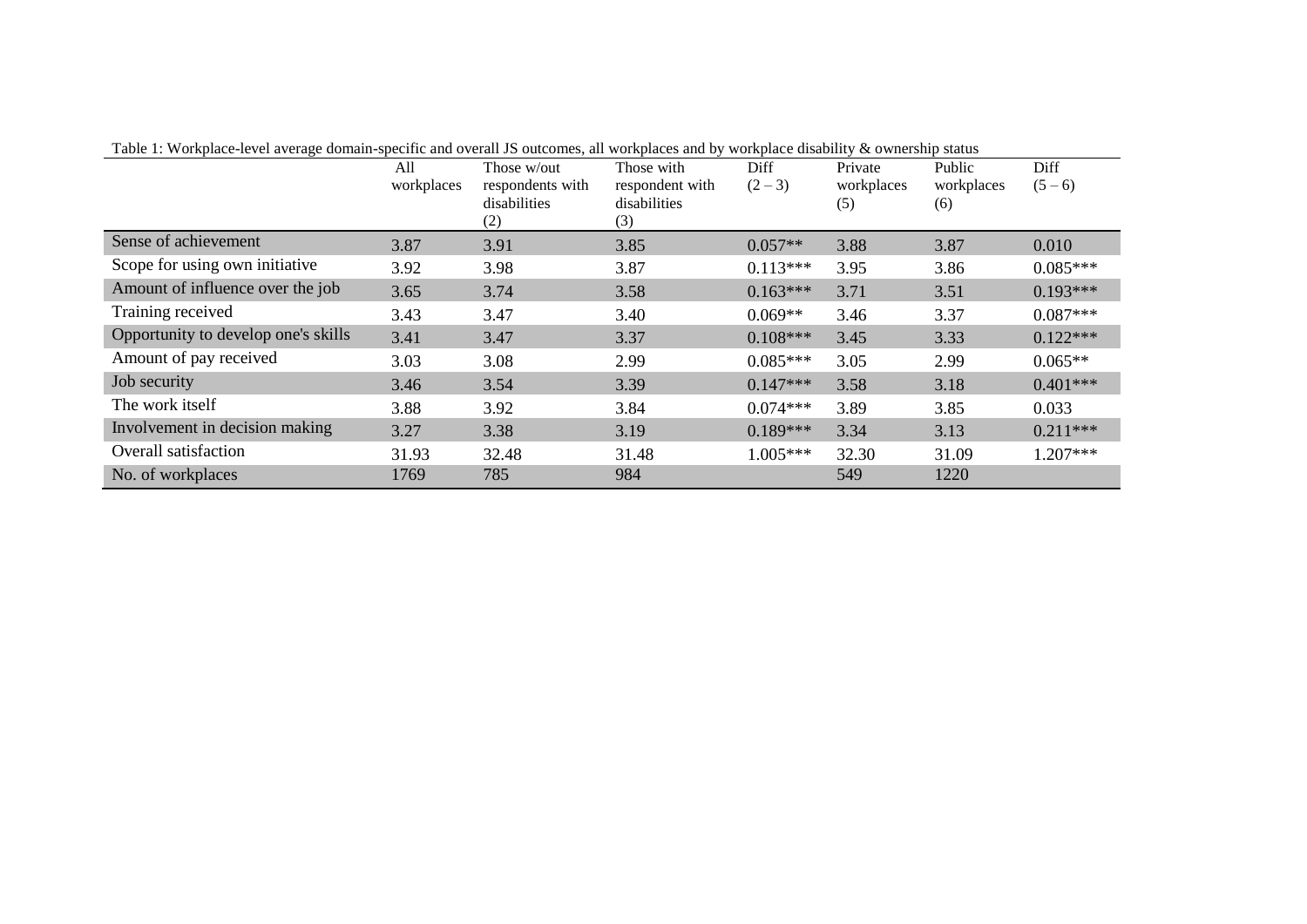|                                     | All<br>workplaces | Those w/out<br>respondents with<br>disabilities<br>(2) | Those with<br>respondent with<br>disabilities<br>(3) | Diff<br>$(2-3)$ | Private<br>workplaces<br>(5) | Public<br>workplaces<br>(6) | Diff<br>$(5-6)$ |
|-------------------------------------|-------------------|--------------------------------------------------------|------------------------------------------------------|-----------------|------------------------------|-----------------------------|-----------------|
| Sense of achievement                | 3.87              | 3.91                                                   | 3.85                                                 | $0.057**$       | 3.88                         | 3.87                        | 0.010           |
| Scope for using own initiative      | 3.92              | 3.98                                                   | 3.87                                                 | $0.113***$      | 3.95                         | 3.86                        | $0.085***$      |
| Amount of influence over the job    | 3.65              | 3.74                                                   | 3.58                                                 | $0.163***$      | 3.71                         | 3.51                        | $0.193***$      |
| Training received                   | 3.43              | 3.47                                                   | 3.40                                                 | $0.069**$       | 3.46                         | 3.37                        | $0.087***$      |
| Opportunity to develop one's skills | 3.41              | 3.47                                                   | 3.37                                                 | $0.108***$      | 3.45                         | 3.33                        | $0.122***$      |
| Amount of pay received              | 3.03              | 3.08                                                   | 2.99                                                 | $0.085***$      | 3.05                         | 2.99                        | $0.065**$       |
| Job security                        | 3.46              | 3.54                                                   | 3.39                                                 | $0.147***$      | 3.58                         | 3.18                        | $0.401***$      |
| The work itself                     | 3.88              | 3.92                                                   | 3.84                                                 | $0.074***$      | 3.89                         | 3.85                        | 0.033           |
| Involvement in decision making      | 3.27              | 3.38                                                   | 3.19                                                 | $0.189***$      | 3.34                         | 3.13                        | $0.211***$      |
| Overall satisfaction                | 31.93             | 32.48                                                  | 31.48                                                | $1.005***$      | 32.30                        | 31.09                       | 1.207***        |
| No. of workplaces                   | 1769              | 785                                                    | 984                                                  |                 | 549                          | 1220                        |                 |

Table 1: Workplace-level average domain-specific and overall JS outcomes, all workplaces and by workplace disability & ownership status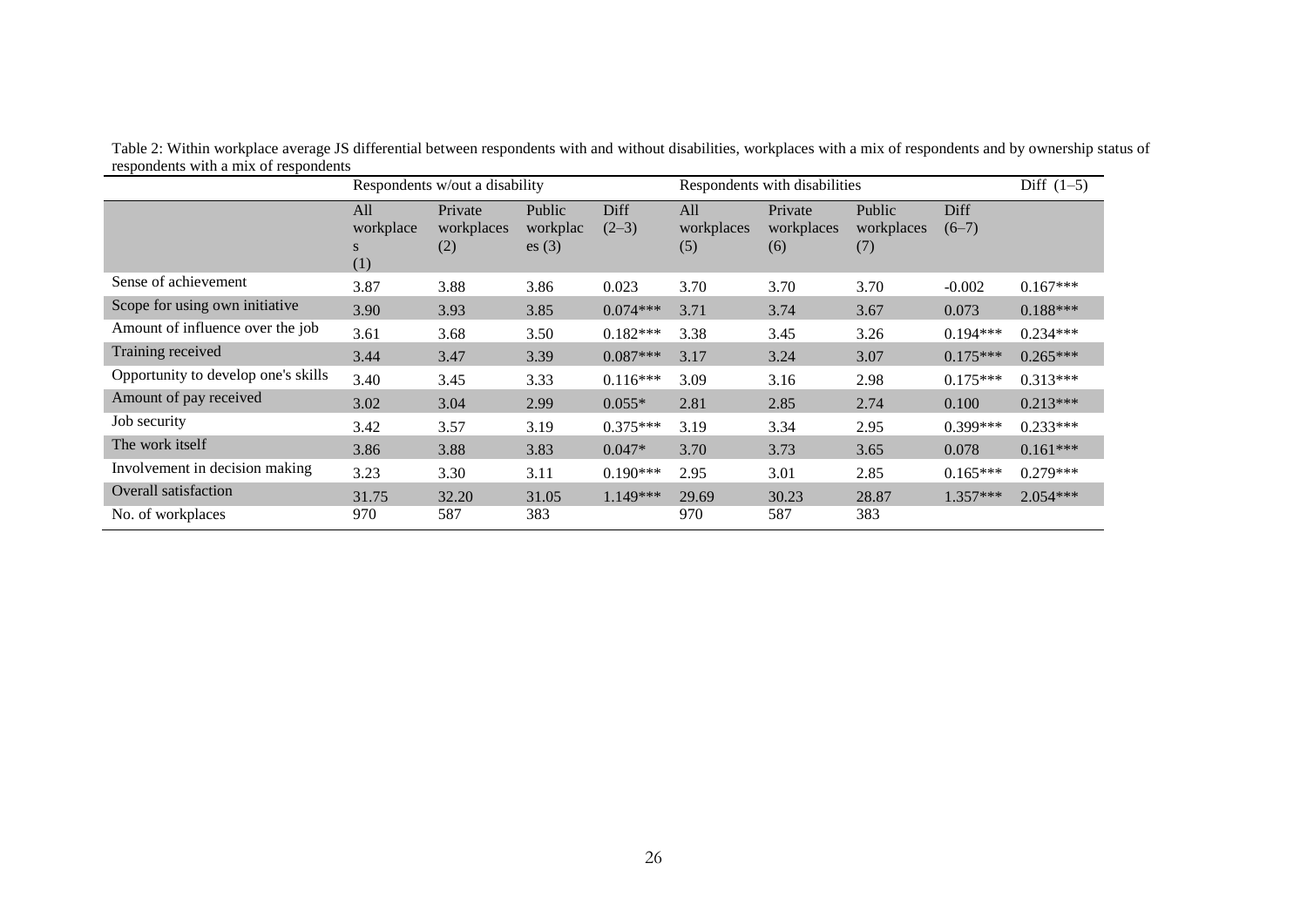|                                     |                              | Respondents w/out a disability |                             |                 | Respondents with disabilities |                              |                             |                 | Diff $(1-5)$ |
|-------------------------------------|------------------------------|--------------------------------|-----------------------------|-----------------|-------------------------------|------------------------------|-----------------------------|-----------------|--------------|
|                                     | All<br>workplace<br>S<br>(1) | Private<br>workplaces<br>(2)   | Public<br>workplac<br>es(3) | Diff<br>$(2-3)$ | All<br>workplaces<br>(5)      | Private<br>workplaces<br>(6) | Public<br>workplaces<br>(7) | Diff<br>$(6-7)$ |              |
| Sense of achievement                | 3.87                         | 3.88                           | 3.86                        | 0.023           | 3.70                          | 3.70                         | 3.70                        | $-0.002$        | $0.167***$   |
| Scope for using own initiative      | 3.90                         | 3.93                           | 3.85                        | $0.074***$      | 3.71                          | 3.74                         | 3.67                        | 0.073           | $0.188***$   |
| Amount of influence over the job    | 3.61                         | 3.68                           | 3.50                        | $0.182***$      | 3.38                          | 3.45                         | 3.26                        | $0.194***$      | $0.234***$   |
| Training received                   | 3.44                         | 3.47                           | 3.39                        | $0.087***$      | 3.17                          | 3.24                         | 3.07                        | $0.175***$      | $0.265***$   |
| Opportunity to develop one's skills | 3.40                         | 3.45                           | 3.33                        | $0.116***$      | 3.09                          | 3.16                         | 2.98                        | $0.175***$      | $0.313***$   |
| Amount of pay received              | 3.02                         | 3.04                           | 2.99                        | $0.055*$        | 2.81                          | 2.85                         | 2.74                        | 0.100           | $0.213***$   |
| Job security                        | 3.42                         | 3.57                           | 3.19                        | $0.375***$      | 3.19                          | 3.34                         | 2.95                        | $0.399***$      | $0.233***$   |
| The work itself                     | 3.86                         | 3.88                           | 3.83                        | $0.047*$        | 3.70                          | 3.73                         | 3.65                        | 0.078           | $0.161***$   |
| Involvement in decision making      | 3.23                         | 3.30                           | 3.11                        | $0.190***$      | 2.95                          | 3.01                         | 2.85                        | $0.165***$      | $0.279***$   |
| Overall satisfaction                | 31.75                        | 32.20                          | 31.05                       | $1.149***$      | 29.69                         | 30.23                        | 28.87                       | 1.357***        | $2.054***$   |
| No. of workplaces                   | 970                          | 587                            | 383                         |                 | 970                           | 587                          | 383                         |                 |              |

Table 2: Within workplace average JS differential between respondents with and without disabilities, workplaces with a mix of respondents and by ownership status of respondents with a mix of respondents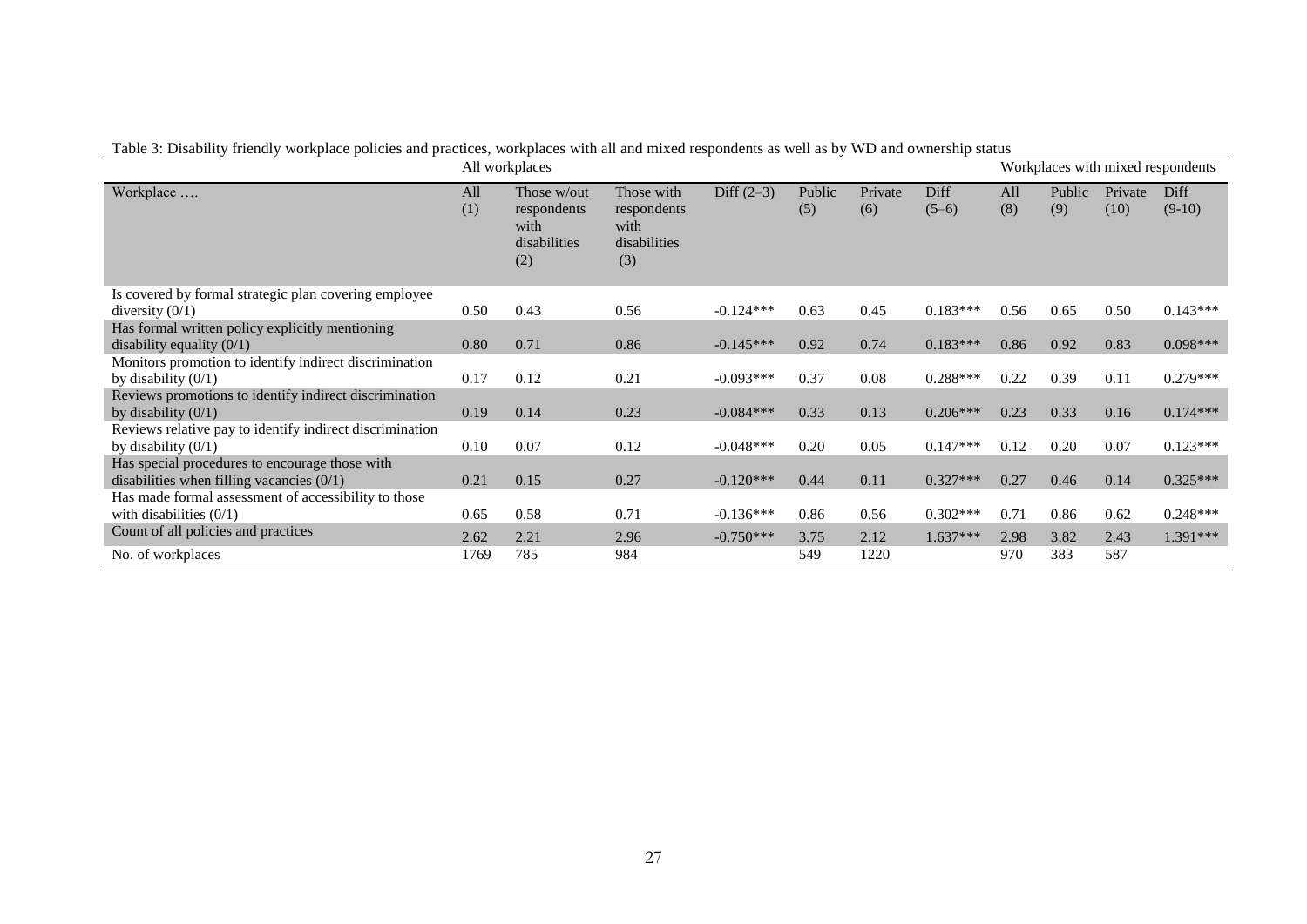|  |  | Table 3: Disability friendly workplace policies and practices, workplaces with all and mixed respondents as well as by WD and ownership status |  |
|--|--|------------------------------------------------------------------------------------------------------------------------------------------------|--|
|--|--|------------------------------------------------------------------------------------------------------------------------------------------------|--|

|                                                                                               |            | All workplaces                                            |                                                          |              |               |                |                 |            |               |                 | Workplaces with mixed respondents |
|-----------------------------------------------------------------------------------------------|------------|-----------------------------------------------------------|----------------------------------------------------------|--------------|---------------|----------------|-----------------|------------|---------------|-----------------|-----------------------------------|
| Workplace                                                                                     | All<br>(1) | Those w/out<br>respondents<br>with<br>disabilities<br>(2) | Those with<br>respondents<br>with<br>disabilities<br>(3) | Diff $(2-3)$ | Public<br>(5) | Private<br>(6) | Diff<br>$(5-6)$ | All<br>(8) | Public<br>(9) | Private<br>(10) | Diff<br>$(9-10)$                  |
| Is covered by formal strategic plan covering employee                                         |            |                                                           |                                                          |              |               |                |                 |            |               |                 |                                   |
| diversity $(0/1)$                                                                             | 0.50       | 0.43                                                      | 0.56                                                     | $-0.124***$  | 0.63          | 0.45           | $0.183***$      | 0.56       | 0.65          | 0.50            | $0.143***$                        |
| Has formal written policy explicitly mentioning<br>disability equality $(0/1)$                | 0.80       | 0.71                                                      | 0.86                                                     | $-0.145***$  | 0.92          | 0.74           | $0.183***$      | 0.86       | 0.92          | 0.83            | $0.098***$                        |
| Monitors promotion to identify indirect discrimination                                        |            |                                                           |                                                          |              |               |                |                 |            |               |                 |                                   |
| by disability $(0/1)$                                                                         | 0.17       | 0.12                                                      | 0.21                                                     | $-0.093***$  | 0.37          | 0.08           | $0.288***$      | 0.22       | 0.39          | 0.11            | $0.279***$                        |
| Reviews promotions to identify indirect discrimination<br>by disability $(0/1)$               | 0.19       | 0.14                                                      | 0.23                                                     | $-0.084***$  | 0.33          | 0.13           | $0.206***$      | 0.23       | 0.33          | 0.16            | $0.174***$                        |
| Reviews relative pay to identify indirect discrimination<br>by disability $(0/1)$             | 0.10       | 0.07                                                      | 0.12                                                     | $-0.048***$  | 0.20          | 0.05           | $0.147***$      | 0.12       | 0.20          | 0.07            | $0.123***$                        |
| Has special procedures to encourage those with<br>disabilities when filling vacancies $(0/1)$ | 0.21       | 0.15                                                      | 0.27                                                     | $-0.120***$  | 0.44          | 0.11           | $0.327***$      | 0.27       | 0.46          | 0.14            | $0.325***$                        |
| Has made formal assessment of accessibility to those                                          |            |                                                           |                                                          |              |               |                |                 |            |               |                 |                                   |
| with disabilities $(0/1)$                                                                     | 0.65       | 0.58                                                      | 0.71                                                     | $-0.136***$  | 0.86          | 0.56           | $0.302***$      | 0.71       | 0.86          | 0.62            | $0.248***$                        |
| Count of all policies and practices                                                           | 2.62       | 2.21                                                      | 2.96                                                     | $-0.750***$  | 3.75          | 2.12           | 1.637***        | 2.98       | 3.82          | 2.43            | 1.391***                          |
| No. of workplaces                                                                             | 1769       | 785                                                       | 984                                                      |              | 549           | 1220           |                 | 970        | 383           | 587             |                                   |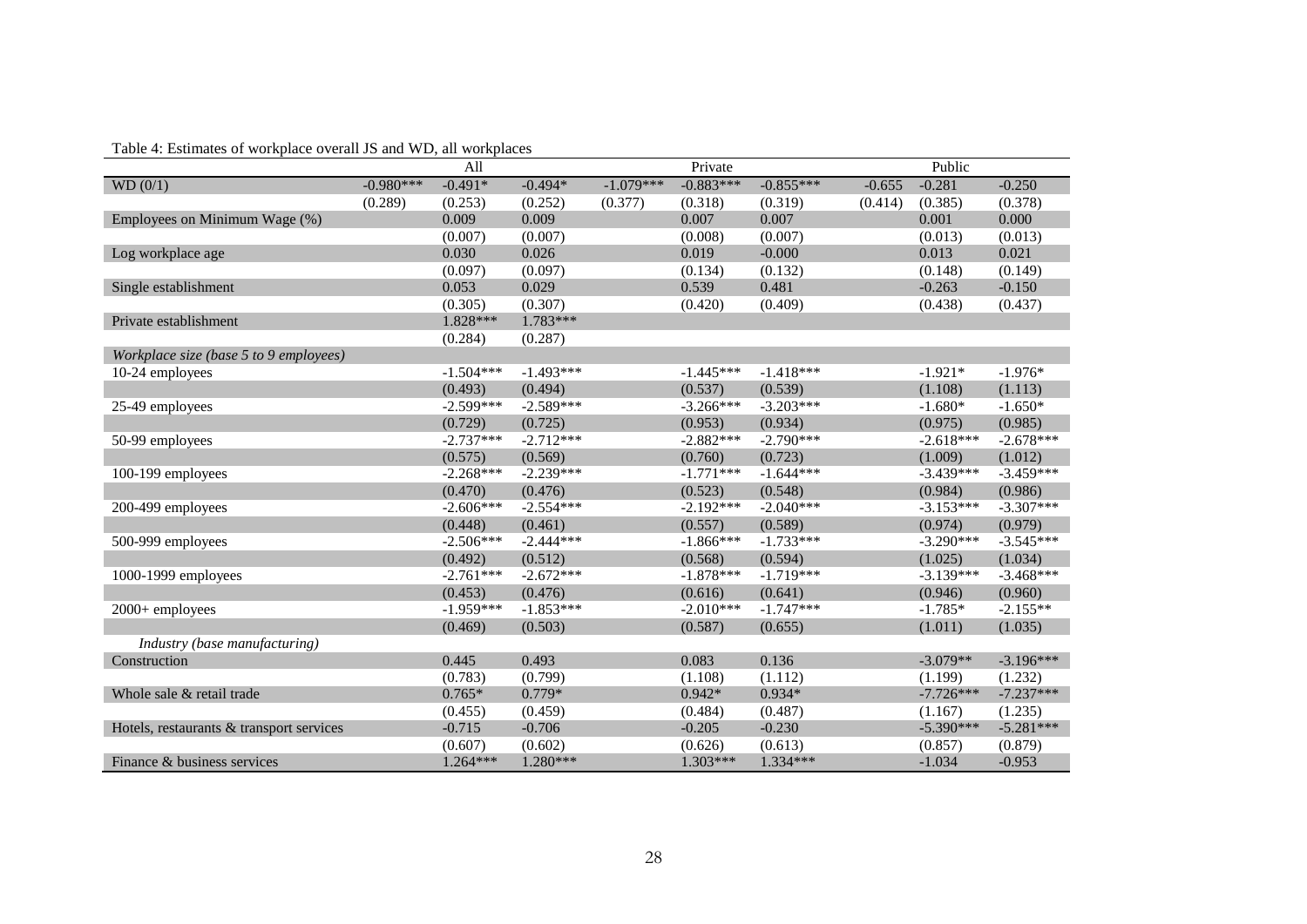|                                          |             | All         |             |             | Private     |             |          | Public      |             |
|------------------------------------------|-------------|-------------|-------------|-------------|-------------|-------------|----------|-------------|-------------|
| WD (0/1)                                 | $-0.980***$ | $-0.491*$   | $-0.494*$   | $-1.079***$ | $-0.883***$ | $-0.855***$ | $-0.655$ | $-0.281$    | $-0.250$    |
|                                          | (0.289)     | (0.253)     | (0.252)     | (0.377)     | (0.318)     | (0.319)     | (0.414)  | (0.385)     | (0.378)     |
| Employees on Minimum Wage (%)            |             | 0.009       | 0.009       |             | 0.007       | 0.007       |          | 0.001       | 0.000       |
|                                          |             | (0.007)     | (0.007)     |             | (0.008)     | (0.007)     |          | (0.013)     | (0.013)     |
| Log workplace age                        |             | 0.030       | 0.026       |             | 0.019       | $-0.000$    |          | 0.013       | 0.021       |
|                                          |             | (0.097)     | (0.097)     |             | (0.134)     | (0.132)     |          | (0.148)     | (0.149)     |
| Single establishment                     |             | 0.053       | 0.029       |             | 0.539       | 0.481       |          | $-0.263$    | $-0.150$    |
|                                          |             | (0.305)     | (0.307)     |             | (0.420)     | (0.409)     |          | (0.438)     | (0.437)     |
| Private establishment                    |             | 1.828***    | 1.783***    |             |             |             |          |             |             |
|                                          |             | (0.284)     | (0.287)     |             |             |             |          |             |             |
| Workplace size (base 5 to 9 employees)   |             |             |             |             |             |             |          |             |             |
| 10-24 employees                          |             | $-1.504***$ | $-1.493***$ |             | $-1.445***$ | $-1.418***$ |          | $-1.921*$   | $-1.976*$   |
|                                          |             | (0.493)     | (0.494)     |             | (0.537)     | (0.539)     |          | (1.108)     | (1.113)     |
| 25-49 employees                          |             | $-2.599***$ | $-2.589***$ |             | $-3.266***$ | $-3.203***$ |          | $-1.680*$   | $-1.650*$   |
|                                          |             | (0.729)     | (0.725)     |             | (0.953)     | (0.934)     |          | (0.975)     | (0.985)     |
| 50-99 employees                          |             | $-2.737***$ | $-2.712***$ |             | $-2.882***$ | $-2.790***$ |          | $-2.618***$ | $-2.678***$ |
|                                          |             | (0.575)     | (0.569)     |             | (0.760)     | (0.723)     |          | (1.009)     | (1.012)     |
| 100-199 employees                        |             | $-2.268***$ | $-2.239***$ |             | $-1.771***$ | $-1.644***$ |          | $-3.439***$ | $-3.459***$ |
|                                          |             | (0.470)     | (0.476)     |             | (0.523)     | (0.548)     |          | (0.984)     | (0.986)     |
| 200-499 employees                        |             | $-2.606***$ | $-2.554***$ |             | $-2.192***$ | $-2.040***$ |          | $-3.153***$ | $-3.307***$ |
|                                          |             | (0.448)     | (0.461)     |             | (0.557)     | (0.589)     |          | (0.974)     | (0.979)     |
| 500-999 employees                        |             | $-2.506***$ | $-2.444***$ |             | $-1.866***$ | $-1.733***$ |          | $-3.290***$ | $-3.545***$ |
|                                          |             | (0.492)     | (0.512)     |             | (0.568)     | (0.594)     |          | (1.025)     | (1.034)     |
| 1000-1999 employees                      |             | $-2.761***$ | $-2.672***$ |             | $-1.878***$ | $-1.719***$ |          | $-3.139***$ | $-3.468***$ |
|                                          |             | (0.453)     | (0.476)     |             | (0.616)     | (0.641)     |          | (0.946)     | (0.960)     |
| 2000+ employees                          |             | $-1.959***$ | $-1.853***$ |             | $-2.010***$ | $-1.747***$ |          | $-1.785*$   | $-2.155**$  |
|                                          |             | (0.469)     | (0.503)     |             | (0.587)     | (0.655)     |          | (1.011)     | (1.035)     |
| Industry (base manufacturing)            |             |             |             |             |             |             |          |             |             |
| Construction                             |             | 0.445       | 0.493       |             | 0.083       | 0.136       |          | $-3.079**$  | $-3.196***$ |
|                                          |             | (0.783)     | (0.799)     |             | (1.108)     | (1.112)     |          | (1.199)     | (1.232)     |
| Whole sale & retail trade                |             | $0.765*$    | $0.779*$    |             | $0.942*$    | $0.934*$    |          | $-7.726***$ | $-7.237***$ |
|                                          |             | (0.455)     | (0.459)     |             | (0.484)     | (0.487)     |          | (1.167)     | (1.235)     |
| Hotels, restaurants & transport services |             | $-0.715$    | $-0.706$    |             | $-0.205$    | $-0.230$    |          | $-5.390***$ | $-5.281***$ |
|                                          |             | (0.607)     | (0.602)     |             | (0.626)     | (0.613)     |          | (0.857)     | (0.879)     |
| Finance & business services              |             | $1.264***$  | 1.280***    |             | $1.303***$  | 1.334***    |          | $-1.034$    | $-0.953$    |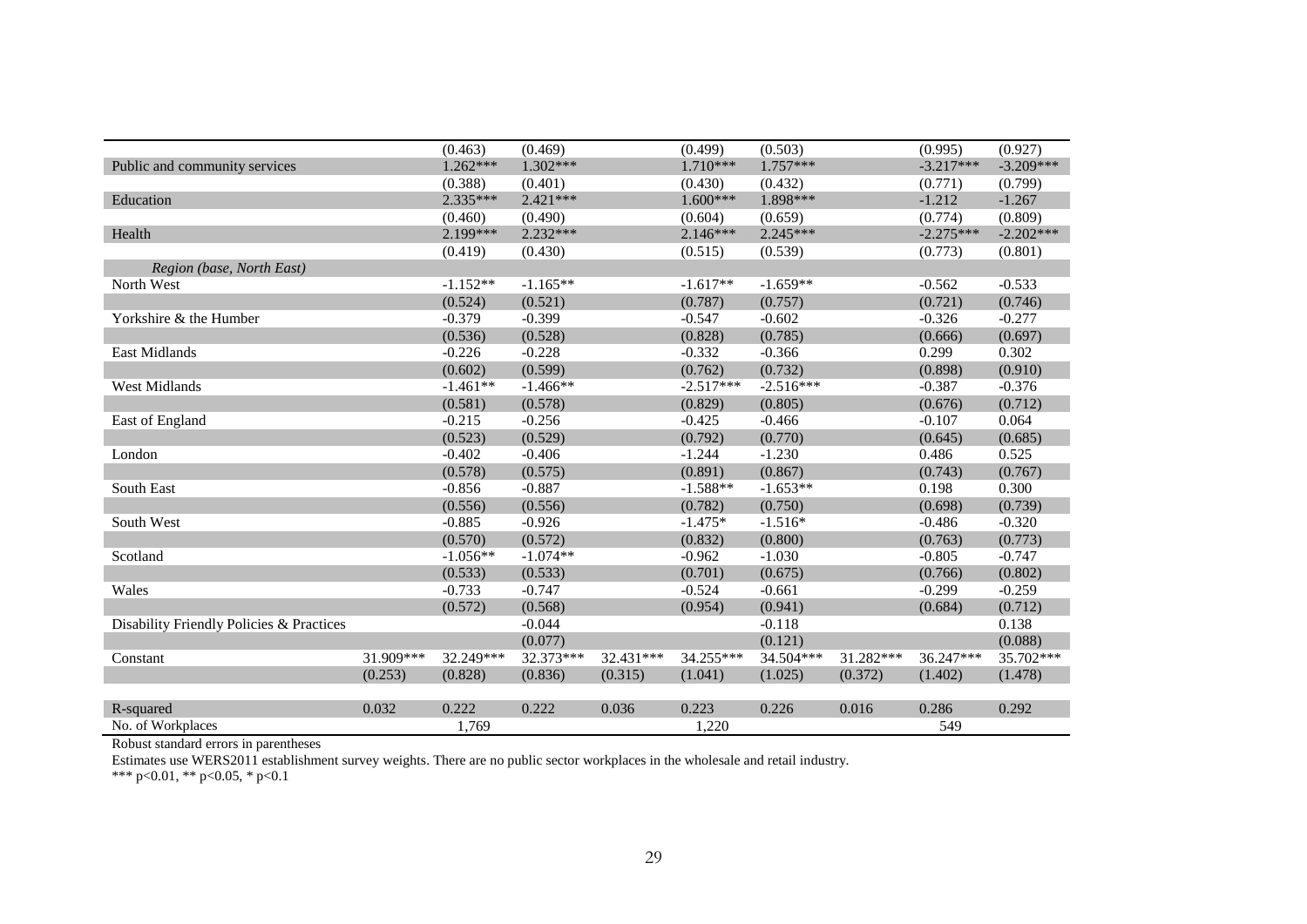|                                          |           | (0.463)    | (0.469)    |           | (0.499)     | (0.503)     |           | (0.995)     | (0.927)     |
|------------------------------------------|-----------|------------|------------|-----------|-------------|-------------|-----------|-------------|-------------|
| Public and community services            |           | $1.262***$ | $1.302***$ |           | 1.710***    | $1.757***$  |           | $-3.217***$ | $-3.209***$ |
|                                          |           | (0.388)    | (0.401)    |           | (0.430)     | (0.432)     |           | (0.771)     | (0.799)     |
| Education                                |           | $2.335***$ | $2.421***$ |           | $1.600***$  | 1.898***    |           | $-1.212$    | $-1.267$    |
|                                          |           | (0.460)    | (0.490)    |           | (0.604)     | (0.659)     |           | (0.774)     | (0.809)     |
| Health                                   |           | 2.199***   | $2.232***$ |           | $2.146***$  | 2.245***    |           | $-2.275***$ | $-2.202***$ |
|                                          |           | (0.419)    | (0.430)    |           | (0.515)     | (0.539)     |           | (0.773)     | (0.801)     |
| Region (base, North East)                |           |            |            |           |             |             |           |             |             |
| North West                               |           | $-1.152**$ | $-1.165**$ |           | $-1.617**$  | $-1.659**$  |           | $-0.562$    | $-0.533$    |
|                                          |           | (0.524)    | (0.521)    |           | (0.787)     | (0.757)     |           | (0.721)     | (0.746)     |
| Yorkshire & the Humber                   |           | $-0.379$   | $-0.399$   |           | $-0.547$    | $-0.602$    |           | $-0.326$    | $-0.277$    |
|                                          |           | (0.536)    | (0.528)    |           | (0.828)     | (0.785)     |           | (0.666)     | (0.697)     |
| East Midlands                            |           | $-0.226$   | $-0.228$   |           | $-0.332$    | $-0.366$    |           | 0.299       | 0.302       |
|                                          |           | (0.602)    | (0.599)    |           | (0.762)     | (0.732)     |           | (0.898)     | (0.910)     |
| <b>West Midlands</b>                     |           | $-1.461**$ | $-1.466**$ |           | $-2.517***$ | $-2.516***$ |           | $-0.387$    | $-0.376$    |
|                                          |           | (0.581)    | (0.578)    |           | (0.829)     | (0.805)     |           | (0.676)     | (0.712)     |
| East of England                          |           | $-0.215$   | $-0.256$   |           | $-0.425$    | $-0.466$    |           | $-0.107$    | 0.064       |
|                                          |           | (0.523)    | (0.529)    |           | (0.792)     | (0.770)     |           | (0.645)     | (0.685)     |
| London                                   |           | $-0.402$   | $-0.406$   |           | $-1.244$    | $-1.230$    |           | 0.486       | 0.525       |
|                                          |           | (0.578)    | (0.575)    |           | (0.891)     | (0.867)     |           | (0.743)     | (0.767)     |
| <b>South East</b>                        |           | $-0.856$   | $-0.887$   |           | $-1.588**$  | $-1.653**$  |           | 0.198       | 0.300       |
|                                          |           | (0.556)    | (0.556)    |           | (0.782)     | (0.750)     |           | (0.698)     | (0.739)     |
| South West                               |           | $-0.885$   | $-0.926$   |           | $-1.475*$   | $-1.516*$   |           | $-0.486$    | $-0.320$    |
|                                          |           | (0.570)    | (0.572)    |           | (0.832)     | (0.800)     |           | (0.763)     | (0.773)     |
| Scotland                                 |           | $-1.056**$ | $-1.074**$ |           | $-0.962$    | $-1.030$    |           | $-0.805$    | $-0.747$    |
|                                          |           | (0.533)    | (0.533)    |           | (0.701)     | (0.675)     |           | (0.766)     | (0.802)     |
| Wales                                    |           | $-0.733$   | $-0.747$   |           | $-0.524$    | $-0.661$    |           | $-0.299$    | $-0.259$    |
|                                          |           | (0.572)    | (0.568)    |           | (0.954)     | (0.941)     |           | (0.684)     | (0.712)     |
| Disability Friendly Policies & Practices |           |            | $-0.044$   |           |             | $-0.118$    |           |             | 0.138       |
|                                          |           |            | (0.077)    |           |             | (0.121)     |           |             | (0.088)     |
| Constant                                 | 31.909*** | 32.249***  | 32.373***  | 32.431*** | $34.255***$ | 34.504***   | 31.282*** | 36.247***   | 35.702***   |
|                                          | (0.253)   | (0.828)    | (0.836)    | (0.315)   | (1.041)     | (1.025)     | (0.372)   | (1.402)     | (1.478)     |
|                                          |           |            |            |           |             |             |           |             |             |
| R-squared                                | 0.032     | 0.222      | 0.222      | 0.036     | 0.223       | 0.226       | 0.016     | 0.286       | 0.292       |
| No. of Workplaces                        |           | 1.769      |            |           | 1.220       |             |           | 549         |             |

Estimates use WERS2011 establishment survey weights. There are no public sector workplaces in the wholesale and retail industry.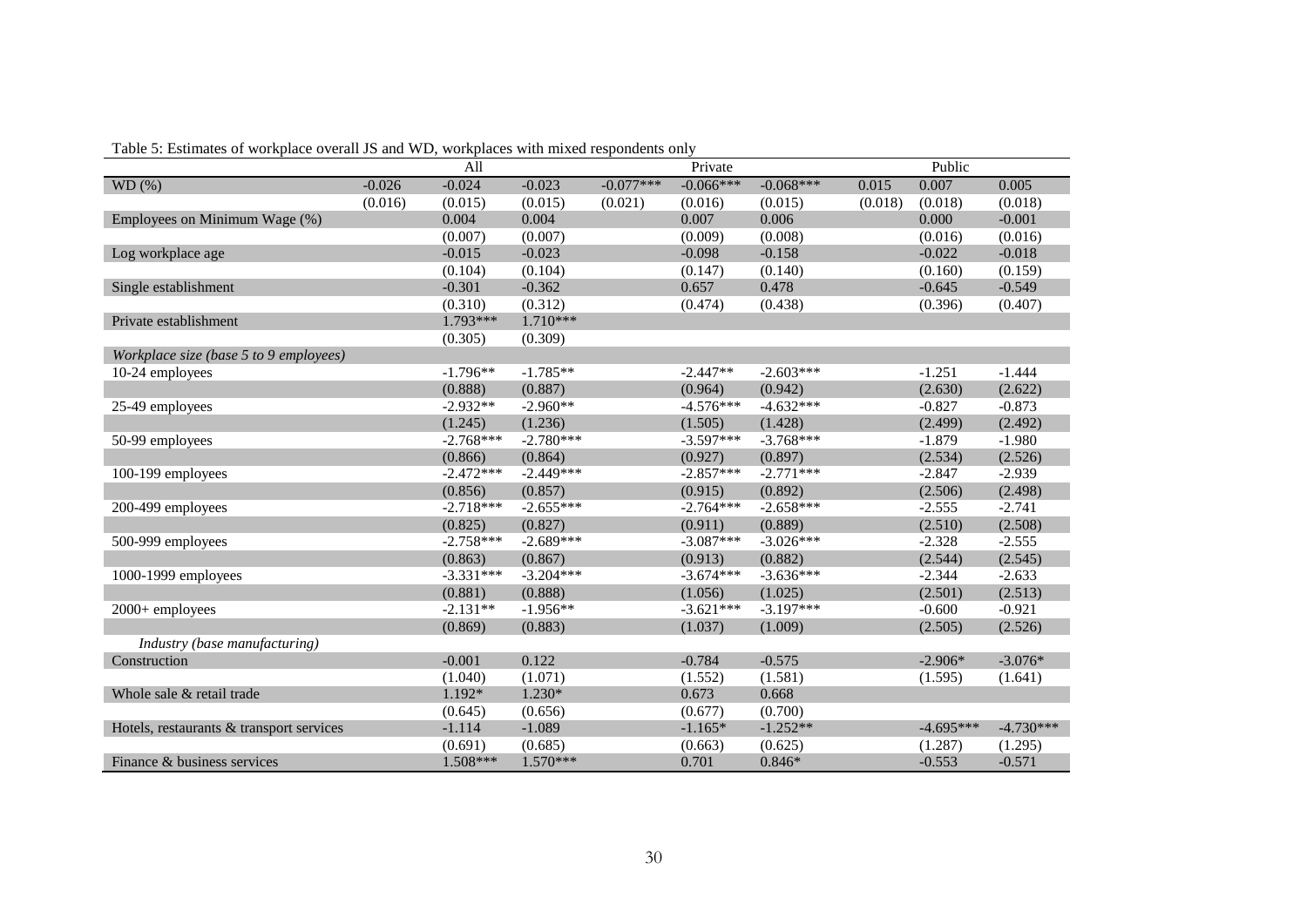| Table 5: Estimates of workplace overall JS and WD, workplaces with mixed respondents only |  |  |  |
|-------------------------------------------------------------------------------------------|--|--|--|
|-------------------------------------------------------------------------------------------|--|--|--|

|                                          |          | All         |             |             | Private     |             |         | Public      |             |
|------------------------------------------|----------|-------------|-------------|-------------|-------------|-------------|---------|-------------|-------------|
| WD(%)                                    | $-0.026$ | $-0.024$    | $-0.023$    | $-0.077***$ | $-0.066***$ | $-0.068***$ | 0.015   | 0.007       | 0.005       |
|                                          | (0.016)  | (0.015)     | (0.015)     | (0.021)     | (0.016)     | (0.015)     | (0.018) | (0.018)     | (0.018)     |
| Employees on Minimum Wage (%)            |          | 0.004       | 0.004       |             | 0.007       | 0.006       |         | 0.000       | $-0.001$    |
|                                          |          | (0.007)     | (0.007)     |             | (0.009)     | (0.008)     |         | (0.016)     | (0.016)     |
| Log workplace age                        |          | $-0.015$    | $-0.023$    |             | $-0.098$    | $-0.158$    |         | $-0.022$    | $-0.018$    |
|                                          |          | (0.104)     | (0.104)     |             | (0.147)     | (0.140)     |         | (0.160)     | (0.159)     |
| Single establishment                     |          | $-0.301$    | $-0.362$    |             | 0.657       | 0.478       |         | $-0.645$    | $-0.549$    |
|                                          |          | (0.310)     | (0.312)     |             | (0.474)     | (0.438)     |         | (0.396)     | (0.407)     |
| Private establishment                    |          | 1.793***    | $1.710***$  |             |             |             |         |             |             |
|                                          |          | (0.305)     | (0.309)     |             |             |             |         |             |             |
| Workplace size (base 5 to 9 employees)   |          |             |             |             |             |             |         |             |             |
| 10-24 employees                          |          | $-1.796**$  | $-1.785**$  |             | $-2.447**$  | $-2.603***$ |         | $-1.251$    | $-1.444$    |
|                                          |          | (0.888)     | (0.887)     |             | (0.964)     | (0.942)     |         | (2.630)     | (2.622)     |
| 25-49 employees                          |          | $-2.932**$  | $-2.960**$  |             | $-4.576***$ | $-4.632***$ |         | $-0.827$    | $-0.873$    |
|                                          |          | (1.245)     | (1.236)     |             | (1.505)     | (1.428)     |         | (2.499)     | (2.492)     |
| 50-99 employees                          |          | $-2.768***$ | $-2.780***$ |             | $-3.597***$ | $-3.768***$ |         | $-1.879$    | $-1.980$    |
|                                          |          | (0.866)     | (0.864)     |             | (0.927)     | (0.897)     |         | (2.534)     | (2.526)     |
| 100-199 employees                        |          | $-2.472***$ | $-2.449***$ |             | $-2.857***$ | $-2.771***$ |         | $-2.847$    | $-2.939$    |
|                                          |          | (0.856)     | (0.857)     |             | (0.915)     | (0.892)     |         | (2.506)     | (2.498)     |
| 200-499 employees                        |          | $-2.718***$ | $-2.655***$ |             | $-2.764***$ | $-2.658***$ |         | $-2.555$    | $-2.741$    |
|                                          |          | (0.825)     | (0.827)     |             | (0.911)     | (0.889)     |         | (2.510)     | (2.508)     |
| 500-999 employees                        |          | $-2.758***$ | $-2.689***$ |             | $-3.087***$ | $-3.026***$ |         | $-2.328$    | $-2.555$    |
|                                          |          | (0.863)     | (0.867)     |             | (0.913)     | (0.882)     |         | (2.544)     | (2.545)     |
| $1000-1999$ employees                    |          | $-3.331***$ | $-3.204***$ |             | $-3.674***$ | $-3.636***$ |         | $-2.344$    | $-2.633$    |
|                                          |          | (0.881)     | (0.888)     |             | (1.056)     | (1.025)     |         | (2.501)     | (2.513)     |
| $2000+$ employees                        |          | $-2.131**$  | $-1.956**$  |             | $-3.621***$ | $-3.197***$ |         | $-0.600$    | $-0.921$    |
|                                          |          | (0.869)     | (0.883)     |             | (1.037)     | (1.009)     |         | (2.505)     | (2.526)     |
| Industry (base manufacturing)            |          |             |             |             |             |             |         |             |             |
| Construction                             |          | $-0.001$    | 0.122       |             | $-0.784$    | $-0.575$    |         | $-2.906*$   | $-3.076*$   |
|                                          |          | (1.040)     | (1.071)     |             | (1.552)     | (1.581)     |         | (1.595)     | (1.641)     |
| Whole sale & retail trade                |          | 1.192*      | $1.230*$    |             | 0.673       | 0.668       |         |             |             |
|                                          |          | (0.645)     | (0.656)     |             | (0.677)     | (0.700)     |         |             |             |
| Hotels, restaurants & transport services |          | $-1.114$    | $-1.089$    |             | $-1.165*$   | $-1.252**$  |         | $-4.695***$ | $-4.730***$ |
|                                          |          | (0.691)     | (0.685)     |             | (0.663)     | (0.625)     |         | (1.287)     | (1.295)     |
| Finance & business services              |          | 1.508***    | 1.570***    |             | 0.701       | $0.846*$    |         | $-0.553$    | $-0.571$    |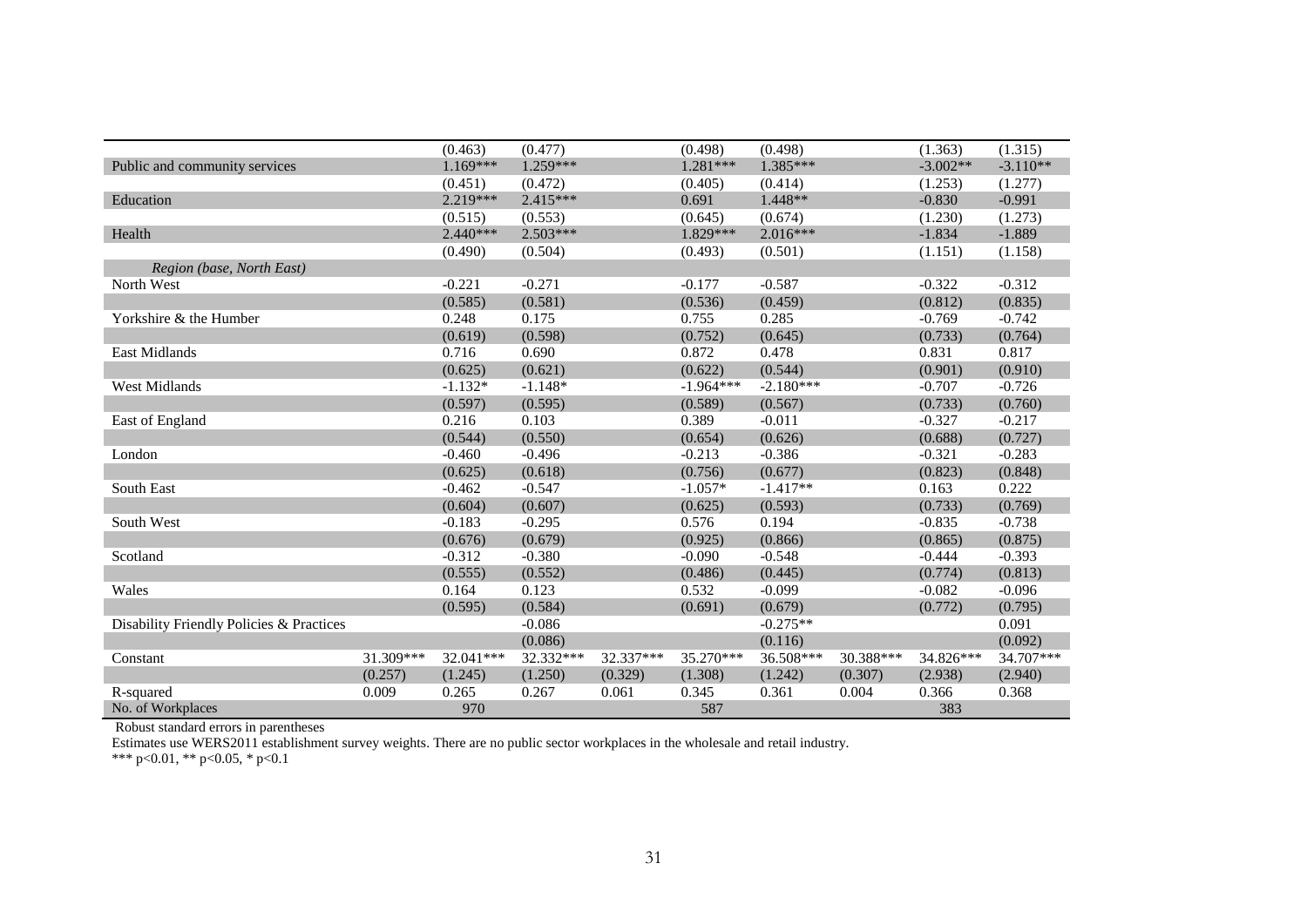|                                          |           | (0.463)    | (0.477)    |           | (0.498)     | (0.498)     |           | (1.363)    | (1.315)    |
|------------------------------------------|-----------|------------|------------|-----------|-------------|-------------|-----------|------------|------------|
| Public and community services            |           | $1.169***$ | $1.259***$ |           | $1.281***$  | 1.385***    |           | $-3.002**$ | $-3.110**$ |
|                                          |           | (0.451)    | (0.472)    |           | (0.405)     | (0.414)     |           | (1.253)    | (1.277)    |
| Education                                |           | $2.219***$ | $2.415***$ |           | 0.691       | 1.448**     |           | $-0.830$   | $-0.991$   |
|                                          |           | (0.515)    | (0.553)    |           | (0.645)     | (0.674)     |           | (1.230)    | (1.273)    |
| Health                                   |           | $2.440***$ | $2.503***$ |           | 1.829 ***   | $2.016***$  |           | $-1.834$   | $-1.889$   |
|                                          |           | (0.490)    | (0.504)    |           | (0.493)     | (0.501)     |           | (1.151)    | (1.158)    |
| Region (base, North East)                |           |            |            |           |             |             |           |            |            |
| North West                               |           | $-0.221$   | $-0.271$   |           | $-0.177$    | $-0.587$    |           | $-0.322$   | $-0.312$   |
|                                          |           | (0.585)    | (0.581)    |           | (0.536)     | (0.459)     |           | (0.812)    | (0.835)    |
| Yorkshire & the Humber                   |           | 0.248      | 0.175      |           | 0.755       | 0.285       |           | $-0.769$   | $-0.742$   |
|                                          |           | (0.619)    | (0.598)    |           | (0.752)     | (0.645)     |           | (0.733)    | (0.764)    |
| East Midlands                            |           | 0.716      | 0.690      |           | 0.872       | 0.478       |           | 0.831      | 0.817      |
|                                          |           | (0.625)    | (0.621)    |           | (0.622)     | (0.544)     |           | (0.901)    | (0.910)    |
| <b>West Midlands</b>                     |           | $-1.132*$  | $-1.148*$  |           | $-1.964***$ | $-2.180***$ |           | $-0.707$   | $-0.726$   |
|                                          |           | (0.597)    | (0.595)    |           | (0.589)     | (0.567)     |           | (0.733)    | (0.760)    |
| East of England                          |           | 0.216      | 0.103      |           | 0.389       | $-0.011$    |           | $-0.327$   | $-0.217$   |
|                                          |           | (0.544)    | (0.550)    |           | (0.654)     | (0.626)     |           | (0.688)    | (0.727)    |
| London                                   |           | $-0.460$   | $-0.496$   |           | $-0.213$    | $-0.386$    |           | $-0.321$   | $-0.283$   |
|                                          |           | (0.625)    | (0.618)    |           | (0.756)     | (0.677)     |           | (0.823)    | (0.848)    |
| South East                               |           | $-0.462$   | $-0.547$   |           | $-1.057*$   | $-1.417**$  |           | 0.163      | 0.222      |
|                                          |           | (0.604)    | (0.607)    |           | (0.625)     | (0.593)     |           | (0.733)    | (0.769)    |
| South West                               |           | $-0.183$   | $-0.295$   |           | 0.576       | 0.194       |           | $-0.835$   | $-0.738$   |
|                                          |           | (0.676)    | (0.679)    |           | (0.925)     | (0.866)     |           | (0.865)    | (0.875)    |
| Scotland                                 |           | $-0.312$   | $-0.380$   |           | $-0.090$    | $-0.548$    |           | $-0.444$   | $-0.393$   |
|                                          |           | (0.555)    | (0.552)    |           | (0.486)     | (0.445)     |           | (0.774)    | (0.813)    |
| Wales                                    |           | 0.164      | 0.123      |           | 0.532       | $-0.099$    |           | $-0.082$   | $-0.096$   |
|                                          |           | (0.595)    | (0.584)    |           | (0.691)     | (0.679)     |           | (0.772)    | (0.795)    |
| Disability Friendly Policies & Practices |           |            | $-0.086$   |           |             | $-0.275**$  |           |            | 0.091      |
|                                          |           |            | (0.086)    |           |             | (0.116)     |           |            | (0.092)    |
| Constant                                 | 31.309*** | 32.041***  | 32.332***  | 32.337*** | 35.270***   | 36.508***   | 30.388*** | 34.826***  | 34.707***  |
|                                          | (0.257)   | (1.245)    | (1.250)    | (0.329)   | (1.308)     | (1.242)     | (0.307)   | (2.938)    | (2.940)    |
| R-squared                                | 0.009     | 0.265      | 0.267      | 0.061     | 0.345       | 0.361       | 0.004     | 0.366      | 0.368      |
| No. of Workplaces                        |           | 970        |            |           | 587         |             |           | 383        |            |

Estimates use WERS2011 establishment survey weights. There are no public sector workplaces in the wholesale and retail industry.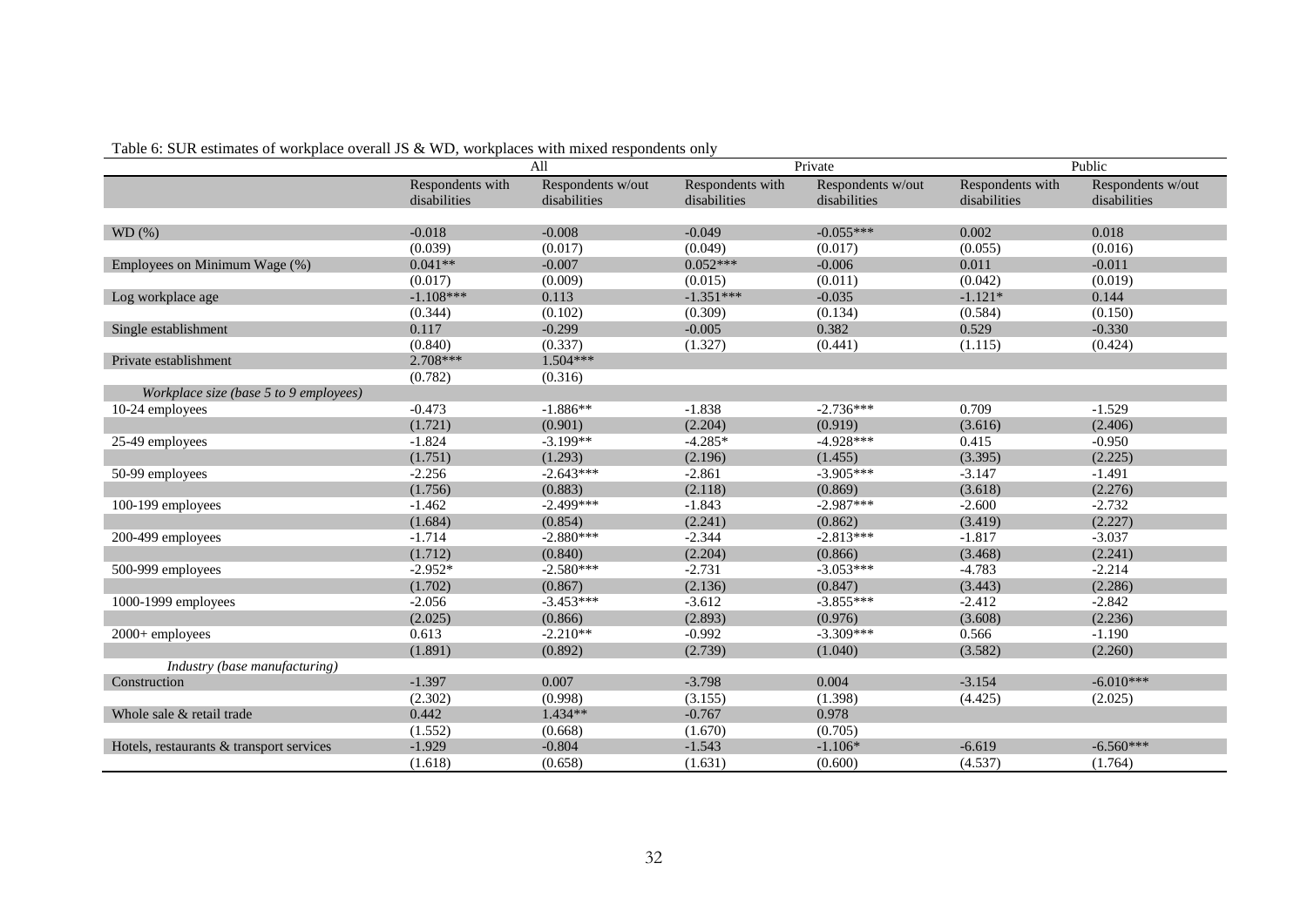| Table 6: SUR estimates of workplace overall JS & WD, workplaces with mixed respondents only |  |  |  |  |
|---------------------------------------------------------------------------------------------|--|--|--|--|
|---------------------------------------------------------------------------------------------|--|--|--|--|

|                                          |                  | All               |                  | Private           | Public           |                   |  |
|------------------------------------------|------------------|-------------------|------------------|-------------------|------------------|-------------------|--|
|                                          | Respondents with | Respondents w/out | Respondents with | Respondents w/out | Respondents with | Respondents w/out |  |
|                                          | disabilities     | disabilities      | disabilities     | disabilities      | disabilities     | disabilities      |  |
|                                          |                  |                   |                  |                   |                  |                   |  |
| WD(%)                                    | $-0.018$         | $-0.008$          | $-0.049$         | $-0.055***$       | 0.002            | 0.018             |  |
|                                          | (0.039)          | (0.017)           | (0.049)          | (0.017)           | (0.055)          | (0.016)           |  |
| Employees on Minimum Wage (%)            | $0.041**$        | $-0.007$          | $0.052***$       | $-0.006$          | 0.011            | $-0.011$          |  |
|                                          | (0.017)          | (0.009)           | (0.015)          | (0.011)           | (0.042)          | (0.019)           |  |
| Log workplace age                        | $-1.108***$      | 0.113             | $-1.351***$      | $-0.035$          | $-1.121*$        | 0.144             |  |
|                                          | (0.344)          | (0.102)           | (0.309)          | (0.134)           | (0.584)          | (0.150)           |  |
| Single establishment                     | 0.117            | $-0.299$          | $-0.005$         | 0.382             | 0.529            | $-0.330$          |  |
|                                          | (0.840)          | (0.337)           | (1.327)          | (0.441)           | (1.115)          | (0.424)           |  |
| Private establishment                    | 2.708***         | $1.504***$        |                  |                   |                  |                   |  |
|                                          | (0.782)          | (0.316)           |                  |                   |                  |                   |  |
| Workplace size (base 5 to 9 employees)   |                  |                   |                  |                   |                  |                   |  |
| 10-24 employees                          | $-0.473$         | $-1.886**$        | $-1.838$         | $-2.736***$       | 0.709            | $-1.529$          |  |
|                                          | (1.721)          | (0.901)           | (2.204)          | (0.919)           | (3.616)          | (2.406)           |  |
| 25-49 employees                          | $-1.824$         | $-3.199**$        | $-4.285*$        | $-4.928***$       | 0.415            | $-0.950$          |  |
|                                          | (1.751)          | (1.293)           | (2.196)          | (1.455)           | (3.395)          | (2.225)           |  |
| 50-99 employees                          | $-2.256$         | $-2.643***$       | $-2.861$         | $-3.905***$       | $-3.147$         | $-1.491$          |  |
|                                          | (1.756)          | (0.883)           | (2.118)          | (0.869)           | (3.618)          | (2.276)           |  |
| 100-199 employees                        | $-1.462$         | $-2.499***$       | $-1.843$         | $-2.987***$       | $-2.600$         | $-2.732$          |  |
|                                          | (1.684)          | (0.854)           | (2.241)          | (0.862)           | (3.419)          | (2.227)           |  |
| 200-499 employees                        | $-1.714$         | $-2.880***$       | $-2.344$         | $-2.813***$       | $-1.817$         | $-3.037$          |  |
|                                          | (1.712)          | (0.840)           | (2.204)          | (0.866)           | (3.468)          | (2.241)           |  |
| 500-999 employees                        | $-2.952*$        | $-2.580***$       | $-2.731$         | $-3.053***$       | $-4.783$         | $-2.214$          |  |
|                                          | (1.702)          | (0.867)           | (2.136)          | (0.847)           | (3.443)          | (2.286)           |  |
| 1000-1999 employees                      | $-2.056$         | $-3.453***$       | $-3.612$         | $-3.855***$       | $-2.412$         | $-2.842$          |  |
|                                          | (2.025)          | (0.866)           | (2.893)          | (0.976)           | (3.608)          | (2.236)           |  |
| 2000+ employees                          | 0.613            | $-2.210**$        | $-0.992$         | $-3.309***$       | 0.566            | $-1.190$          |  |
|                                          | (1.891)          | (0.892)           | (2.739)          | (1.040)           | (3.582)          | (2.260)           |  |
| Industry (base manufacturing)            |                  |                   |                  |                   |                  |                   |  |
| Construction                             | $-1.397$         | 0.007             | $-3.798$         | 0.004             | $-3.154$         | $-6.010***$       |  |
|                                          | (2.302)          | (0.998)           | (3.155)          | (1.398)           | (4.425)          | (2.025)           |  |
| Whole sale & retail trade                | 0.442            | 1.434**           | $-0.767$         | 0.978             |                  |                   |  |
|                                          | (1.552)          | (0.668)           | (1.670)          | (0.705)           |                  |                   |  |
| Hotels, restaurants & transport services | $-1.929$         | $-0.804$          | $-1.543$         | $-1.106*$         | $-6.619$         | $-6.560***$       |  |
|                                          | (1.618)          | (0.658)           | (1.631)          | (0.600)           | (4.537)          | (1.764)           |  |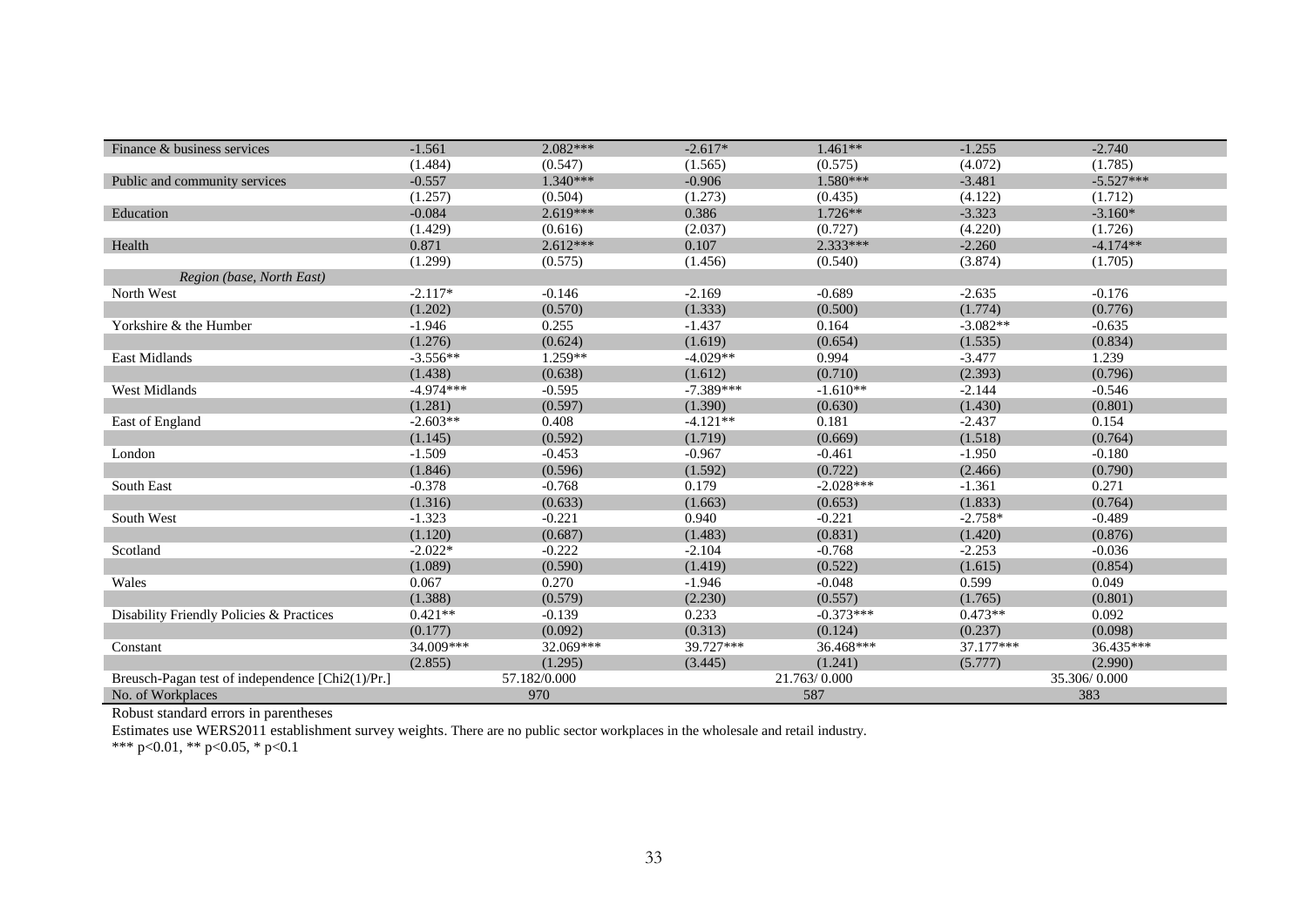| Finance & business services                      | $-1.561$    | $2.082***$   | $-2.617*$   | $1.461**$    | $-1.255$     | $-2.740$    |  |
|--------------------------------------------------|-------------|--------------|-------------|--------------|--------------|-------------|--|
|                                                  | (1.484)     | (0.547)      | (1.565)     | (0.575)      | (4.072)      | (1.785)     |  |
| Public and community services                    | $-0.557$    | $1.340***$   | $-0.906$    | $1.580***$   | $-3.481$     | $-5.527***$ |  |
|                                                  | (1.257)     | (0.504)      | (1.273)     | (0.435)      | (4.122)      | (1.712)     |  |
| Education                                        | $-0.084$    | $2.619***$   | 0.386       | 1.726**      | $-3.323$     | $-3.160*$   |  |
|                                                  | (1.429)     | (0.616)      | (2.037)     | (0.727)      | (4.220)      | (1.726)     |  |
| Health                                           | 0.871       | $2.612***$   | 0.107       | $2.333***$   | $-2.260$     | $-4.174**$  |  |
|                                                  | (1.299)     | (0.575)      | (1.456)     | (0.540)      | (3.874)      | (1.705)     |  |
| Region (base, North East)                        |             |              |             |              |              |             |  |
| North West                                       | $-2.117*$   | $-0.146$     | $-2.169$    | $-0.689$     | $-2.635$     | $-0.176$    |  |
|                                                  | (1.202)     | (0.570)      | (1.333)     | (0.500)      | (1.774)      | (0.776)     |  |
| Yorkshire & the Humber                           | $-1.946$    | 0.255        | $-1.437$    | 0.164        | $-3.082**$   | $-0.635$    |  |
|                                                  | (1.276)     | (0.624)      | (1.619)     | (0.654)      | (1.535)      | (0.834)     |  |
| East Midlands                                    | $-3.556**$  | $1.259**$    | $-4.029**$  | 0.994        | $-3.477$     | 1.239       |  |
|                                                  | (1.438)     | (0.638)      | (1.612)     | (0.710)      | (2.393)      | (0.796)     |  |
| <b>West Midlands</b>                             | $-4.974***$ | $-0.595$     | $-7.389***$ | $-1.610**$   | $-2.144$     | $-0.546$    |  |
|                                                  | (1.281)     | (0.597)      | (1.390)     | (0.630)      | (1.430)      | (0.801)     |  |
| East of England                                  | $-2.603**$  | 0.408        | $-4.121**$  | 0.181        | $-2.437$     | 0.154       |  |
|                                                  | (1.145)     | (0.592)      | (1.719)     | (0.669)      | (1.518)      | (0.764)     |  |
| London                                           | $-1.509$    | $-0.453$     | $-0.967$    | $-0.461$     | $-1.950$     | $-0.180$    |  |
|                                                  | (1.846)     | (0.596)      | (1.592)     | (0.722)      | (2.466)      | (0.790)     |  |
| South East                                       | $-0.378$    | $-0.768$     | 0.179       | $-2.028***$  | $-1.361$     | 0.271       |  |
|                                                  | (1.316)     | (0.633)      | (1.663)     | (0.653)      | (1.833)      | (0.764)     |  |
| South West                                       | $-1.323$    | $-0.221$     | 0.940       | $-0.221$     | $-2.758*$    | $-0.489$    |  |
|                                                  | (1.120)     | (0.687)      | (1.483)     | (0.831)      | (1.420)      | (0.876)     |  |
| Scotland                                         | $-2.022*$   | $-0.222$     | $-2.104$    | $-0.768$     | $-2.253$     | $-0.036$    |  |
|                                                  | (1.089)     | (0.590)      | (1.419)     | (0.522)      | (1.615)      | (0.854)     |  |
| Wales                                            | 0.067       | 0.270        | $-1.946$    | $-0.048$     | 0.599        | 0.049       |  |
|                                                  | (1.388)     | (0.579)      | (2.230)     | (0.557)      | (1.765)      | (0.801)     |  |
| Disability Friendly Policies & Practices         | $0.421**$   | $-0.139$     | 0.233       | $-0.373***$  | $0.473**$    | 0.092       |  |
|                                                  | (0.177)     | (0.092)      | (0.313)     | (0.124)      | (0.237)      | (0.098)     |  |
| Constant                                         | 34.009***   | 32.069***    | 39.727***   | 36.468***    | 37.177***    | 36.435***   |  |
|                                                  | (2.855)     | (1.295)      | (3.445)     | (1.241)      | (5.777)      | (2.990)     |  |
| Breusch-Pagan test of independence [Chi2(1)/Pr.] |             | 57.182/0.000 |             | 21.763/0.000 | 35.306/0.000 |             |  |
| No. of Workplaces                                |             | 970          | 587         |              |              | 383         |  |

Estimates use WERS2011 establishment survey weights. There are no public sector workplaces in the wholesale and retail industry.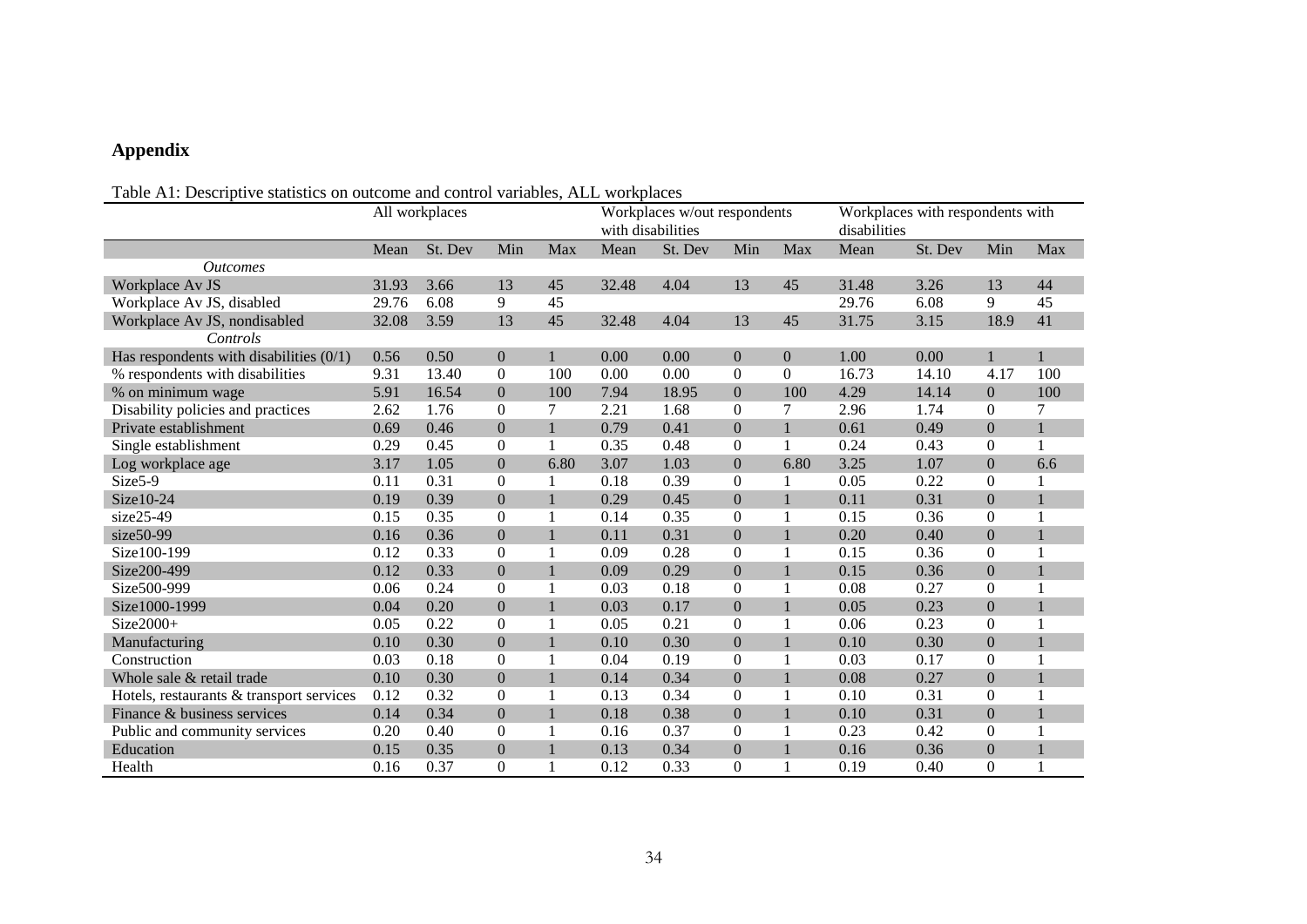## **Appendix**

### Table A1: Descriptive statistics on outcome and control variables, ALL workplaces

|                                           | All workplaces |         |                  |              |       | Workplaces w/out respondents<br>with disabilities |                  |                | Workplaces with respondents with<br>disabilities |         |                  |              |
|-------------------------------------------|----------------|---------|------------------|--------------|-------|---------------------------------------------------|------------------|----------------|--------------------------------------------------|---------|------------------|--------------|
|                                           | Mean           | St. Dev | Min              | Max          | Mean  | St. Dev                                           | Min              | Max            | Mean                                             | St. Dev | Min              | Max          |
| <b>Outcomes</b>                           |                |         |                  |              |       |                                                   |                  |                |                                                  |         |                  |              |
| Workplace Av JS                           | 31.93          | 3.66    | 13               | 45           | 32.48 | 4.04                                              | 13               | 45             | 31.48                                            | 3.26    | 13               | 44           |
| Workplace Av JS, disabled                 | 29.76          | 6.08    | 9                | 45           |       |                                                   |                  |                | 29.76                                            | 6.08    | 9                | 45           |
| Workplace Av JS, nondisabled              | 32.08          | 3.59    | 13               | 45           | 32.48 | 4.04                                              | 13               | 45             | 31.75                                            | 3.15    | 18.9             | 41           |
| Controls                                  |                |         |                  |              |       |                                                   |                  |                |                                                  |         |                  |              |
| Has respondents with disabilities $(0/1)$ | 0.56           | 0.50    | $\mathbf{0}$     | $\mathbf{1}$ | 0.00  | 0.00                                              | $\overline{0}$   | $\mathbf{0}$   | 1.00                                             | 0.00    |                  |              |
| % respondents with disabilities           | 9.31           | 13.40   | $\boldsymbol{0}$ | 100          | 0.00  | 0.00                                              | $\mathbf{0}$     | $\overline{0}$ | 16.73                                            | 14.10   | 4.17             | 100          |
| % on minimum wage                         | 5.91           | 16.54   | $\mathbf{0}$     | 100          | 7.94  | 18.95                                             | $\mathbf{0}$     | 100            | 4.29                                             | 14.14   | $\boldsymbol{0}$ | 100          |
| Disability policies and practices         | 2.62           | 1.76    | $\Omega$         | 7            | 2.21  | 1.68                                              | $\Omega$         | 7              | 2.96                                             | 1.74    | $\Omega$         | 7            |
| Private establishment                     | 0.69           | 0.46    | $\theta$         | $\mathbf{1}$ | 0.79  | 0.41                                              | $\overline{0}$   | $\mathbf{1}$   | 0.61                                             | 0.49    | $\boldsymbol{0}$ | $\mathbf{1}$ |
| Single establishment                      | 0.29           | 0.45    | $\boldsymbol{0}$ | 1            | 0.35  | 0.48                                              | $\mathbf{0}$     | 1              | 0.24                                             | 0.43    | $\boldsymbol{0}$ |              |
| Log workplace age                         | 3.17           | 1.05    | $\theta$         | 6.80         | 3.07  | 1.03                                              | $\mathbf{0}$     | 6.80           | 3.25                                             | 1.07    | $\boldsymbol{0}$ | 6.6          |
| Size5-9                                   | 0.11           | 0.31    | $\boldsymbol{0}$ |              | 0.18  | 0.39                                              | $\boldsymbol{0}$ |                | 0.05                                             | 0.22    | $\boldsymbol{0}$ |              |
| Size10-24                                 | 0.19           | 0.39    | $\mathbf{0}$     | $\mathbf{1}$ | 0.29  | 0.45                                              | $\mathbf{0}$     | $\mathbf{1}$   | 0.11                                             | 0.31    | $\overline{0}$   |              |
| size25-49                                 | 0.15           | 0.35    | $\boldsymbol{0}$ | 1            | 0.14  | 0.35                                              | $\boldsymbol{0}$ | 1              | 0.15                                             | 0.36    | $\overline{0}$   |              |
| size50-99                                 | 0.16           | 0.36    | $\mathbf{0}$     | $\mathbf{1}$ | 0.11  | 0.31                                              | $\mathbf{0}$     | $\mathbf{1}$   | 0.20                                             | 0.40    | $\boldsymbol{0}$ |              |
| Size100-199                               | 0.12           | 0.33    | $\mathbf{0}$     | 1            | 0.09  | 0.28                                              | $\overline{0}$   | 1              | 0.15                                             | 0.36    | $\overline{0}$   | $\mathbf{1}$ |
| Size200-499                               | 0.12           | 0.33    | $\boldsymbol{0}$ | $\mathbf{1}$ | 0.09  | 0.29                                              | $\boldsymbol{0}$ | 1              | 0.15                                             | 0.36    | $\boldsymbol{0}$ |              |
| Size500-999                               | 0.06           | 0.24    | $\boldsymbol{0}$ | 1            | 0.03  | 0.18                                              | $\boldsymbol{0}$ | 1              | 0.08                                             | 0.27    | $\boldsymbol{0}$ |              |
| Size1000-1999                             | 0.04           | 0.20    | $\theta$         | $\mathbf{1}$ | 0.03  | 0.17                                              | $\mathbf{0}$     | $\mathbf{1}$   | 0.05                                             | 0.23    | $\overline{0}$   |              |
| Size2000+                                 | 0.05           | 0.22    | $\boldsymbol{0}$ | 1            | 0.05  | 0.21                                              | $\mathbf{0}$     | 1              | 0.06                                             | 0.23    | $\overline{0}$   |              |
| Manufacturing                             | 0.10           | 0.30    | $\overline{0}$   | $\mathbf{1}$ | 0.10  | 0.30                                              | $\overline{0}$   | $\mathbf{1}$   | 0.10                                             | 0.30    | $\boldsymbol{0}$ |              |
| Construction                              | 0.03           | 0.18    | $\mathbf{0}$     | 1            | 0.04  | 0.19                                              | $\mathbf{0}$     | 1              | 0.03                                             | 0.17    | $\overline{0}$   |              |
| Whole sale & retail trade                 | 0.10           | 0.30    | $\boldsymbol{0}$ | $\mathbf{1}$ | 0.14  | 0.34                                              | $\mathbf{0}$     | $\mathbf{1}$   | 0.08                                             | 0.27    | $\boldsymbol{0}$ |              |
| Hotels, restaurants & transport services  | 0.12           | 0.32    | $\boldsymbol{0}$ | 1            | 0.13  | 0.34                                              | $\boldsymbol{0}$ | 1              | 0.10                                             | 0.31    | $\boldsymbol{0}$ |              |
| Finance & business services               | 0.14           | 0.34    | $\mathbf{0}$     | $\mathbf{1}$ | 0.18  | 0.38                                              | $\mathbf{0}$     | $\mathbf{1}$   | 0.10                                             | 0.31    | $\boldsymbol{0}$ |              |
| Public and community services             | 0.20           | 0.40    | $\Omega$         | $\mathbf{1}$ | 0.16  | 0.37                                              | $\Omega$         | 1              | 0.23                                             | 0.42    | $\boldsymbol{0}$ |              |
| Education                                 | 0.15           | 0.35    | $\theta$         | $\mathbf{1}$ | 0.13  | 0.34                                              | $\theta$         | $\mathbf{1}$   | 0.16                                             | 0.36    | $\boldsymbol{0}$ |              |
| Health                                    | 0.16           | 0.37    | $\mathbf{0}$     |              | 0.12  | 0.33                                              | $\overline{0}$   |                | 0.19                                             | 0.40    | $\overline{0}$   |              |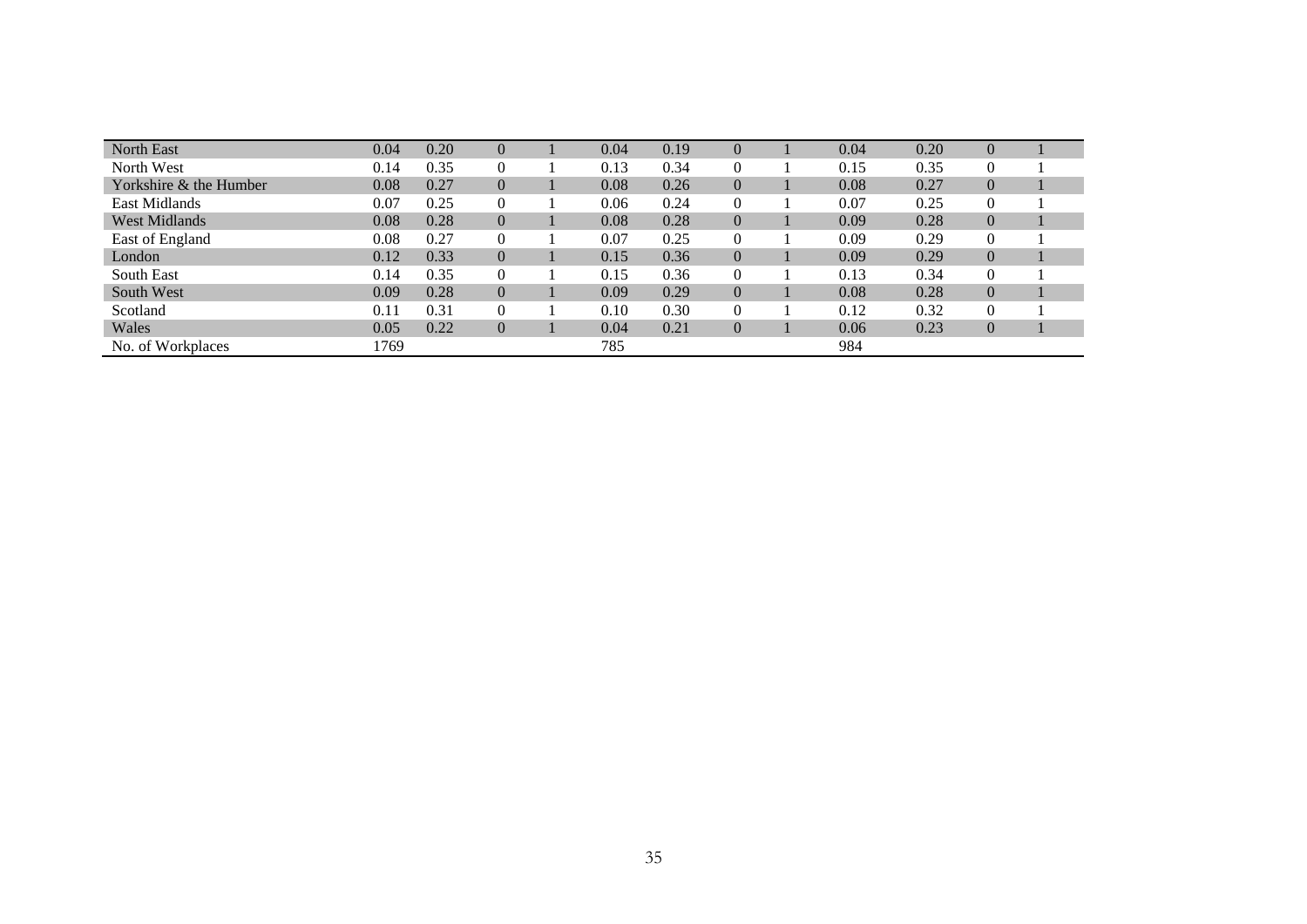| <b>North East</b>      | 0.04 | 0.20 | $\theta$         | 0.04 | 0.19 | $\theta$       | 0.04 | 0.20 | $\theta$       |  |
|------------------------|------|------|------------------|------|------|----------------|------|------|----------------|--|
| North West             | 0.14 | 0.35 | $\theta$         | 0.13 | 0.34 | $\theta$       | 0.15 | 0.35 |                |  |
| Yorkshire & the Humber | 0.08 | 0.27 | $\overline{0}$   | 0.08 | 0.26 | $\overline{0}$ | 0.08 | 0.27 | $\theta$       |  |
| East Midlands          | 0.07 | 0.25 | $\overline{0}$   | 0.06 | 0.24 | $\theta$       | 0.07 | 0.25 |                |  |
| <b>West Midlands</b>   | 0.08 | 0.28 | $\boldsymbol{0}$ | 0.08 | 0.28 | $\overline{0}$ | 0.09 | 0.28 | $\overline{0}$ |  |
| East of England        | 0.08 | 0.27 | $\overline{0}$   | 0.07 | 0.25 | $\theta$       | 0.09 | 0.29 | $\overline{0}$ |  |
| London                 | 0.12 | 0.33 | $\overline{0}$   | 0.15 | 0.36 | $\overline{0}$ | 0.09 | 0.29 | $\overline{0}$ |  |
| South East             | 0.14 | 0.35 | $\overline{0}$   | 0.15 | 0.36 | $\theta$       | 0.13 | 0.34 | $\overline{0}$ |  |
| South West             | 0.09 | 0.28 | $\overline{0}$   | 0.09 | 0.29 | $\overline{0}$ | 0.08 | 0.28 | $\Omega$       |  |
| Scotland               | 0.11 | 0.31 | $\overline{0}$   | 0.10 | 0.30 | $\theta$       | 0.12 | 0.32 | $\mathbf{0}$   |  |
| Wales                  | 0.05 | 0.22 | $\overline{0}$   | 0.04 | 0.21 | $\overline{0}$ | 0.06 | 0.23 | $\theta$       |  |
| No. of Workplaces      | 1769 |      |                  | 785  |      |                | 984  |      |                |  |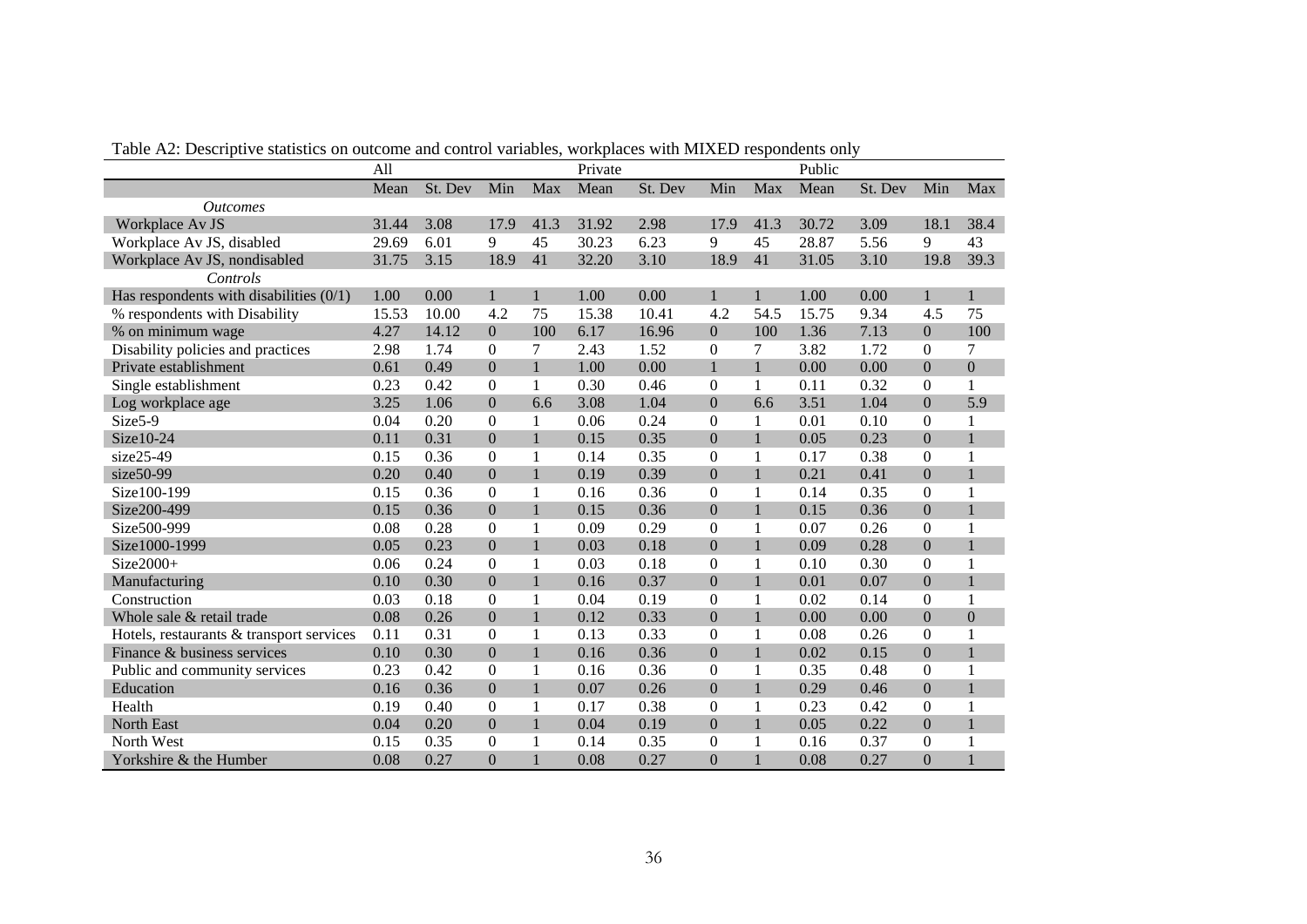|                                           | All   |         |                  |              | Private |         |                  |                | Public |         |                  |                  |
|-------------------------------------------|-------|---------|------------------|--------------|---------|---------|------------------|----------------|--------|---------|------------------|------------------|
|                                           | Mean  | St. Dev | Min              | Max          | Mean    | St. Dev | Min              | Max            | Mean   | St. Dev | Min              | Max              |
| <b>Outcomes</b>                           |       |         |                  |              |         |         |                  |                |        |         |                  |                  |
| Workplace Av JS                           | 31.44 | 3.08    | 17.9             | 41.3         | 31.92   | 2.98    | 17.9             | 41.3           | 30.72  | 3.09    | 18.1             | 38.4             |
| Workplace Av JS, disabled                 | 29.69 | 6.01    | 9                | 45           | 30.23   | 6.23    | 9                | 45             | 28.87  | 5.56    | 9                | 43               |
| Workplace Av JS, nondisabled              | 31.75 | 3.15    | 18.9             | 41           | 32.20   | 3.10    | 18.9             | 41             | 31.05  | 3.10    | 19.8             | 39.3             |
| Controls                                  |       |         |                  |              |         |         |                  |                |        |         |                  |                  |
| Has respondents with disabilities $(0/1)$ | 1.00  | 0.00    | $\mathbf{1}$     | 1            | 1.00    | 0.00    | 1                | $\mathbf{1}$   | 1.00   | 0.00    | $\mathbf{1}$     |                  |
| % respondents with Disability             | 15.53 | 10.00   | 4.2              | 75           | 15.38   | 10.41   | 4.2              | 54.5           | 15.75  | 9.34    | 4.5              | 75               |
| % on minimum wage                         | 4.27  | 14.12   | $\boldsymbol{0}$ | 100          | 6.17    | 16.96   | $\boldsymbol{0}$ | 100            | 1.36   | 7.13    | $\overline{0}$   | 100              |
| Disability policies and practices         | 2.98  | 1.74    | $\Omega$         | 7            | 2.43    | 1.52    | $\boldsymbol{0}$ | $\overline{7}$ | 3.82   | 1.72    | $\Omega$         | 7                |
| Private establishment                     | 0.61  | 0.49    | $\mathbf{0}$     | $\mathbf{1}$ | 1.00    | 0.00    | $\mathbf{1}$     | $\mathbf{1}$   | 0.00   | 0.00    | $\boldsymbol{0}$ | $\boldsymbol{0}$ |
| Single establishment                      | 0.23  | 0.42    | $\boldsymbol{0}$ | $\mathbf{1}$ | 0.30    | 0.46    | $\boldsymbol{0}$ | $\mathbf{1}$   | 0.11   | 0.32    | $\boldsymbol{0}$ |                  |
| Log workplace age                         | 3.25  | 1.06    | $\boldsymbol{0}$ | 6.6          | 3.08    | 1.04    | $\mathbf{0}$     | 6.6            | 3.51   | 1.04    | $\overline{0}$   | 5.9              |
| Size5-9                                   | 0.04  | 0.20    | $\boldsymbol{0}$ | 1            | 0.06    | 0.24    | $\mathbf{0}$     | $\mathbf{1}$   | 0.01   | 0.10    | $\boldsymbol{0}$ |                  |
| Size10-24                                 | 0.11  | 0.31    | $\mathbf{0}$     | $\mathbf{1}$ | 0.15    | 0.35    | $\overline{0}$   | $\mathbf{1}$   | 0.05   | 0.23    | $\mathbf{0}$     |                  |
| $size25-49$                               | 0.15  | 0.36    | $\overline{0}$   |              | 0.14    | 0.35    | $\boldsymbol{0}$ | $\mathbf{1}$   | 0.17   | 0.38    | $\boldsymbol{0}$ |                  |
| size50-99                                 | 0.20  | 0.40    | $\mathbf{0}$     | $\mathbf{1}$ | 0.19    | 0.39    | $\overline{0}$   | $\mathbf{1}$   | 0.21   | 0.41    | $\boldsymbol{0}$ |                  |
| Size100-199                               | 0.15  | 0.36    | $\mathbf{0}$     | 1            | 0.16    | 0.36    | $\Omega$         | $\mathbf{1}$   | 0.14   | 0.35    | $\Omega$         |                  |
| Size200-499                               | 0.15  | 0.36    | $\mathbf{0}$     | $\mathbf{1}$ | 0.15    | 0.36    | $\overline{0}$   | $\mathbf{1}$   | 0.15   | 0.36    | $\overline{0}$   |                  |
| Size500-999                               | 0.08  | 0.28    | $\boldsymbol{0}$ | 1            | 0.09    | 0.29    | $\mathbf{0}$     | $\mathbf{1}$   | 0.07   | 0.26    | $\boldsymbol{0}$ | 1                |
| Size1000-1999                             | 0.05  | 0.23    | $\mathbf{0}$     | $\mathbf{1}$ | 0.03    | 0.18    | $\mathbf{0}$     | $\mathbf{1}$   | 0.09   | 0.28    | $\mathbf{0}$     |                  |
| $Size2000+$                               | 0.06  | 0.24    | $\overline{0}$   |              | 0.03    | 0.18    | $\boldsymbol{0}$ | $\mathbf{1}$   | 0.10   | 0.30    | $\boldsymbol{0}$ |                  |
| Manufacturing                             | 0.10  | 0.30    | $\boldsymbol{0}$ | $\mathbf{1}$ | 0.16    | 0.37    | $\mathbf{0}$     | $\mathbf{1}$   | 0.01   | 0.07    | $\boldsymbol{0}$ | 1                |
| Construction                              | 0.03  | 0.18    | $\overline{0}$   | $\mathbf{1}$ | 0.04    | 0.19    | $\boldsymbol{0}$ | $\mathbf{1}$   | 0.02   | 0.14    | $\boldsymbol{0}$ | 1                |
| Whole sale & retail trade                 | 0.08  | 0.26    | $\boldsymbol{0}$ | $\mathbf{1}$ | 0.12    | 0.33    | $\overline{0}$   | $\mathbf{1}$   | 0.00   | 0.00    | $\boldsymbol{0}$ | $\boldsymbol{0}$ |
| Hotels, restaurants & transport services  | 0.11  | 0.31    | $\boldsymbol{0}$ | $\mathbf{1}$ | 0.13    | 0.33    | $\boldsymbol{0}$ | $\mathbf{1}$   | 0.08   | 0.26    | $\boldsymbol{0}$ |                  |
| Finance & business services               | 0.10  | 0.30    | $\mathbf{0}$     | $\mathbf{1}$ | 0.16    | 0.36    | $\overline{0}$   | $\mathbf{1}$   | 0.02   | 0.15    | $\mathbf{0}$     |                  |
| Public and community services             | 0.23  | 0.42    | $\overline{0}$   | 1            | 0.16    | 0.36    | $\boldsymbol{0}$ | $\mathbf{1}$   | 0.35   | 0.48    | $\boldsymbol{0}$ |                  |
| Education                                 | 0.16  | 0.36    | $\mathbf{0}$     | $\mathbf{1}$ | 0.07    | 0.26    | $\theta$         | $\mathbf{1}$   | 0.29   | 0.46    | $\overline{0}$   |                  |
| Health                                    | 0.19  | 0.40    | $\overline{0}$   | 1            | 0.17    | 0.38    | $\boldsymbol{0}$ | $\mathbf{1}$   | 0.23   | 0.42    | $\boldsymbol{0}$ |                  |
| North East                                | 0.04  | 0.20    | $\mathbf{0}$     | $\mathbf{1}$ | 0.04    | 0.19    | $\overline{0}$   | $\mathbf{1}$   | 0.05   | 0.22    | $\boldsymbol{0}$ |                  |
| North West                                | 0.15  | 0.35    | $\boldsymbol{0}$ |              | 0.14    | 0.35    | $\mathbf{0}$     | $\mathbf{1}$   | 0.16   | 0.37    | $\boldsymbol{0}$ |                  |
| Yorkshire & the Humber                    | 0.08  | 0.27    | $\Omega$         |              | 0.08    | 0.27    | $\mathbf{0}$     | $\mathbf{1}$   | 0.08   | 0.27    | $\theta$         |                  |

Table A2: Descriptive statistics on outcome and control variables, workplaces with MIXED respondents only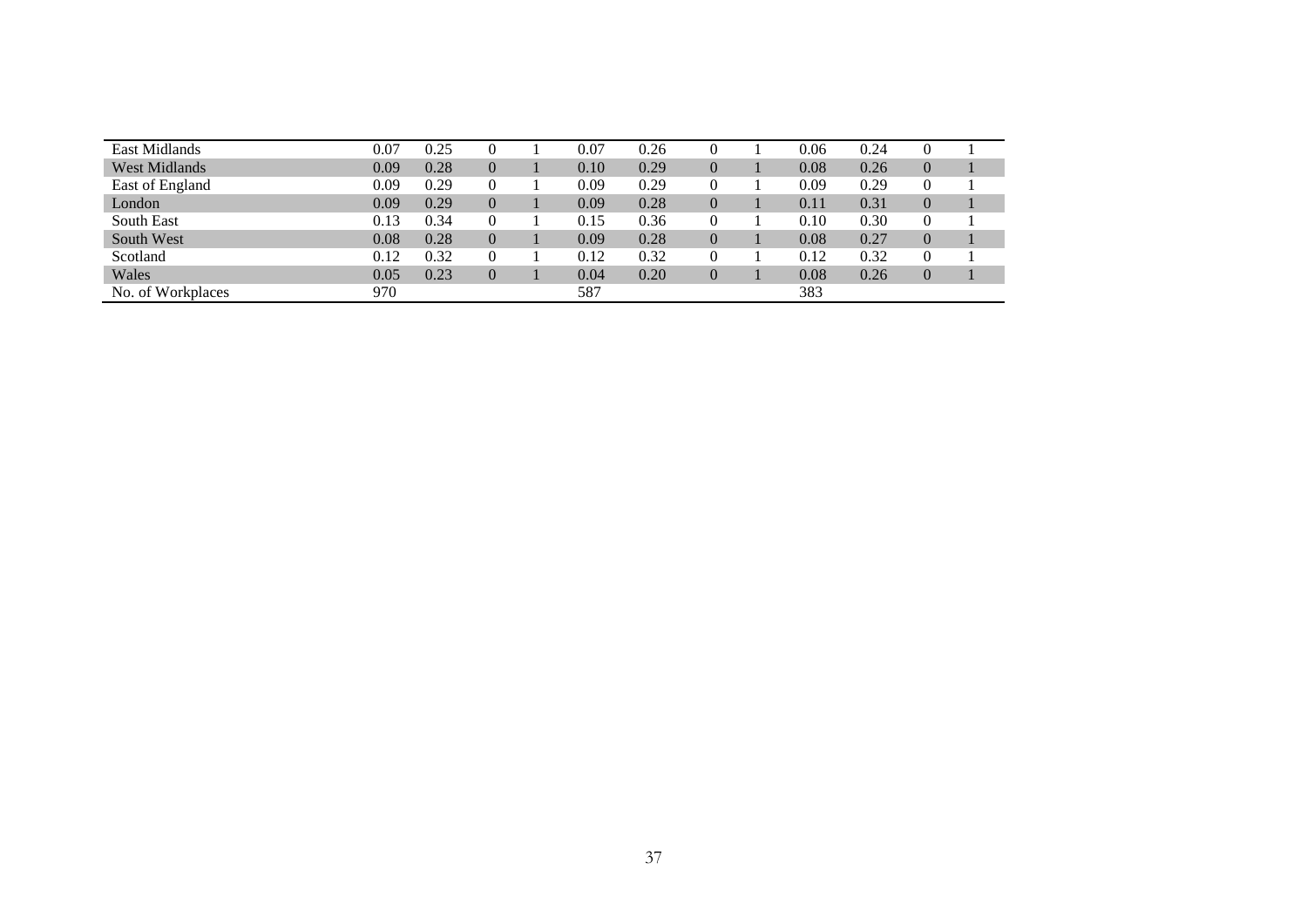| East Midlands        | 0.07 | 0.25 |                | 0.07 | 0.26 |                | 0.06 | 0.24 | 0              |  |
|----------------------|------|------|----------------|------|------|----------------|------|------|----------------|--|
| <b>West Midlands</b> | 0.09 | 0.28 |                | 0.10 | 0.29 | $\overline{0}$ | 0.08 | 0.26 | $\overline{0}$ |  |
| East of England      | 0.09 | 0.29 | 0              | 0.09 | 0.29 | $\theta$       | 0.09 | 0.29 | 0              |  |
| London               | 0.09 | 0.29 | $\overline{0}$ | 0.09 | 0.28 | $\overline{0}$ | 0.11 | 0.31 | $\overline{0}$ |  |
| South East           | 0.13 | 0.34 | 0              | 0.15 | 0.36 |                | 0.10 | 0.30 | 0              |  |
| South West           | 0.08 | 0.28 | 0              | 0.09 | 0.28 | $\overline{0}$ | 0.08 | 0.27 | $\overline{0}$ |  |
| Scotland             | 0.12 | 0.32 | 0              | 0.12 | 0.32 | 0              | 0.12 | 0.32 | 0              |  |
| Wales                | 0.05 | 0.23 | 0              | 0.04 | 0.20 | $\overline{0}$ | 0.08 | 0.26 | $\overline{0}$ |  |
| No. of Workplaces    | 970  |      |                | 587  |      |                | 383  |      |                |  |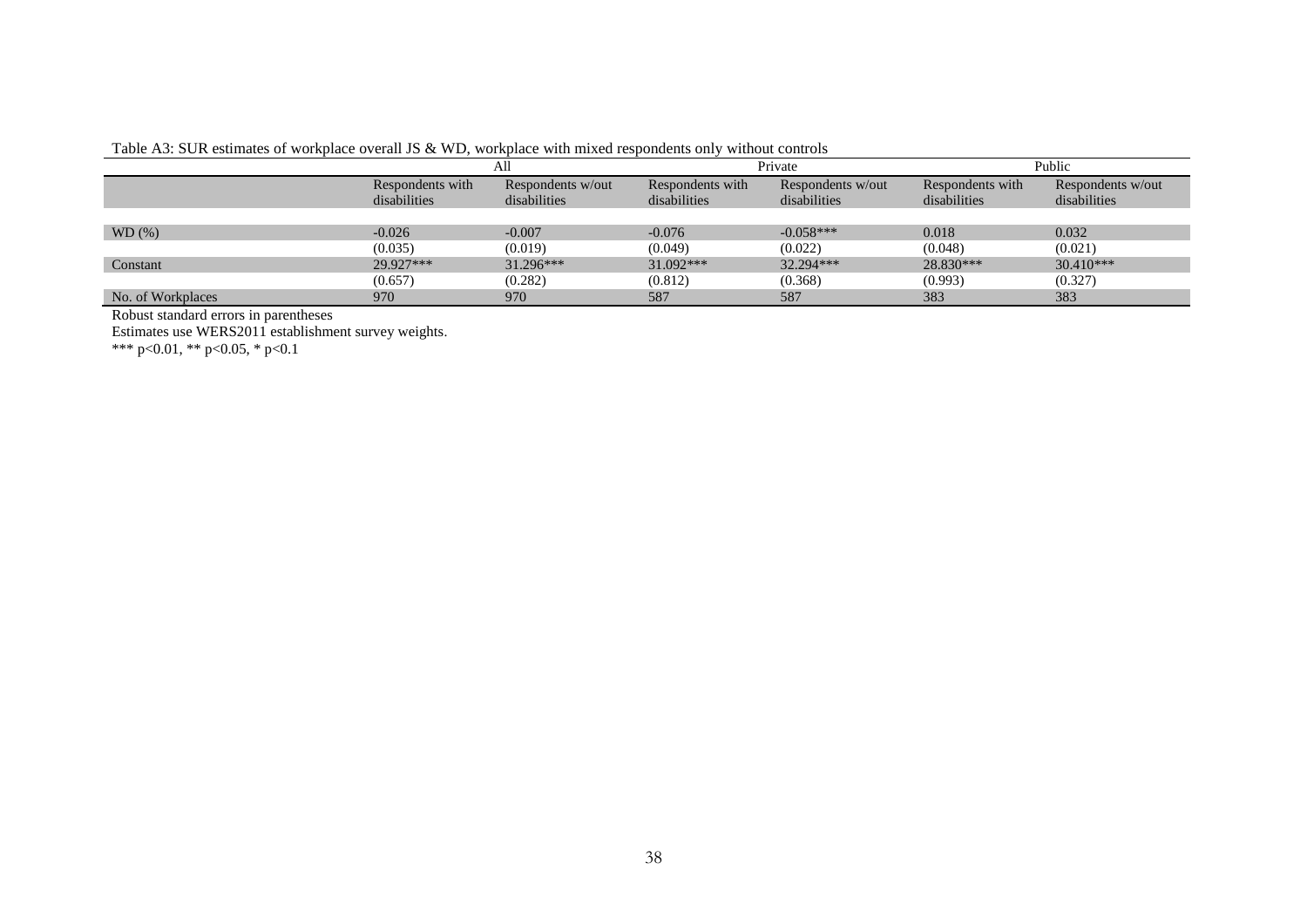|                   | All              |                   |                  | Private           | Public           |                   |  |
|-------------------|------------------|-------------------|------------------|-------------------|------------------|-------------------|--|
|                   | Respondents with | Respondents w/out | Respondents with | Respondents w/out | Respondents with | Respondents w/out |  |
|                   | disabilities     | disabilities      | disabilities     | disabilities      | disabilities     | disabilities      |  |
|                   |                  |                   |                  |                   |                  |                   |  |
| WD(%)             | $-0.026$         | $-0.007$          | $-0.076$         | $-0.058***$       | 0.018            | 0.032             |  |
|                   | (0.035)          | (0.019)           | (0.049)          | (0.022)           | (0.048)          | (0.021)           |  |
| Constant          | 29.927***        | $31.296***$       | 31.092***        | 32.294***         | 28.830***        | $30.410***$       |  |
|                   | (0.657)          | (0.282)           | (0.812)          | (0.368)           | (0.993)          | (0.327)           |  |
| No. of Workplaces | 970              | 970               | 587              | 587               | 383              | 383               |  |

#### Table A3: SUR estimates of workplace overall JS & WD, workplace with mixed respondents only without controls

Robust standard errors in parentheses

Estimates use WERS2011 establishment survey weights.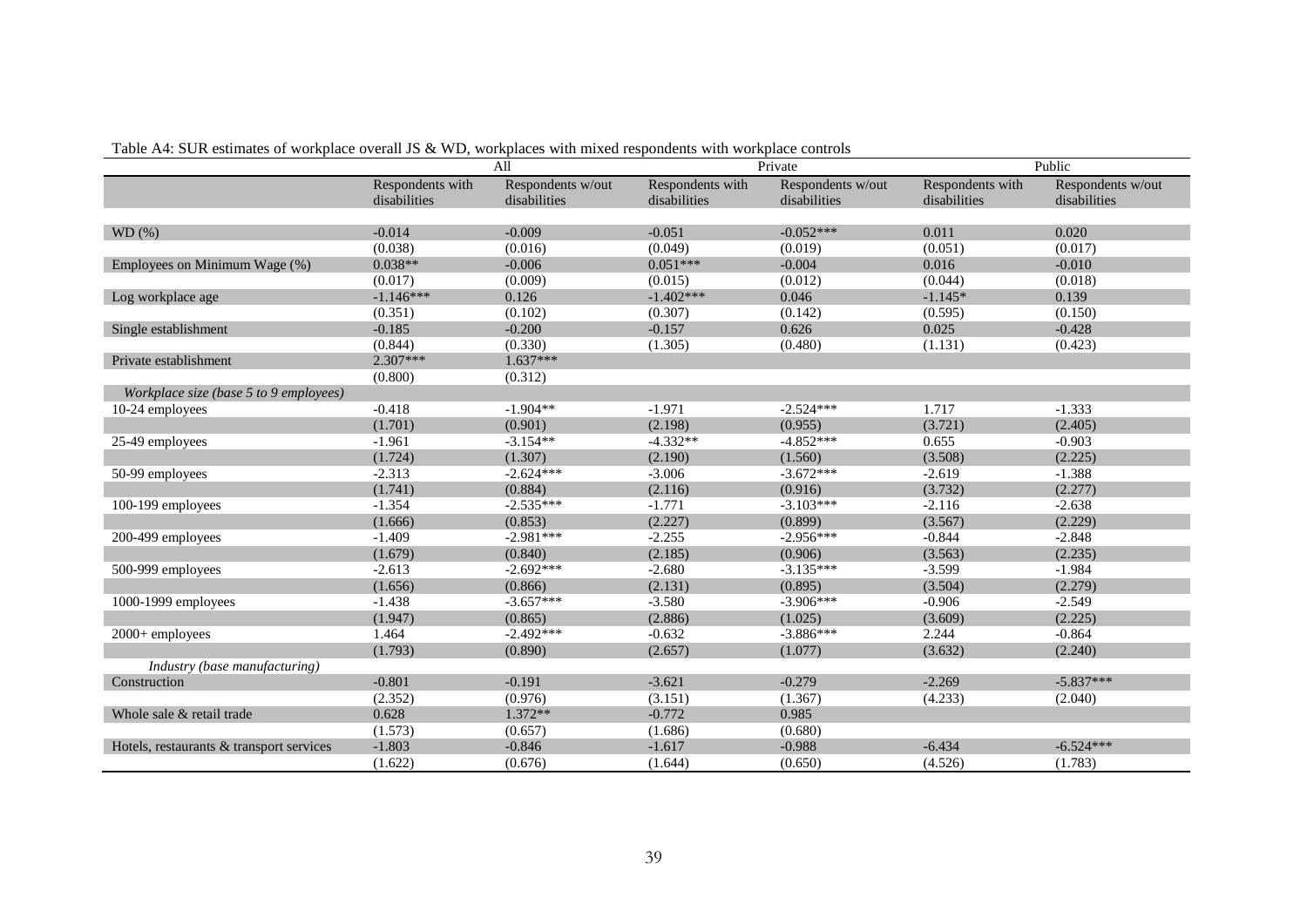|                                          |                  | All               |                  | Private           |                  | Public            |  |
|------------------------------------------|------------------|-------------------|------------------|-------------------|------------------|-------------------|--|
|                                          | Respondents with | Respondents w/out | Respondents with | Respondents w/out | Respondents with | Respondents w/out |  |
|                                          | disabilities     | disabilities      | disabilities     | disabilities      | disabilities     | disabilities      |  |
|                                          |                  |                   |                  |                   |                  |                   |  |
| WD(%)                                    | $-0.014$         | $-0.009$          | $-0.051$         | $-0.052***$       | 0.011            | 0.020             |  |
|                                          | (0.038)          | (0.016)           | (0.049)          | (0.019)           | (0.051)          | (0.017)           |  |
| Employees on Minimum Wage (%)            | $0.038**$        | $-0.006$          | $0.051***$       | $-0.004$          | 0.016            | $-0.010$          |  |
|                                          | (0.017)          | (0.009)           | (0.015)          | (0.012)           | (0.044)          | (0.018)           |  |
| Log workplace age                        | $-1.146***$      | 0.126             | $-1.402***$      | 0.046             | $-1.145*$        | 0.139             |  |
|                                          | (0.351)          | (0.102)           | (0.307)          | (0.142)           | (0.595)          | (0.150)           |  |
| Single establishment                     | $-0.185$         | $-0.200$          | $-0.157$         | 0.626             | 0.025            | $-0.428$          |  |
|                                          | (0.844)          | (0.330)           | (1.305)          | (0.480)           | (1.131)          | (0.423)           |  |
| Private establishment                    | $2.307***$       | $1.637***$        |                  |                   |                  |                   |  |
|                                          | (0.800)          | (0.312)           |                  |                   |                  |                   |  |
| Workplace size (base 5 to 9 employees)   |                  |                   |                  |                   |                  |                   |  |
| 10-24 employees                          | $-0.418$         | $-1.904**$        | $-1.971$         | $-2.524***$       | 1.717            | $-1.333$          |  |
|                                          | (1.701)          | (0.901)           | (2.198)          | (0.955)           | (3.721)          | (2.405)           |  |
| 25-49 employees                          | $-1.961$         | $-3.154**$        | $-4.332**$       | $-4.852***$       | 0.655            | $-0.903$          |  |
|                                          | (1.724)          | (1.307)           | (2.190)          | (1.560)           | (3.508)          | (2.225)           |  |
| 50-99 employees                          | $-2.313$         | $-2.624***$       | $-3.006$         | $-3.672***$       | $-2.619$         | $-1.388$          |  |
|                                          | (1.741)          | (0.884)           | (2.116)          | (0.916)           | (3.732)          | (2.277)           |  |
| 100-199 employees                        | $-1.354$         | $-2.535***$       | $-1.771$         | $-3.103***$       | $-2.116$         | $-2.638$          |  |
|                                          | (1.666)          | (0.853)           | (2.227)          | (0.899)           | (3.567)          | (2.229)           |  |
| 200-499 employees                        | $-1.409$         | $-2.981***$       | $-2.255$         | $-2.956***$       | $-0.844$         | $-2.848$          |  |
|                                          | (1.679)          | (0.840)           | (2.185)          | (0.906)           | (3.563)          | (2.235)           |  |
| 500-999 employees                        | $-2.613$         | $-2.692***$       | $-2.680$         | $-3.135***$       | $-3.599$         | $-1.984$          |  |
|                                          | (1.656)          | (0.866)           | (2.131)          | (0.895)           | (3.504)          | (2.279)           |  |
| 1000-1999 employees                      | $-1.438$         | $-3.657***$       | $-3.580$         | $-3.906***$       | $-0.906$         | $-2.549$          |  |
|                                          | (1.947)          | (0.865)           | (2.886)          | (1.025)           | (3.609)          | (2.225)           |  |
| 2000+ employees                          | 1.464            | $-2.492***$       | $-0.632$         | $-3.886***$       | 2.244            | $-0.864$          |  |
|                                          | (1.793)          | (0.890)           | (2.657)          | (1.077)           | (3.632)          | (2.240)           |  |
| Industry (base manufacturing)            |                  |                   |                  |                   |                  |                   |  |
| Construction                             | $-0.801$         | $-0.191$          | $-3.621$         | $-0.279$          | $-2.269$         | $-5.837***$       |  |
|                                          | (2.352)          | (0.976)           | (3.151)          | (1.367)           | (4.233)          | (2.040)           |  |
| Whole sale & retail trade                | 0.628            | 1.372**           | $-0.772$         | 0.985             |                  |                   |  |
|                                          | (1.573)          | (0.657)           | (1.686)          | (0.680)           |                  |                   |  |
| Hotels, restaurants & transport services | $-1.803$         | $-0.846$          | $-1.617$         | $-0.988$          | $-6.434$         | $-6.524***$       |  |
|                                          | (1.622)          | (0.676)           | (1.644)          | (0.650)           | (4.526)          | (1.783)           |  |

Table A4: SUR estimates of workplace overall JS & WD, workplaces with mixed respondents with workplace controls